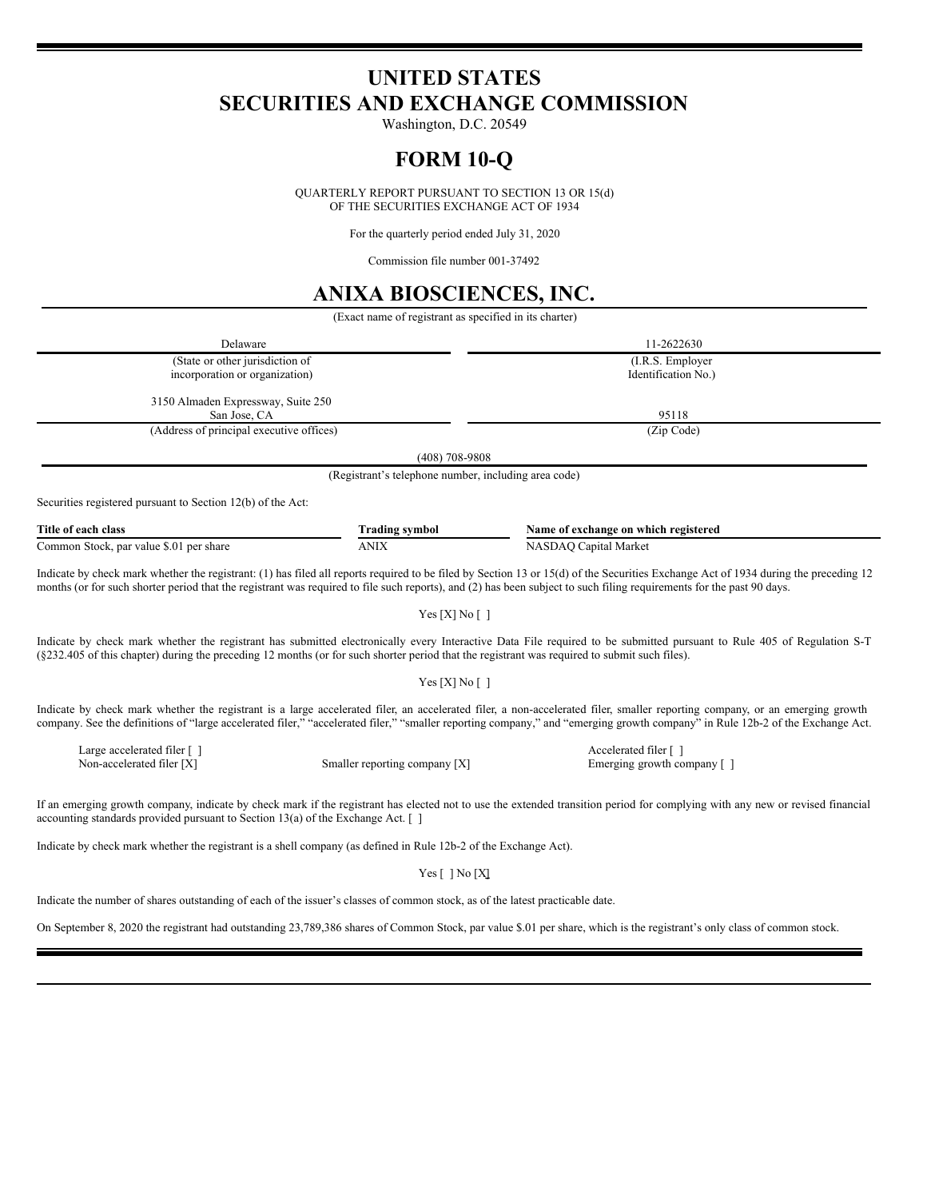# **UNITED STATES SECURITIES AND EXCHANGE COMMISSION**

Washington, D.C. 20549

# **FORM 10-Q**

QUARTERLY REPORT PURSUANT TO SECTION 13 OR 15(d) OF THE SECURITIES EXCHANGE ACT OF 1934

For the quarterly period ended July 31, 2020

Commission file number 001-37492

# **ANIXA BIOSCIENCES, INC.**

(Exact name of registrant as specified in its charter)

| Delaware                                                                                                                                      |                                                      | 11-2622630                                                                                                                                                                                                                                                                                                                                                   |
|-----------------------------------------------------------------------------------------------------------------------------------------------|------------------------------------------------------|--------------------------------------------------------------------------------------------------------------------------------------------------------------------------------------------------------------------------------------------------------------------------------------------------------------------------------------------------------------|
| (State or other jurisdiction of<br>incorporation or organization)                                                                             |                                                      | (I.R.S. Employer<br>Identification No.)                                                                                                                                                                                                                                                                                                                      |
| 3150 Almaden Expressway, Suite 250<br>San Jose, CA<br>(Address of principal executive offices)                                                |                                                      | 95118<br>(Zip Code)                                                                                                                                                                                                                                                                                                                                          |
|                                                                                                                                               | $(408)$ 708-9808                                     |                                                                                                                                                                                                                                                                                                                                                              |
|                                                                                                                                               | (Registrant's telephone number, including area code) |                                                                                                                                                                                                                                                                                                                                                              |
| Securities registered pursuant to Section 12(b) of the Act:                                                                                   |                                                      |                                                                                                                                                                                                                                                                                                                                                              |
| Title of each class                                                                                                                           | <b>Trading symbol</b>                                | Name of exchange on which registered                                                                                                                                                                                                                                                                                                                         |
| Common Stock, par value \$.01 per share                                                                                                       | <b>ANIX</b>                                          | NASDAQ Capital Market                                                                                                                                                                                                                                                                                                                                        |
|                                                                                                                                               |                                                      | Indicate by check mark whether the registrant: (1) has filed all reports required to be filed by Section 13 or 15(d) of the Securities Exchange Act of 1934 during the preceding 12<br>months (or for such shorter period that the registrant was required to file such reports), and (2) has been subject to such filing requirements for the past 90 days. |
|                                                                                                                                               | Yes $[X]$ No $[$ 1                                   |                                                                                                                                                                                                                                                                                                                                                              |
| (§232.405 of this chapter) during the preceding 12 months (or for such shorter period that the registrant was required to submit such files). |                                                      | Indicate by check mark whether the registrant has submitted electronically every Interactive Data File required to be submitted pursuant to Rule 405 of Regulation S-T                                                                                                                                                                                       |
|                                                                                                                                               | Yes $[X]$ No $[$ 1                                   |                                                                                                                                                                                                                                                                                                                                                              |
|                                                                                                                                               |                                                      | Indicate by check mark whether the registrant is a large accelerated filer, an accelerated filer, a non-accelerated filer, smaller reporting company, or an emerging growth<br>company. See the definitions of "large accelerated filer," "accelerated filer," "smaller reporting company," and "emerging growth company" in Rule 12b-2 of the Exchange Act. |
| Large accelerated filer []<br>Non-accelerated filer [X]                                                                                       | Smaller reporting company [X]                        | Accelerated filer []<br>Emerging growth company []                                                                                                                                                                                                                                                                                                           |
| accounting standards provided pursuant to Section 13(a) of the Exchange Act. $\lceil \ \rceil$                                                |                                                      | If an emerging growth company, indicate by check mark if the registrant has elected not to use the extended transition period for complying with any new or revised financial                                                                                                                                                                                |

Indicate by check mark whether the registrant is a shell company (as defined in Rule 12b-2 of the Exchange Act).

Yes [ ] No [X]

Indicate the number of shares outstanding of each of the issuer's classes of common stock, as of the latest practicable date.

On September 8, 2020 the registrant had outstanding 23,789,386 shares of Common Stock, par value \$.01 per share, which is the registrant's only class of common stock.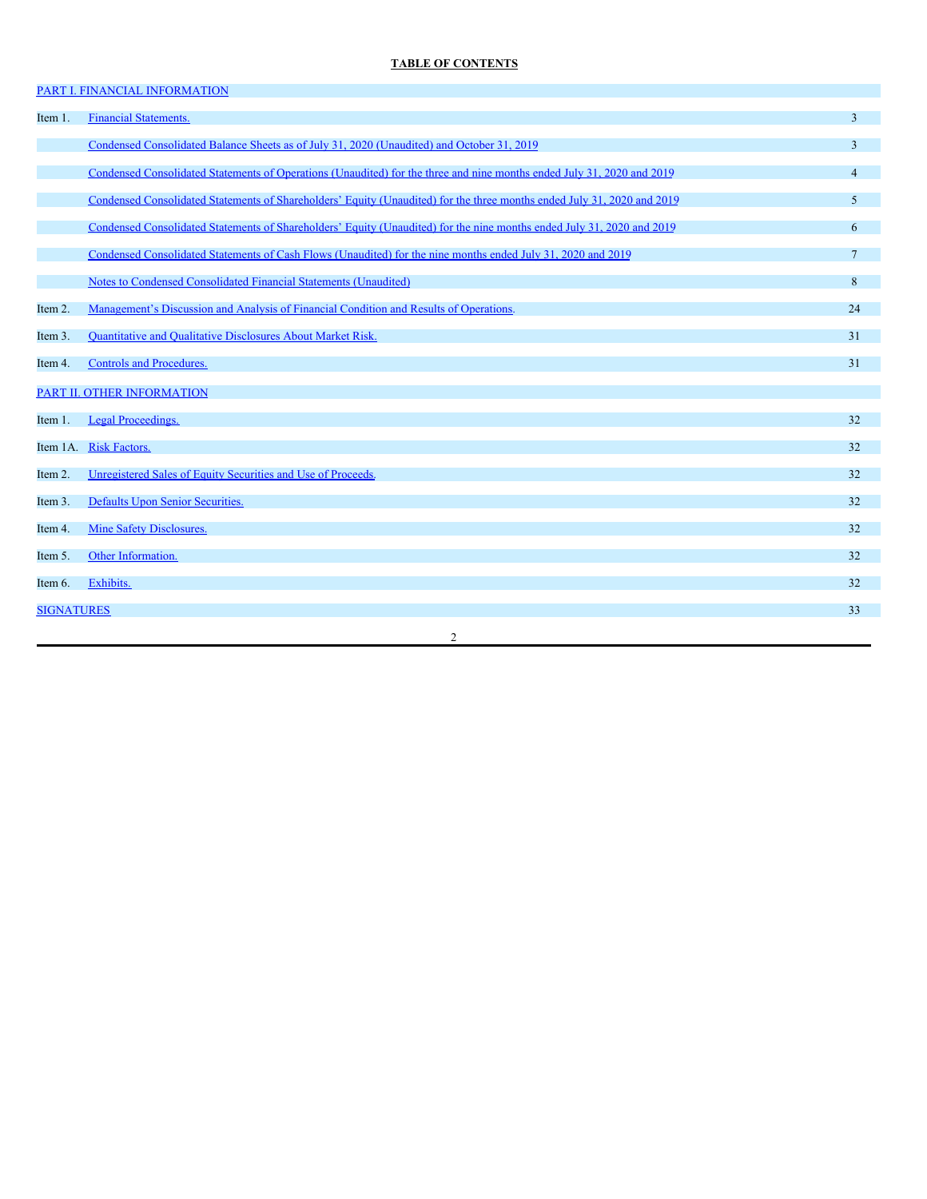# **TABLE OF CONTENTS**

|                   | PART I. FINANCIAL INFORMATION                                                                                           |                |
|-------------------|-------------------------------------------------------------------------------------------------------------------------|----------------|
| Item 1.           | <b>Financial Statements.</b>                                                                                            | 3              |
|                   | Condensed Consolidated Balance Sheets as of July 31, 2020 (Unaudited) and October 31, 2019                              | $\overline{3}$ |
|                   | Condensed Consolidated Statements of Operations (Unaudited) for the three and nine months ended July 31, 2020 and 2019  | $\overline{4}$ |
|                   | Condensed Consolidated Statements of Shareholders' Equity (Unaudited) for the three months ended July 31, 2020 and 2019 | 5              |
|                   | Condensed Consolidated Statements of Shareholders' Equity (Unaudited) for the nine months ended July 31, 2020 and 2019  | 6              |
|                   | Condensed Consolidated Statements of Cash Flows (Unaudited) for the nine months ended July 31, 2020 and 2019            | $\tau$         |
|                   | Notes to Condensed Consolidated Financial Statements (Unaudited)                                                        | 8              |
| Item 2.           | Management's Discussion and Analysis of Financial Condition and Results of Operations.                                  | 24             |
| Item 3.           | Quantitative and Qualitative Disclosures About Market Risk.                                                             | 31             |
| Item 4.           | Controls and Procedures.                                                                                                | 31             |
|                   | PART II. OTHER INFORMATION                                                                                              |                |
| Item 1.           | Legal Proceedings.                                                                                                      | 32             |
|                   | Item 1A. Risk Factors.                                                                                                  | 32             |
| Item 2.           | Unregistered Sales of Equity Securities and Use of Proceeds.                                                            | 32             |
| Item 3.           | Defaults Upon Senior Securities.                                                                                        | 32             |
| Item 4.           | Mine Safety Disclosures.                                                                                                | 32             |
| Item 5.           | Other Information.                                                                                                      | 32             |
|                   |                                                                                                                         |                |
| Item 6.           | Exhibits.                                                                                                               | 32             |
| <b>SIGNATURES</b> |                                                                                                                         | 33             |
|                   | 2                                                                                                                       |                |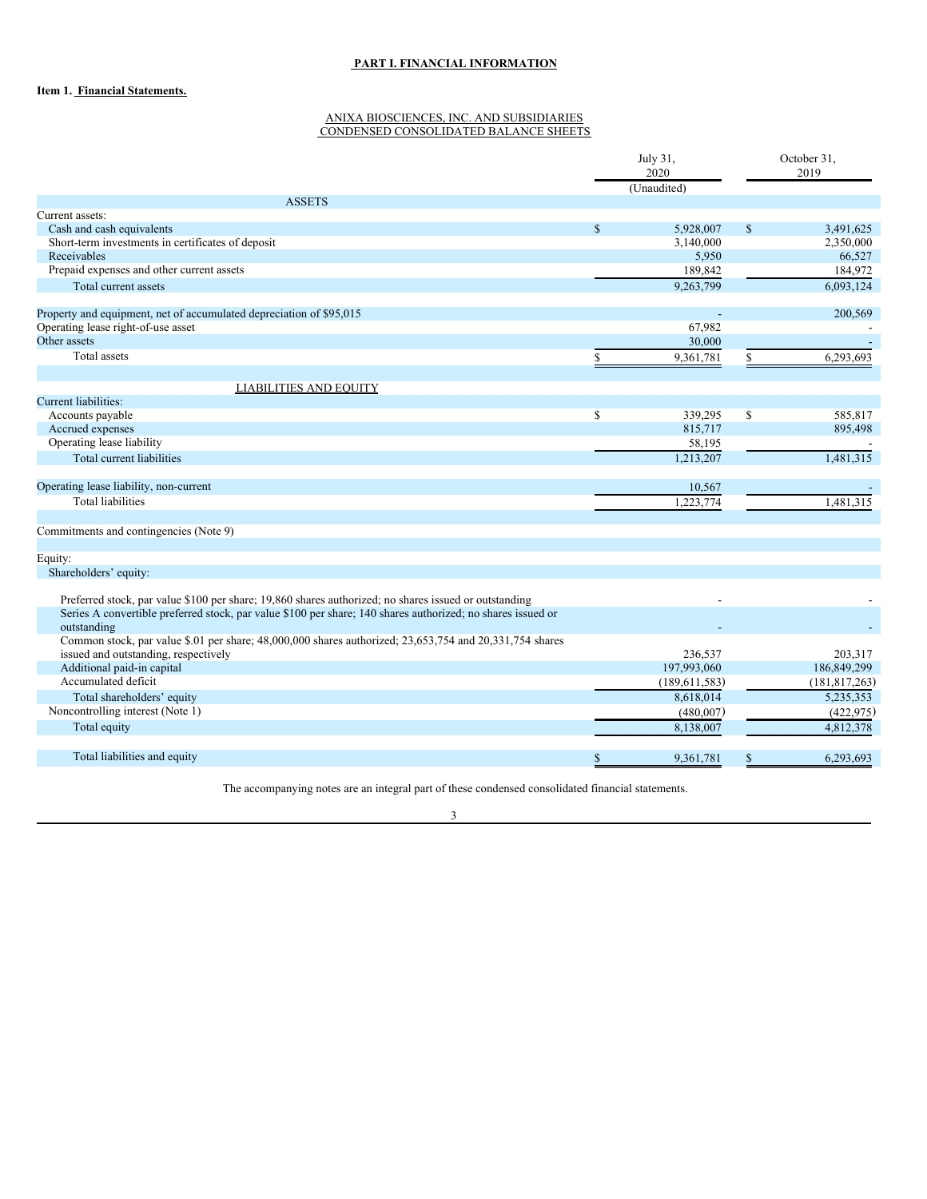# <span id="page-2-0"></span>**PART I. FINANCIAL INFORMATION**

# <span id="page-2-1"></span>**Item 1. Financial Statements.**

#### <span id="page-2-2"></span>ANIXA BIOSCIENCES, INC. AND SUBSIDIARIES CONDENSED CONSOLIDATED BALANCE SHEETS

|                                                                                                                            |              | July 31,            |              | October 31,     |
|----------------------------------------------------------------------------------------------------------------------------|--------------|---------------------|--------------|-----------------|
|                                                                                                                            |              | 2020<br>(Unaudited) |              | 2019            |
| <b>ASSETS</b>                                                                                                              |              |                     |              |                 |
| Current assets:                                                                                                            |              |                     |              |                 |
| Cash and cash equivalents                                                                                                  | $\mathbb{S}$ | 5,928,007           | $\mathbf S$  | 3,491,625       |
| Short-term investments in certificates of deposit                                                                          |              | 3,140,000           |              | 2,350,000       |
| Receivables                                                                                                                |              | 5,950               |              | 66,527          |
| Prepaid expenses and other current assets                                                                                  |              | 189,842             |              | 184,972         |
| Total current assets                                                                                                       |              | 9.263.799           |              | 6,093,124       |
| Property and equipment, net of accumulated depreciation of \$95,015                                                        |              |                     |              | 200,569         |
| Operating lease right-of-use asset                                                                                         |              | 67,982              |              |                 |
| Other assets                                                                                                               |              | 30,000              |              |                 |
| Total assets                                                                                                               |              | 9,361,781           | \$           | 6,293,693       |
| <b>LIABILITIES AND EQUITY</b>                                                                                              |              |                     |              |                 |
| Current liabilities:                                                                                                       |              |                     |              |                 |
| Accounts payable                                                                                                           | S            | 339,295             | $\mathbb{S}$ | 585,817         |
| Accrued expenses                                                                                                           |              | 815,717             |              | 895,498         |
| Operating lease liability                                                                                                  |              | 58,195              |              |                 |
| Total current liabilities                                                                                                  |              | 1,213,207           |              | 1,481,315       |
| Operating lease liability, non-current                                                                                     |              | 10,567              |              |                 |
| <b>Total liabilities</b>                                                                                                   |              | 1,223,774           |              | 1,481,315       |
| Commitments and contingencies (Note 9)                                                                                     |              |                     |              |                 |
| Equity:                                                                                                                    |              |                     |              |                 |
| Shareholders' equity:                                                                                                      |              |                     |              |                 |
| Preferred stock, par value \$100 per share; 19,860 shares authorized; no shares issued or outstanding                      |              |                     |              |                 |
| Series A convertible preferred stock, par value \$100 per share; 140 shares authorized; no shares issued or<br>outstanding |              |                     |              |                 |
| Common stock, par value \$.01 per share; 48,000,000 shares authorized; 23,653,754 and 20,331,754 shares                    |              |                     |              |                 |
| issued and outstanding, respectively                                                                                       |              | 236.537             |              | 203.317         |
| Additional paid-in capital                                                                                                 |              | 197,993,060         |              | 186,849,299     |
| Accumulated deficit                                                                                                        |              | (189, 611, 583)     |              | (181, 817, 263) |
| Total shareholders' equity                                                                                                 |              | 8,618,014           |              | 5,235,353       |
| Noncontrolling interest (Note 1)                                                                                           |              | (480,007)           |              | (422, 975)      |
| Total equity                                                                                                               |              | 8,138,007           |              | 4,812,378       |
| Total liabilities and equity                                                                                               |              | 9,361,781           | \$.          | 6,293,693       |
|                                                                                                                            |              |                     |              |                 |

The accompanying notes are an integral part of these condensed consolidated financial statements.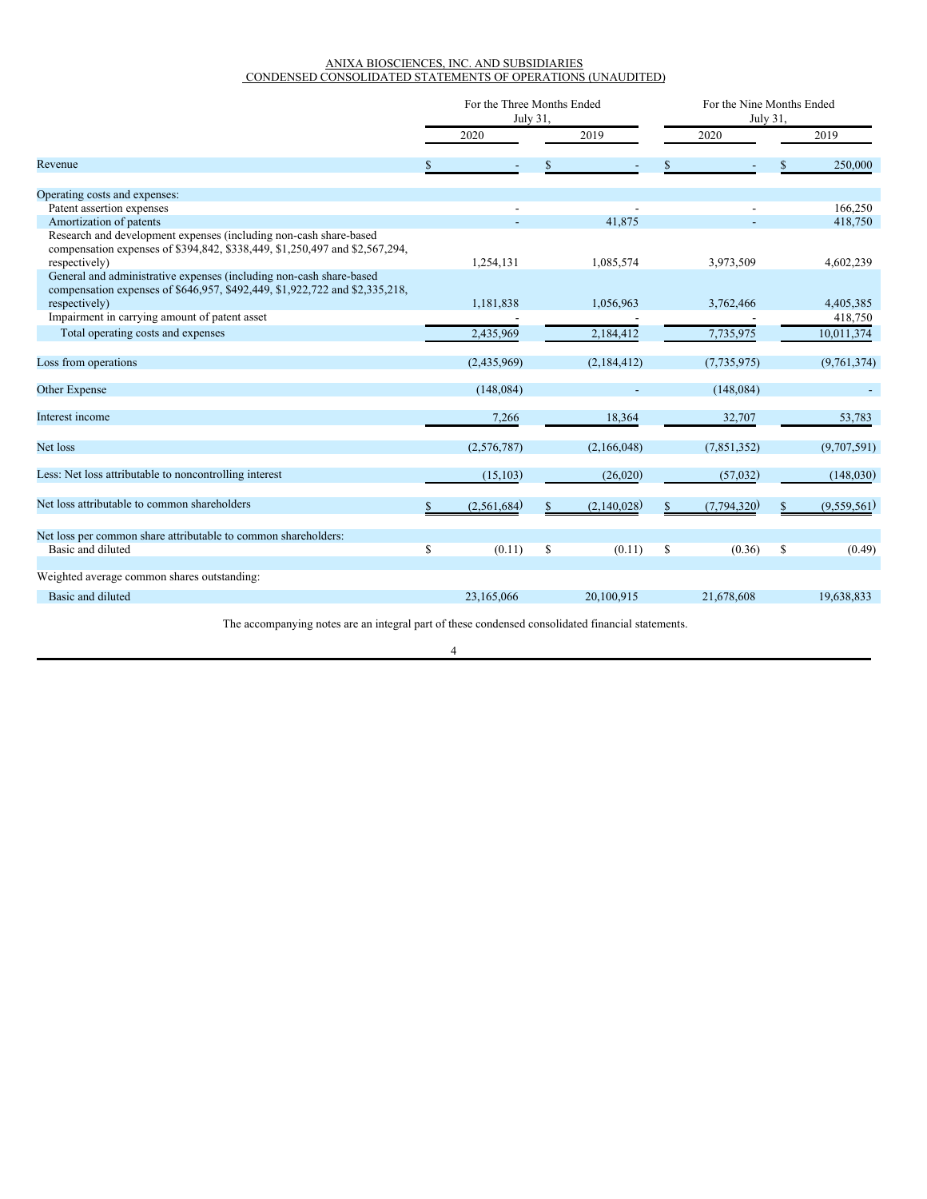# <span id="page-3-0"></span>ANIXA BIOSCIENCES, INC. AND SUBSIDIARIES CONDENSED CONSOLIDATED STATEMENTS OF OPERATIONS (UNAUDITED)

|                                                                                                                                                                   |               | For the Three Months Ended<br>July 31, |                   | For the Nine Months Ended<br>July 31, |               |              |             |  |  |  |  |
|-------------------------------------------------------------------------------------------------------------------------------------------------------------------|---------------|----------------------------------------|-------------------|---------------------------------------|---------------|--------------|-------------|--|--|--|--|
|                                                                                                                                                                   |               | 2020                                   | 2019              |                                       | 2020          |              | 2019        |  |  |  |  |
| Revenue                                                                                                                                                           |               |                                        |                   |                                       |               |              | 250,000     |  |  |  |  |
| Operating costs and expenses:                                                                                                                                     |               |                                        |                   |                                       |               |              |             |  |  |  |  |
| Patent assertion expenses                                                                                                                                         |               |                                        |                   |                                       |               |              | 166,250     |  |  |  |  |
| Amortization of patents                                                                                                                                           |               |                                        | 41,875            |                                       |               |              | 418,750     |  |  |  |  |
| Research and development expenses (including non-cash share-based<br>compensation expenses of \$394,842, \$338,449, \$1,250,497 and \$2,567,294,<br>respectively) |               | 1,254,131                              | 1,085,574         |                                       | 3,973,509     |              | 4,602,239   |  |  |  |  |
| General and administrative expenses (including non-cash share-based<br>compensation expenses of \$646,957, \$492,449, \$1,922,722 and \$2,335,218,                |               |                                        |                   |                                       |               |              |             |  |  |  |  |
| respectively)                                                                                                                                                     |               | 1,181,838                              | 1,056,963         |                                       | 3,762,466     |              | 4,405,385   |  |  |  |  |
| Impairment in carrying amount of patent asset                                                                                                                     |               |                                        |                   |                                       |               |              | 418,750     |  |  |  |  |
| Total operating costs and expenses                                                                                                                                |               | 2,435,969                              | 2,184,412         |                                       | 7,735,975     |              | 10,011,374  |  |  |  |  |
| Loss from operations                                                                                                                                              |               | (2,435,969)                            | (2,184,412)       |                                       | (7, 735, 975) |              | (9,761,374) |  |  |  |  |
| Other Expense                                                                                                                                                     |               | (148,084)                              |                   |                                       | (148,084)     |              |             |  |  |  |  |
| Interest income                                                                                                                                                   |               | 7,266                                  | 18,364            |                                       | 32,707        |              | 53,783      |  |  |  |  |
| Net loss                                                                                                                                                          |               | (2,576,787)                            | (2,166,048)       |                                       | (7,851,352)   |              | (9,707,591) |  |  |  |  |
| Less: Net loss attributable to noncontrolling interest                                                                                                            |               | (15, 103)                              | (26,020)          |                                       | (57, 032)     |              | (148, 030)  |  |  |  |  |
| Net loss attributable to common shareholders                                                                                                                      | <sup>\$</sup> | (2,561,684)                            | \$<br>(2,140,028) | \$                                    | (7, 794, 320) | $\mathbb{S}$ | (9,559,561) |  |  |  |  |
| Net loss per common share attributable to common shareholders:                                                                                                    |               |                                        |                   |                                       |               |              |             |  |  |  |  |
| Basic and diluted                                                                                                                                                 | $\mathbb{S}$  | (0.11)                                 | \$<br>(0.11)      | \$                                    | (0.36)        | \$           | (0.49)      |  |  |  |  |
| Weighted average common shares outstanding:                                                                                                                       |               |                                        |                   |                                       |               |              |             |  |  |  |  |
| Basic and diluted                                                                                                                                                 |               | 23,165,066                             | 20,100,915        |                                       | 21,678,608    |              | 19,638,833  |  |  |  |  |
|                                                                                                                                                                   |               |                                        |                   |                                       |               |              |             |  |  |  |  |

The accompanying notes are an integral part of these condensed consolidated financial statements.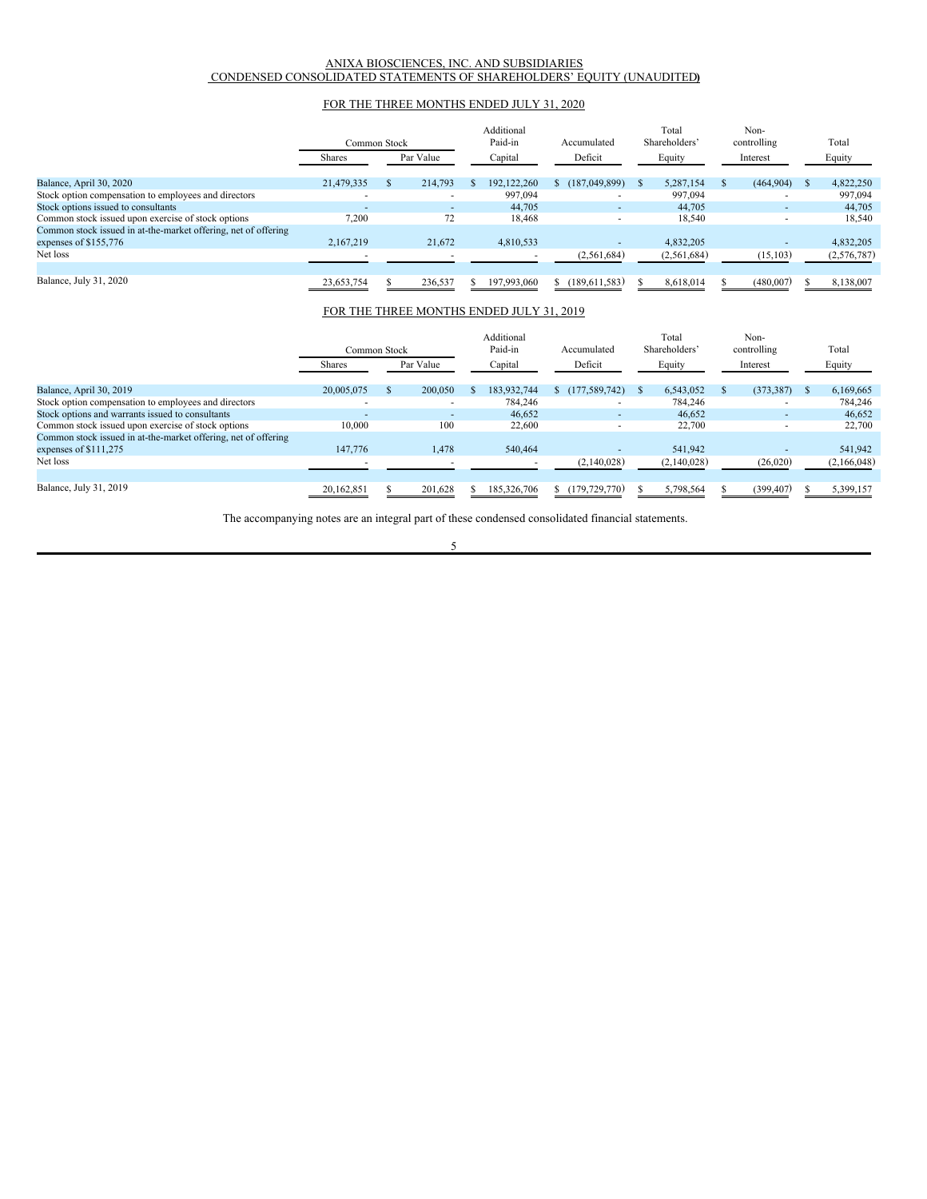## <span id="page-4-0"></span>ANIXA BIOSCIENCES, INC. AND SUBSIDIARIES CONDENSED CONSOLIDATED STATEMENTS OF SHAREHOLDERS' EQUITY (UNAUDITED**)**

# FOR THE THREE MONTHS ENDED JULY 31, 2020

|                                                                |            | Common Stock |         |  | Additional<br>Paid-in | Accumulated                   | Total<br>Shareholders'<br>Equity |             |          | Non-<br>controlling      |    | Total       |
|----------------------------------------------------------------|------------|--------------|---------|--|-----------------------|-------------------------------|----------------------------------|-------------|----------|--------------------------|----|-------------|
|                                                                | Shares     | Par Value    |         |  | Capital<br>Deficit    |                               |                                  |             | Interest |                          |    | Equity      |
| Balance, April 30, 2020                                        | 21,479,335 |              | 214,793 |  | 192,122,260           | (187.049.899)<br>$\mathbf{S}$ | - 8                              | 5.287.154   |          | (464,904)                | -8 | 4,822,250   |
| Stock option compensation to employees and directors           | $\sim$     |              | ۰.      |  | 997,094               |                               |                                  | 997.094     |          |                          |    | 997,094     |
| Stock options issued to consultants                            |            |              |         |  | 44,705                |                               |                                  | 44,705      |          | $\overline{\phantom{a}}$ |    | 44,705      |
| Common stock issued upon exercise of stock options             | 7,200      |              | 72      |  | 18,468                |                               |                                  | 18.540      |          |                          |    | 18,540      |
| Common stock issued in at-the-market offering, net of offering |            |              |         |  |                       |                               |                                  |             |          |                          |    |             |
| expenses of \$155,776                                          | 2.167.219  |              | 21.672  |  | 4.810.533             |                               |                                  | 4,832,205   |          |                          |    | 4,832,205   |
| Net loss                                                       |            |              |         |  |                       | (2,561,684)                   |                                  | (2,561,684) |          | (15, 103)                |    | (2,576,787) |
|                                                                |            |              |         |  |                       |                               |                                  |             |          |                          |    |             |
| Balance, July 31, 2020                                         | 23.653.754 |              | 236,537 |  | 197,993,060           | \$(189,611,583)               |                                  | 8.618.014   |          | (480,007)                |    | 8,138,007   |

# FOR THE THREE MONTHS ENDED JULY 31, 2019

|                                                                |                          | Common Stock |         | Additional<br>Paid-in<br>Capital |               | Accumulated     | Total<br>Shareholders'<br>Deficit<br>Equity |             | Non-<br>controlling<br>Interest |            |        | Total       |
|----------------------------------------------------------------|--------------------------|--------------|---------|----------------------------------|---------------|-----------------|---------------------------------------------|-------------|---------------------------------|------------|--------|-------------|
|                                                                | <b>Shares</b>            | Par Value    |         |                                  |               |                 |                                             |             |                                 |            | Equity |             |
| Balance, April 30, 2019                                        | 20,005,075               |              | 200,050 |                                  | 183,932,744   | (177.589.742)   |                                             | 6.543.052   |                                 | (373, 387) | - \$   | 6.169.665   |
| Stock option compensation to employees and directors           | $\overline{\phantom{a}}$ |              | ۰.      |                                  | 784,246       |                 |                                             | 784.246     |                                 |            |        | 784,246     |
| Stock options and warrants issued to consultants               |                          |              |         |                                  | 46,652        |                 |                                             | 46.652      |                                 |            |        | 46.652      |
| Common stock issued upon exercise of stock options             | 10,000                   |              | 100     |                                  | 22,600        |                 |                                             | 22,700      |                                 |            |        | 22,700      |
| Common stock issued in at-the-market offering, net of offering |                          |              |         |                                  |               |                 |                                             |             |                                 |            |        |             |
| expenses of \$111,275                                          | 147,776                  |              | 1,478   |                                  | 540,464       |                 |                                             | 541.942     |                                 |            |        | 541,942     |
| Net loss                                                       |                          |              |         |                                  |               | (2,140,028)     |                                             | (2,140,028) |                                 | (26,020)   |        | (2,166,048) |
|                                                                |                          |              |         |                                  |               |                 |                                             |             |                                 |            |        |             |
| Balance, July 31, 2019                                         | 20,162,851               |              | 201,628 |                                  | 185, 326, 706 | \$(179.729.770) |                                             | 5,798,564   |                                 | (399, 407) |        | 5,399,157   |

The accompanying notes are an integral part of these condensed consolidated financial statements.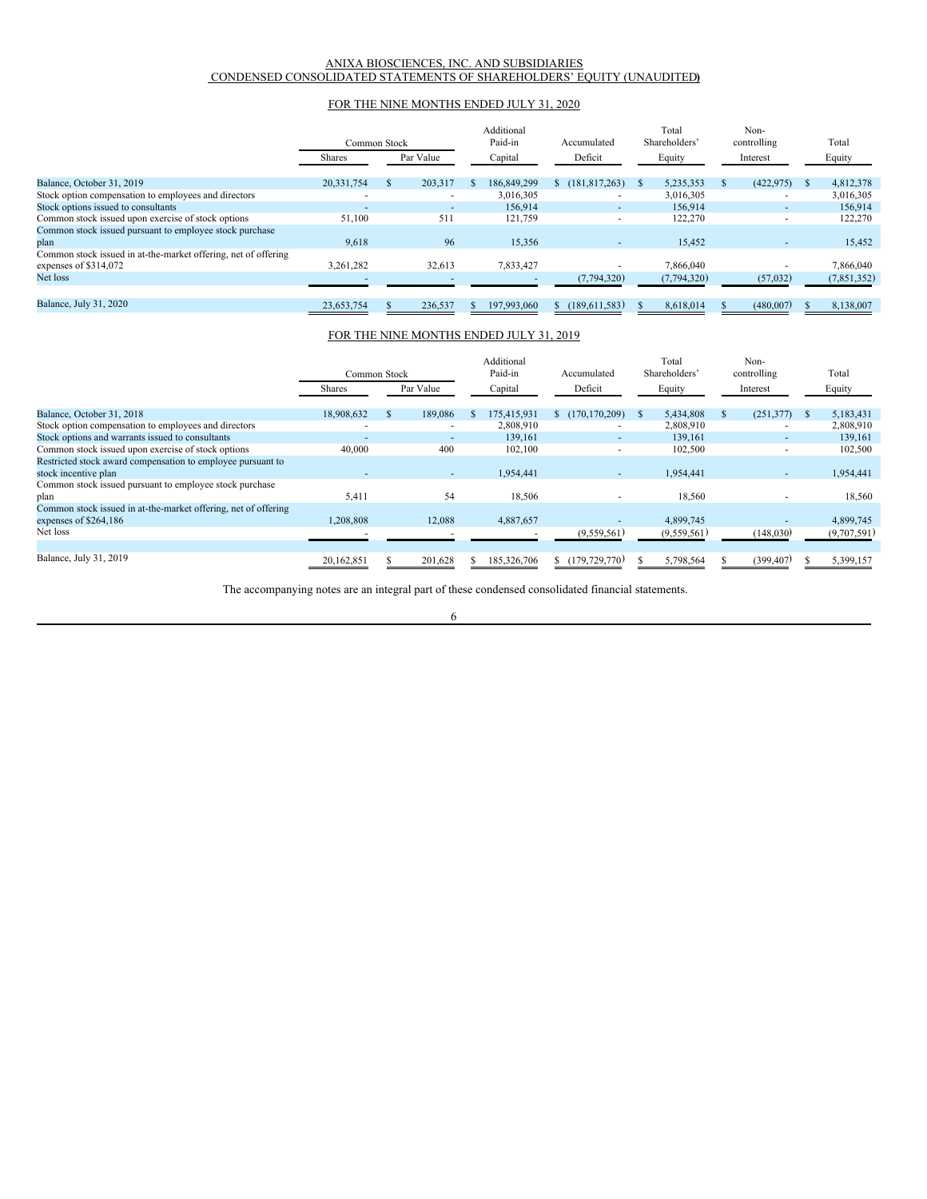## <span id="page-5-0"></span>ANIXA BIOSCIENCES, INC. AND SUBSIDIARIES CONDENSED CONSOLIDATED STATEMENTS OF SHAREHOLDERS' EQUITY (UNAUDITED**)**

# FOR THE NINE MONTHS ENDED JULY 31, 2020

|                                                                                         | Common Stock |  | Additional<br>Paid-in |  | Accumulated |         | Total<br>Shareholders' |        | Non-<br>controlling |          | Total      |             |
|-----------------------------------------------------------------------------------------|--------------|--|-----------------------|--|-------------|---------|------------------------|--------|---------------------|----------|------------|-------------|
|                                                                                         | Shares       |  | Par Value             |  | Capital     | Deficit |                        | Equity |                     | Interest |            | Equity      |
| Balance, October 31, 2019                                                               | 20,331,754   |  | 203,317               |  | 186,849,299 |         | (181, 817, 263)        |        | 5,235,353           |          | (422, 975) | 4,812,378   |
| Stock option compensation to employees and directors                                    |              |  |                       |  | 3,016,305   |         |                        |        | 3,016,305           |          |            | 3,016,305   |
| Stock options issued to consultants                                                     |              |  |                       |  | 156,914     |         | . .                    |        | 156,914             |          |            | 156,914     |
| Common stock issued upon exercise of stock options                                      | 51,100       |  | 511                   |  | 121,759     |         |                        |        | 122,270             |          |            | 122,270     |
| Common stock issued pursuant to employee stock purchase                                 |              |  |                       |  |             |         |                        |        |                     |          |            |             |
| plan                                                                                    | 9,618        |  | 96                    |  | 15,356      |         | <b>COL</b>             |        | 15,452              |          |            | 15,452      |
| Common stock issued in at-the-market offering, net of offering<br>expenses of \$314,072 | 3.261.282    |  | 32,613                |  | 7,833,427   |         |                        |        | 7,866,040           |          |            | 7,866,040   |
| Net loss                                                                                |              |  |                       |  |             |         | (7,794,320)            |        | (7,794,320)         |          | (57,032)   | (7,851,352) |
| Balance, July 31, 2020                                                                  | 23.653.754   |  | 236,537               |  | 197,993,060 |         | (189.611.583)          |        | 8.618.014           |          | (480,007)  | 8.138.007   |

# FOR THE NINE MONTHS ENDED JULY 31, 2019

|                                                                                         | Common Stock  |  |           | Additional<br>Paid-in<br>Accumulated |              | Total<br>Shareholders' |        |             | Non-<br>controlling |                          | Total |             |
|-----------------------------------------------------------------------------------------|---------------|--|-----------|--------------------------------------|--------------|------------------------|--------|-------------|---------------------|--------------------------|-------|-------------|
|                                                                                         | <b>Shares</b> |  | Par Value | Capital                              |              | Deficit                | Equity |             | Interest            |                          |       | Equity      |
| Balance, October 31, 2018                                                               | 18,908,632    |  | 189,086   | 175,415,931                          | $\mathbf{S}$ | (170, 170, 209)        | - S    | 5,434,808   |                     | (251,377)                | -S    | 5,183,431   |
| Stock option compensation to employees and directors                                    | ٠             |  | ۰         | 2,808,910                            |              |                        |        | 2,808,910   |                     |                          |       | 2,808,910   |
| Stock options and warrants issued to consultants                                        |               |  | ۰         | 139,161                              |              | ۰.                     |        | 139.161     |                     |                          |       | 139,161     |
| Common stock issued upon exercise of stock options                                      | 40,000        |  | 400       | 102,100                              |              |                        |        | 102,500     |                     | $\overline{\phantom{a}}$ |       | 102,500     |
| Restricted stock award compensation to employee pursuant to<br>stock incentive plan     |               |  | ۰.        | 1,954,441                            |              | ۰.                     |        | 1,954,441   |                     | ٠                        |       | 1,954,441   |
| Common stock issued pursuant to employee stock purchase<br>plan                         | 5,411         |  | 54        | 18,506                               |              |                        |        | 18,560      |                     |                          |       | 18,560      |
| Common stock issued in at-the-market offering, net of offering<br>expenses of \$264,186 | 1,208,808     |  | 12,088    | 4,887,657                            |              |                        |        | 4,899,745   |                     | $\overline{\phantom{a}}$ |       | 4,899,745   |
| Net loss                                                                                |               |  |           |                                      |              | (9,559,561)            |        | (9,559,561) |                     | (148, 030)               |       | (9,707,591) |
| Balance, July 31, 2019                                                                  | 20.162.851    |  | 201.628   | 185,326,706                          |              | (179, 729, 770)        |        | 5,798,564   |                     | (399, 407)               |       | 5,399,157   |

The accompanying notes are an integral part of these condensed consolidated financial statements.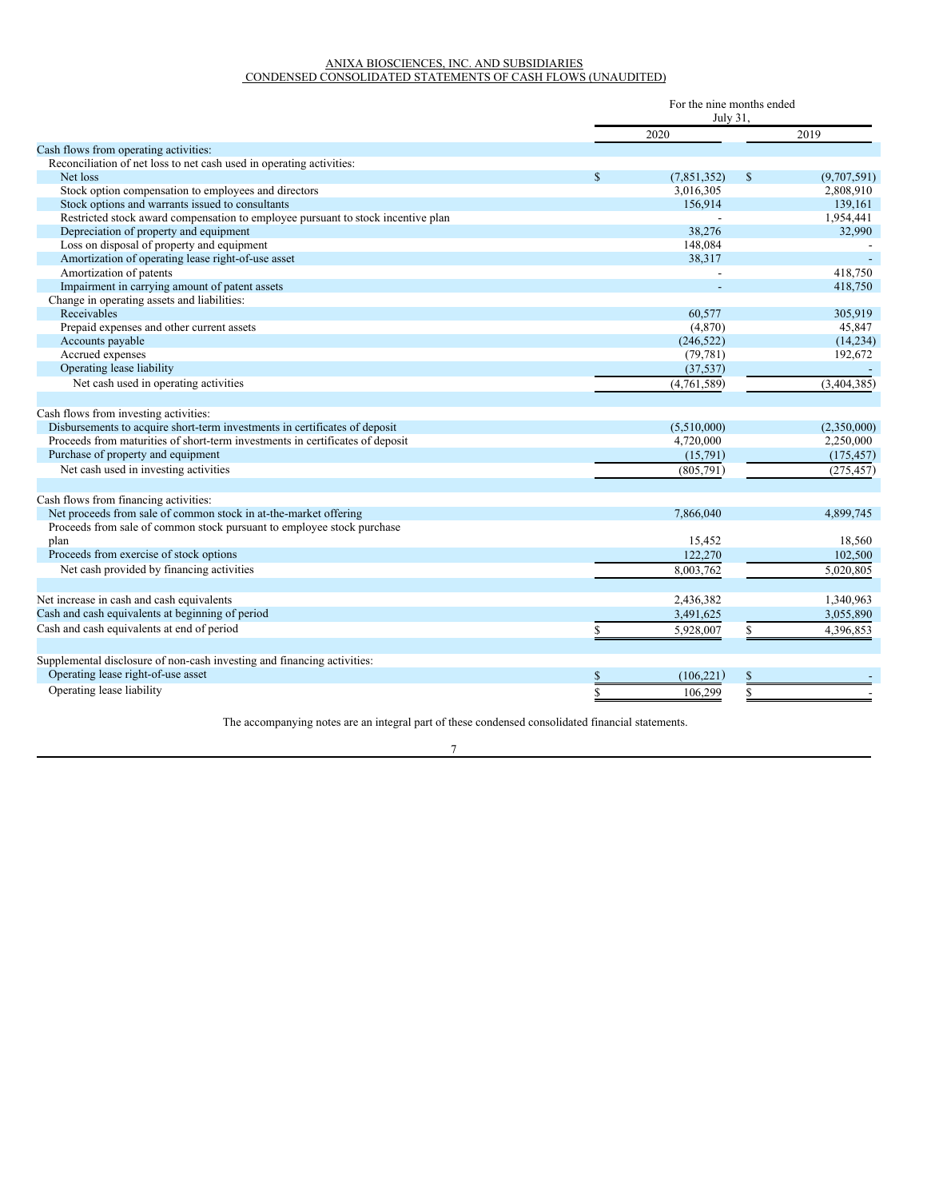## <span id="page-6-0"></span>ANIXA BIOSCIENCES, INC. AND SUBSIDIARIES CONDENSED CONSOLIDATED STATEMENTS OF CASH FLOWS (UNAUDITED)

|                                                                                                           |    | For the nine months ended<br>July 31. |                    |             |
|-----------------------------------------------------------------------------------------------------------|----|---------------------------------------|--------------------|-------------|
|                                                                                                           |    | 2020                                  |                    | 2019        |
| Cash flows from operating activities:                                                                     |    |                                       |                    |             |
| Reconciliation of net loss to net cash used in operating activities:                                      |    |                                       |                    |             |
| Net loss                                                                                                  | \$ | (7,851,352)                           | <sup>\$</sup>      | (9,707,591) |
| Stock option compensation to employees and directors                                                      |    | 3,016,305                             |                    | 2,808,910   |
| Stock options and warrants issued to consultants                                                          |    | 156,914                               |                    | 139,161     |
| Restricted stock award compensation to employee pursuant to stock incentive plan                          |    |                                       |                    | 1,954,441   |
| Depreciation of property and equipment                                                                    |    | 38.276                                |                    | 32,990      |
| Loss on disposal of property and equipment                                                                |    | 148,084                               |                    |             |
| Amortization of operating lease right-of-use asset                                                        |    | 38,317                                |                    |             |
| Amortization of patents                                                                                   |    |                                       |                    | 418,750     |
| Impairment in carrying amount of patent assets                                                            |    |                                       |                    | 418,750     |
| Change in operating assets and liabilities:                                                               |    |                                       |                    |             |
| Receivables                                                                                               |    | 60,577                                |                    | 305.919     |
| Prepaid expenses and other current assets                                                                 |    | (4,870)                               |                    | 45,847      |
| Accounts payable                                                                                          |    | (246, 522)                            |                    | (14, 234)   |
| Accrued expenses                                                                                          |    | (79, 781)                             |                    | 192,672     |
| Operating lease liability                                                                                 |    | (37, 537)                             |                    |             |
| Net cash used in operating activities                                                                     |    | (4,761,589)                           |                    | (3,404,385) |
|                                                                                                           |    |                                       |                    |             |
| Cash flows from investing activities:                                                                     |    |                                       |                    |             |
| Disbursements to acquire short-term investments in certificates of deposit                                |    | (5,510,000)                           |                    | (2,350,000) |
| Proceeds from maturities of short-term investments in certificates of deposit                             |    | 4,720,000                             |                    | 2,250,000   |
| Purchase of property and equipment                                                                        |    | (15,791)                              |                    | (175, 457)  |
| Net cash used in investing activities                                                                     |    | (805,791)                             |                    | (275, 457)  |
|                                                                                                           |    |                                       |                    |             |
| Cash flows from financing activities:<br>Net proceeds from sale of common stock in at-the-market offering |    | 7,866,040                             |                    | 4,899,745   |
| Proceeds from sale of common stock pursuant to employee stock purchase                                    |    |                                       |                    |             |
| plan                                                                                                      |    | 15,452                                |                    | 18.560      |
| Proceeds from exercise of stock options                                                                   |    |                                       |                    |             |
|                                                                                                           |    | 122,270                               |                    | 102,500     |
| Net cash provided by financing activities                                                                 |    | 8.003.762                             |                    | 5,020,805   |
| Net increase in cash and cash equivalents                                                                 |    | 2,436,382                             |                    | 1,340,963   |
| Cash and cash equivalents at beginning of period                                                          |    | 3,491,625                             |                    | 3,055,890   |
| Cash and cash equivalents at end of period                                                                |    | 5,928,007                             |                    | 4,396,853   |
|                                                                                                           |    |                                       |                    |             |
| Supplemental disclosure of non-cash investing and financing activities:                                   |    |                                       |                    |             |
| Operating lease right-of-use asset                                                                        | \$ | (106, 221)                            | \$                 |             |
| Operating lease liability                                                                                 | S  | 106,299                               | $\mathbf{\hat{S}}$ |             |
|                                                                                                           |    |                                       |                    |             |

The accompanying notes are an integral part of these condensed consolidated financial statements.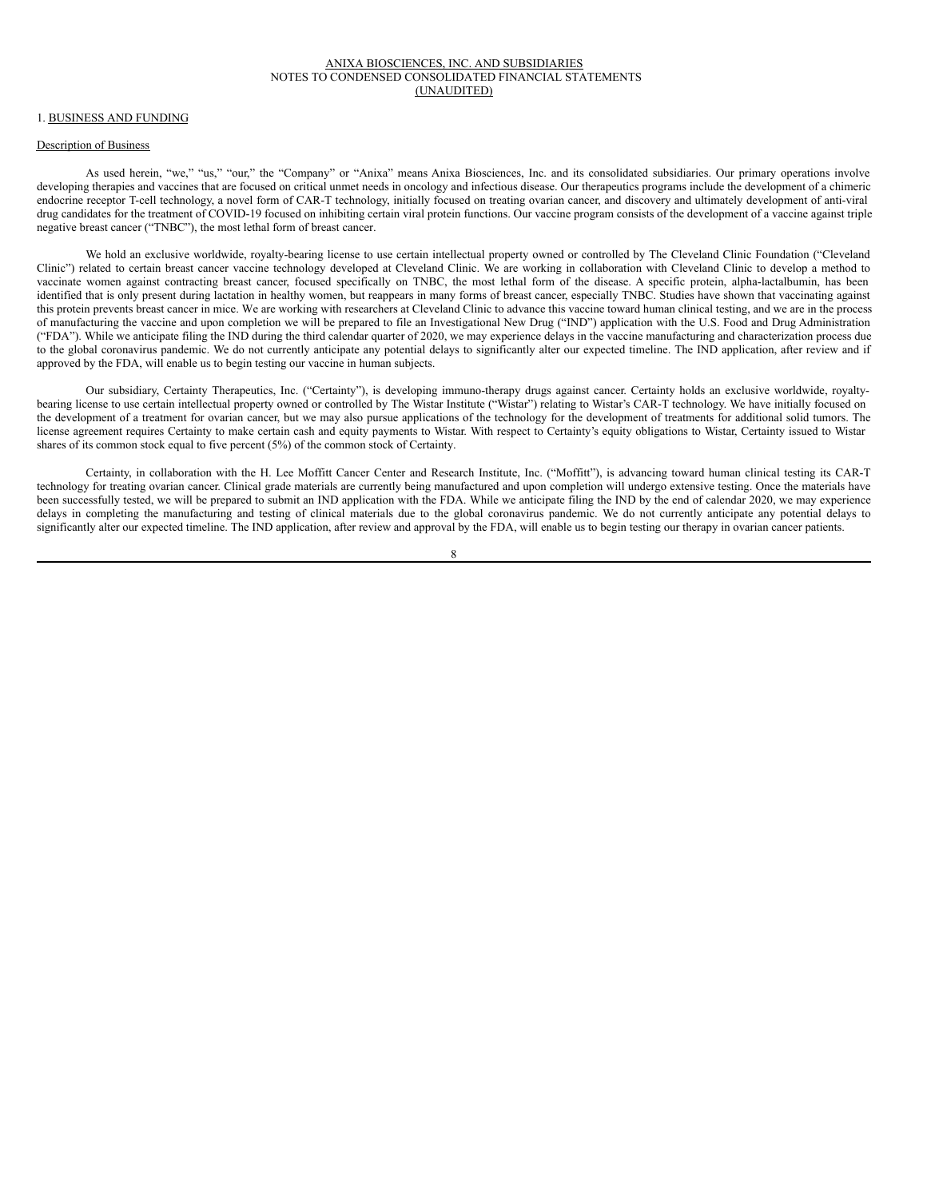#### <span id="page-7-0"></span>ANIXA BIOSCIENCES, INC. AND SUBSIDIARIES NOTES TO CONDENSED CONSOLIDATED FINANCIAL STATEMENTS (UNAUDITED)

#### 1. BUSINESS AND FUNDING

# Description of Business

As used herein, "we," "us," "our," the "Company" or "Anixa" means Anixa Biosciences, Inc. and its consolidated subsidiaries. Our primary operations involve developing therapies and vaccines that are focused on critical unmet needs in oncology and infectious disease. Our therapeutics programs include the development of a chimeric endocrine receptor T-cell technology, a novel form of CAR-T technology, initially focused on treating ovarian cancer, and discovery and ultimately development of anti-viral drug candidates for the treatment of COVID-19 focused on inhibiting certain viral protein functions. Our vaccine program consists of the development of a vaccine against triple negative breast cancer ("TNBC"), the most lethal form of breast cancer.

We hold an exclusive worldwide, royalty-bearing license to use certain intellectual property owned or controlled by The Cleveland Clinic Foundation ("Cleveland Clinic") related to certain breast cancer vaccine technology developed at Cleveland Clinic. We are working in collaboration with Cleveland Clinic to develop a method to vaccinate women against contracting breast cancer, focused specifically on TNBC, the most lethal form of the disease. A specific protein, alpha-lactalbumin, has been identified that is only present during lactation in healthy women, but reappears in many forms of breast cancer, especially TNBC. Studies have shown that vaccinating against this protein prevents breast cancer in mice. We are working with researchers at Cleveland Clinic to advance this vaccine toward human clinical testing, and we are in the process of manufacturing the vaccine and upon completion we will be prepared to file an Investigational New Drug ("IND") application with the U.S. Food and Drug Administration ("FDA"). While we anticipate filing the IND during the third calendar quarter of 2020, we may experience delays in the vaccine manufacturing and characterization process due to the global coronavirus pandemic. We do not currently anticipate any potential delays to significantly alter our expected timeline. The IND application, after review and if approved by the FDA, will enable us to begin testing our vaccine in human subjects.

Our subsidiary, Certainty Therapeutics, Inc. ("Certainty"), is developing immuno-therapy drugs against cancer. Certainty holds an exclusive worldwide, royaltybearing license to use certain intellectual property owned or controlled by The Wistar Institute ("Wistar") relating to Wistar's CAR-T technology. We have initially focused on the development of a treatment for ovarian cancer, but we may also pursue applications of the technology for the development of treatments for additional solid tumors. The license agreement requires Certainty to make certain cash and equity payments to Wistar. With respect to Certainty's equity obligations to Wistar, Certainty issued to Wistar shares of its common stock equal to five percent (5%) of the common stock of Certainty.

Certainty, in collaboration with the H. Lee Moffitt Cancer Center and Research Institute, Inc. ("Moffitt"), is advancing toward human clinical testing its CAR-T technology for treating ovarian cancer. Clinical grade materials are currently being manufactured and upon completion will undergo extensive testing. Once the materials have been successfully tested, we will be prepared to submit an IND application with the FDA. While we anticipate filing the IND by the end of calendar 2020, we may experience delays in completing the manufacturing and testing of clinical materials due to the global coronavirus pandemic. We do not currently anticipate any potential delays to significantly alter our expected timeline. The IND application, after review and approval by the FDA, will enable us to begin testing our therapy in ovarian cancer patients.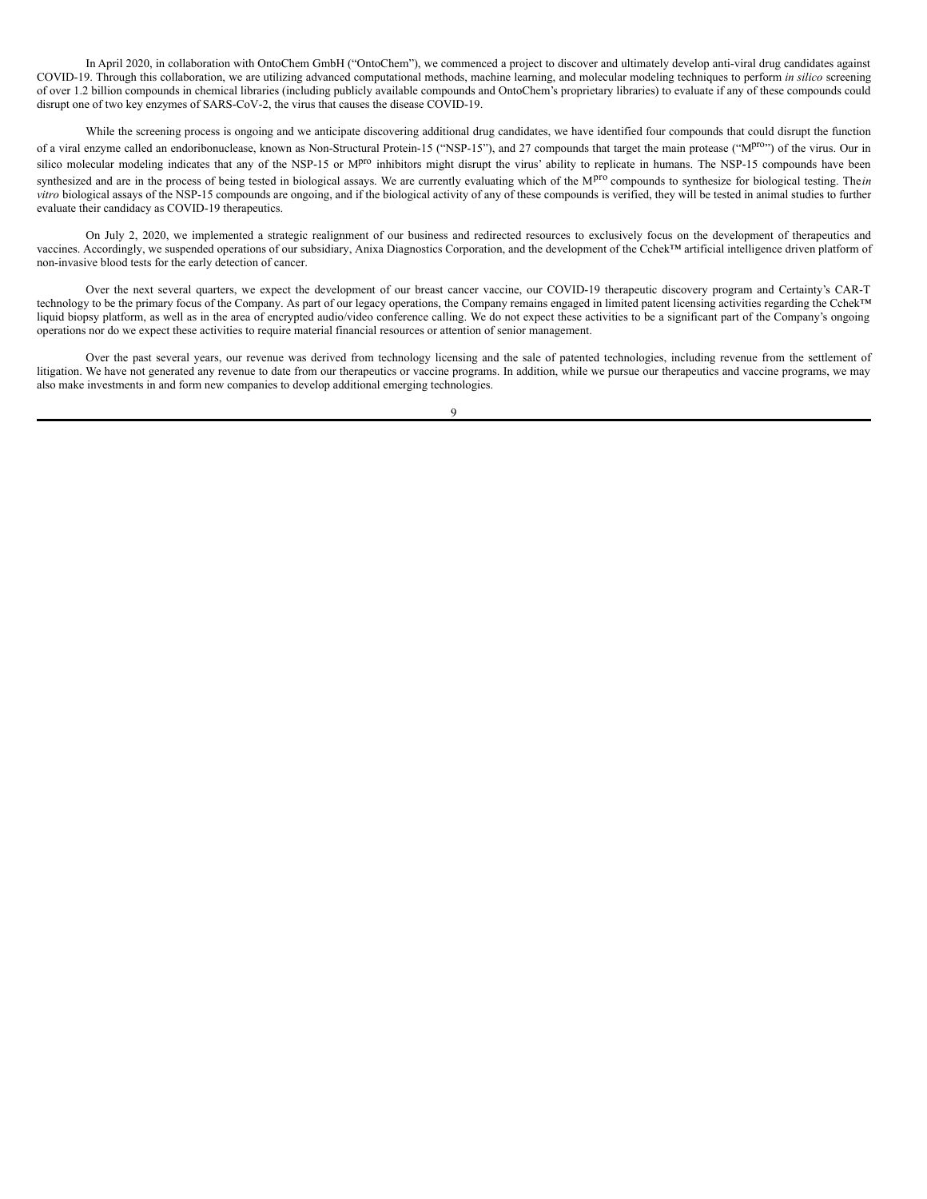In April 2020, in collaboration with OntoChem GmbH ("OntoChem"), we commenced a project to discover and ultimately develop anti-viral drug candidates against COVID-19. Through this collaboration, we are utilizing advanced computational methods, machine learning, and molecular modeling techniques to perform *in silico* screening of over 1.2 billion compounds in chemical libraries (including publicly available compounds and OntoChem's proprietary libraries) to evaluate if any of these compounds could disrupt one of two key enzymes of SARS-CoV-2, the virus that causes the disease COVID-19.

While the screening process is ongoing and we anticipate discovering additional drug candidates, we have identified four compounds that could disrupt the function of a viral enzyme called an endoribonuclease, known as Non-Structural Protein-15 ("NSP-15"), and 27 compounds that target the main protease ("M<sup>pro</sup>") of the virus. Our in silico molecular modeling indicates that any of the NSP-15 or M<sup>pro</sup> inhibitors might disrupt the virus' ability to replicate in humans. The NSP-15 compounds have been synthesized and are in the process of being tested in biological assays. We are currently evaluating which of the M<sup>pro</sup> compounds to synthesize for biological testing. Thein *vitro* biological assays of the NSP-15 compounds are ongoing, and if the biological activity of any of these compounds is verified, they will be tested in animal studies to further evaluate their candidacy as COVID-19 therapeutics.

On July 2, 2020, we implemented a strategic realignment of our business and redirected resources to exclusively focus on the development of therapeutics and vaccines. Accordingly, we suspended operations of our subsidiary, Anixa Diagnostics Corporation, and the development of the Cchek™ artificial intelligence driven platform of non-invasive blood tests for the early detection of cancer.

Over the next several quarters, we expect the development of our breast cancer vaccine, our COVID-19 therapeutic discovery program and Certainty's CAR-T technology to be the primary focus of the Company. As part of our legacy operations, the Company remains engaged in limited patent licensing activities regarding the Cchek™ liquid biopsy platform, as well as in the area of encrypted audio/video conference calling. We do not expect these activities to be a significant part of the Company's ongoing operations nor do we expect these activities to require material financial resources or attention of senior management.

Over the past several years, our revenue was derived from technology licensing and the sale of patented technologies, including revenue from the settlement of litigation. We have not generated any revenue to date from our therapeutics or vaccine programs. In addition, while we pursue our therapeutics and vaccine programs, we may also make investments in and form new companies to develop additional emerging technologies.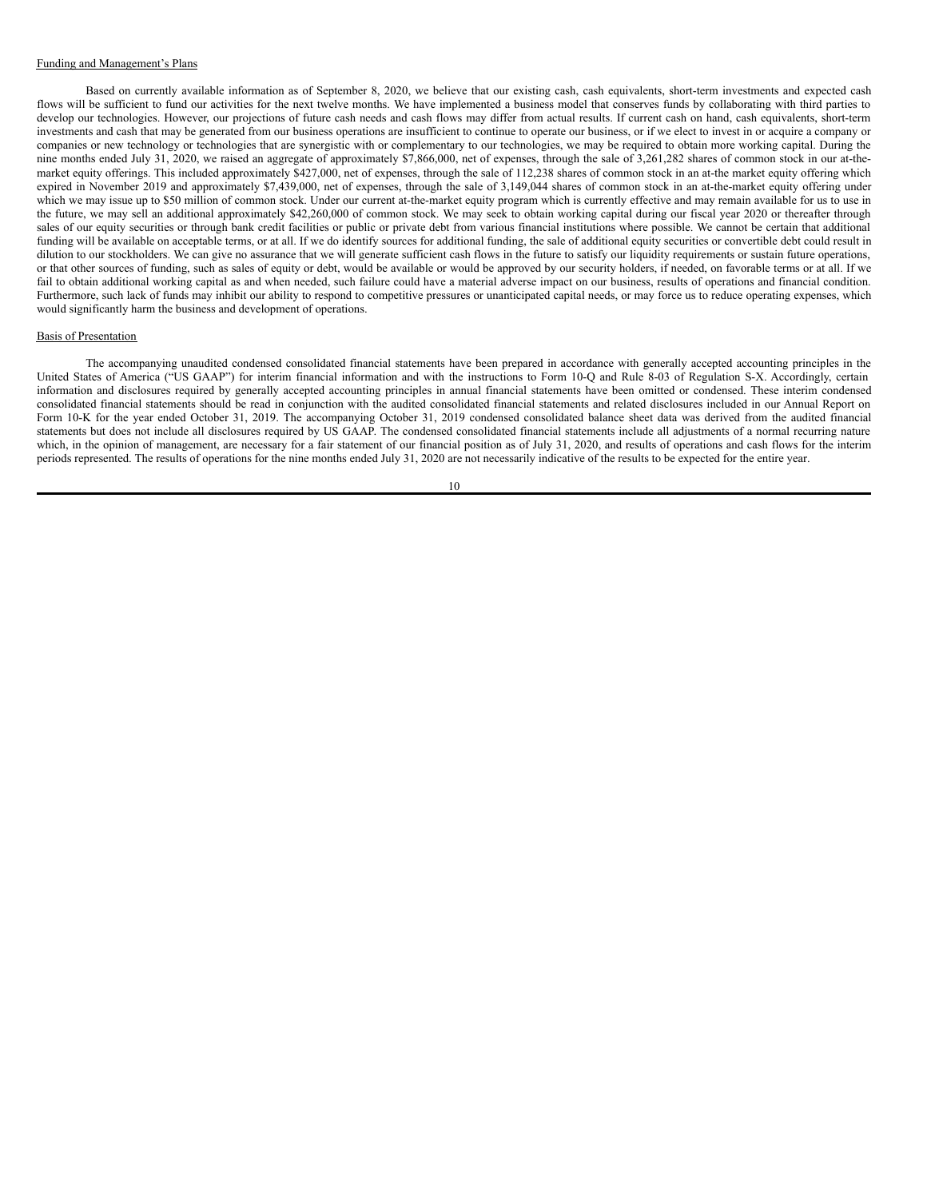#### Funding and Management's Plans

Based on currently available information as of September 8, 2020, we believe that our existing cash, cash equivalents, short-term investments and expected cash flows will be sufficient to fund our activities for the next twelve months. We have implemented a business model that conserves funds by collaborating with third parties to develop our technologies. However, our projections of future cash needs and cash flows may differ from actual results. If current cash on hand, cash equivalents, short-term investments and cash that may be generated from our business operations are insufficient to continue to operate our business, or if we elect to invest in or acquire a company or companies or new technology or technologies that are synergistic with or complementary to our technologies, we may be required to obtain more working capital. During the nine months ended July 31, 2020, we raised an aggregate of approximately \$7,866,000, net of expenses, through the sale of 3,261,282 shares of common stock in our at-themarket equity offerings. This included approximately \$427,000, net of expenses, through the sale of 112,238 shares of common stock in an at-the market equity offering which expired in November 2019 and approximately \$7,439,000, net of expenses, through the sale of 3,149,044 shares of common stock in an at-the-market equity offering under which we may issue up to \$50 million of common stock. Under our current at-the-market equity program which is currently effective and may remain available for us to use in the future, we may sell an additional approximately \$42,260,000 of common stock. We may seek to obtain working capital during our fiscal year 2020 or thereafter through sales of our equity securities or through bank credit facilities or public or private debt from various financial institutions where possible. We cannot be certain that additional funding will be available on acceptable terms, or at all. If we do identify sources for additional funding, the sale of additional equity securities or convertible debt could result in dilution to our stockholders. We can give no assurance that we will generate sufficient cash flows in the future to satisfy our liquidity requirements or sustain future operations, or that other sources of funding, such as sales of equity or debt, would be available or would be approved by our security holders, if needed, on favorable terms or at all. If we fail to obtain additional working capital as and when needed, such failure could have a material adverse impact on our business, results of operations and financial condition. Furthermore, such lack of funds may inhibit our ability to respond to competitive pressures or unanticipated capital needs, or may force us to reduce operating expenses, which would significantly harm the business and development of operations.

#### Basis of Presentation

The accompanying unaudited condensed consolidated financial statements have been prepared in accordance with generally accepted accounting principles in the United States of America ("US GAAP") for interim financial information and with the instructions to Form 10-Q and Rule 8-03 of Regulation S-X. Accordingly, certain information and disclosures required by generally accepted accounting principles in annual financial statements have been omitted or condensed. These interim condensed consolidated financial statements should be read in conjunction with the audited consolidated financial statements and related disclosures included in our Annual Report on Form 10-K for the year ended October 31, 2019. The accompanying October 31, 2019 condensed consolidated balance sheet data was derived from the audited financial statements but does not include all disclosures required by US GAAP. The condensed consolidated financial statements include all adjustments of a normal recurring nature which, in the opinion of management, are necessary for a fair statement of our financial position as of July 31, 2020, and results of operations and cash flows for the interim periods represented. The results of operations for the nine months ended July 31, 2020 are not necessarily indicative of the results to be expected for the entire year.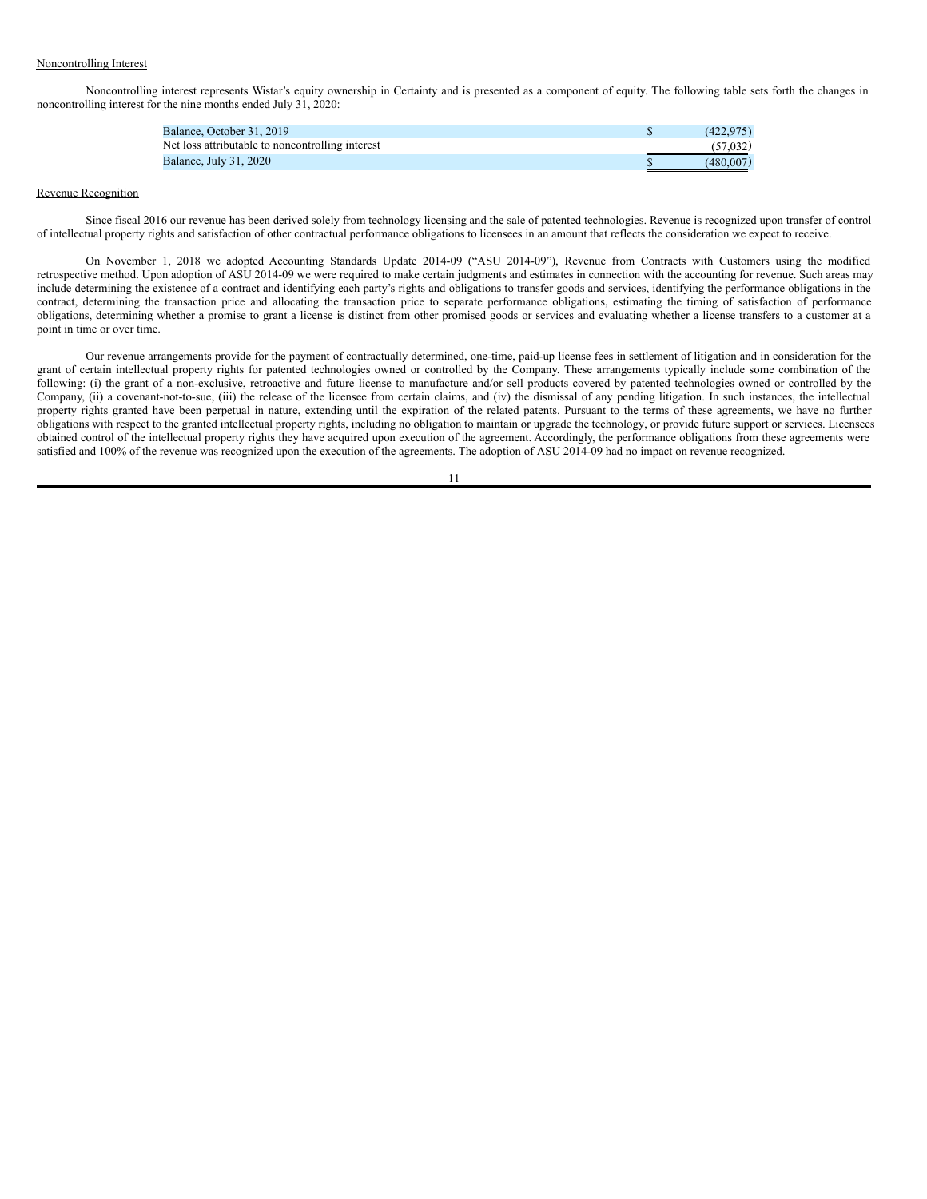#### Noncontrolling Interest

Noncontrolling interest represents Wistar's equity ownership in Certainty and is presented as a component of equity. The following table sets forth the changes in noncontrolling interest for the nine months ended July 31, 2020:

| Balance, October 31, 2019                        | (422.975) |
|--------------------------------------------------|-----------|
| Net loss attributable to noncontrolling interest | (57.032)  |
| Balance, July 31, 2020                           | (480.007) |

# Revenue Recognition

Since fiscal 2016 our revenue has been derived solely from technology licensing and the sale of patented technologies. Revenue is recognized upon transfer of control of intellectual property rights and satisfaction of other contractual performance obligations to licensees in an amount that reflects the consideration we expect to receive.

On November 1, 2018 we adopted Accounting Standards Update 2014-09 ("ASU 2014-09"), Revenue from Contracts with Customers using the modified retrospective method. Upon adoption of ASU 2014-09 we were required to make certain judgments and estimates in connection with the accounting for revenue. Such areas may include determining the existence of a contract and identifying each party's rights and obligations to transfer goods and services, identifying the performance obligations in the contract, determining the transaction price and allocating the transaction price to separate performance obligations, estimating the timing of satisfaction of performance obligations, determining whether a promise to grant a license is distinct from other promised goods or services and evaluating whether a license transfers to a customer at a point in time or over time.

Our revenue arrangements provide for the payment of contractually determined, one-time, paid-up license fees in settlement of litigation and in consideration for the grant of certain intellectual property rights for patented technologies owned or controlled by the Company. These arrangements typically include some combination of the following: (i) the grant of a non-exclusive, retroactive and future license to manufacture and/or sell products covered by patented technologies owned or controlled by the Company, (ii) a covenant-not-to-sue, (iii) the release of the licensee from certain claims, and (iv) the dismissal of any pending litigation. In such instances, the intellectual property rights granted have been perpetual in nature, extending until the expiration of the related patents. Pursuant to the terms of these agreements, we have no further obligations with respect to the granted intellectual property rights, including no obligation to maintain or upgrade the technology, or provide future support or services. Licensees obtained control of the intellectual property rights they have acquired upon execution of the agreement. Accordingly, the performance obligations from these agreements were satisfied and 100% of the revenue was recognized upon the execution of the agreements. The adoption of ASU 2014-09 had no impact on revenue recognized.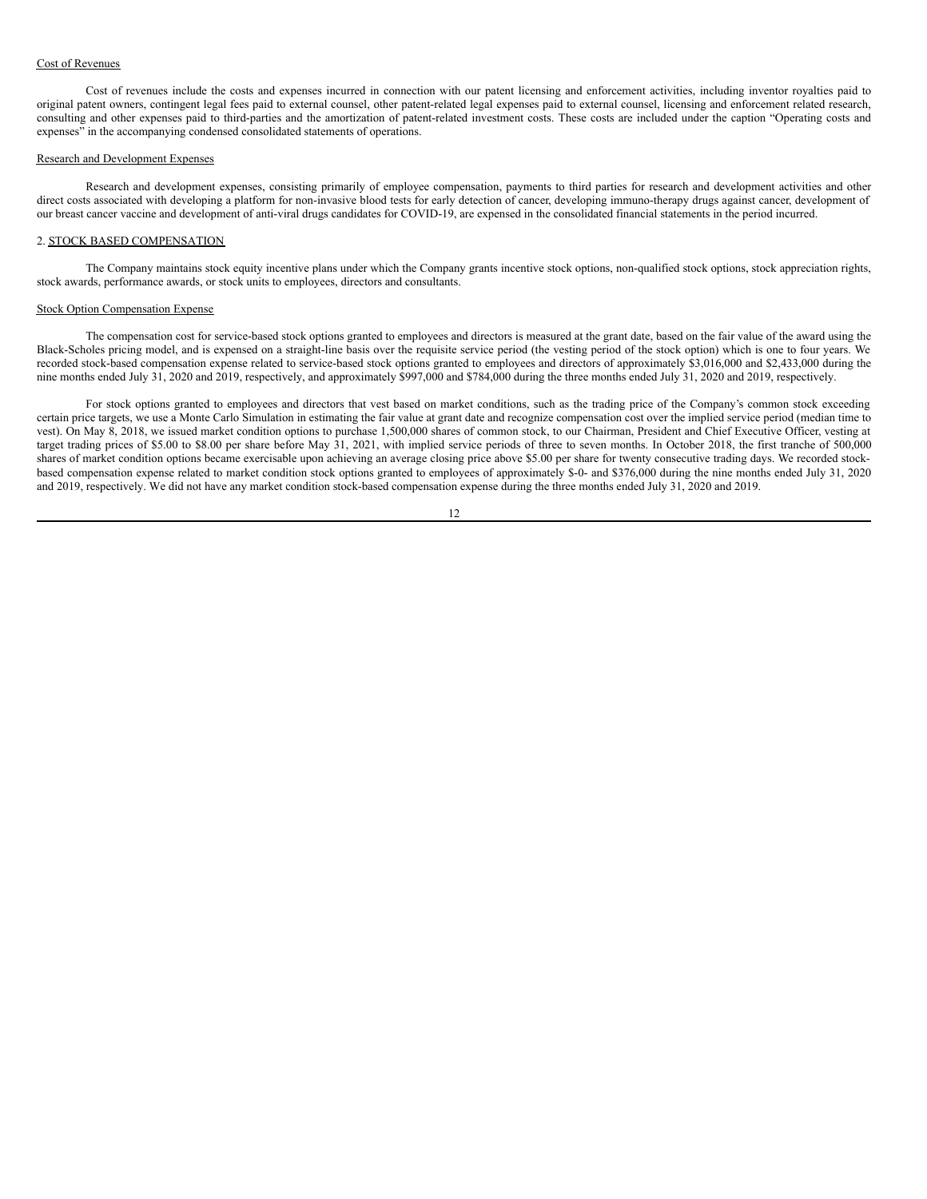#### Cost of Revenues

Cost of revenues include the costs and expenses incurred in connection with our patent licensing and enforcement activities, including inventor royalties paid to original patent owners, contingent legal fees paid to external counsel, other patent-related legal expenses paid to external counsel, licensing and enforcement related research, consulting and other expenses paid to third-parties and the amortization of patent-related investment costs. These costs are included under the caption "Operating costs and expenses" in the accompanying condensed consolidated statements of operations.

#### Research and Development Expenses

Research and development expenses, consisting primarily of employee compensation, payments to third parties for research and development activities and other direct costs associated with developing a platform for non-invasive blood tests for early detection of cancer, developing immuno-therapy drugs against cancer, development of our breast cancer vaccine and development of anti-viral drugs candidates for COVID-19, are expensed in the consolidated financial statements in the period incurred.

# 2. STOCK BASED COMPENSATION

The Company maintains stock equity incentive plans under which the Company grants incentive stock options, non-qualified stock options, stock appreciation rights, stock awards, performance awards, or stock units to employees, directors and consultants.

## Stock Option Compensation Expense

The compensation cost for service-based stock options granted to employees and directors is measured at the grant date, based on the fair value of the award using the Black-Scholes pricing model, and is expensed on a straight-line basis over the requisite service period (the vesting period of the stock option) which is one to four years. We recorded stock-based compensation expense related to service-based stock options granted to employees and directors of approximately \$3,016,000 and \$2,433,000 during the nine months ended July 31, 2020 and 2019, respectively, and approximately \$997,000 and \$784,000 during the three months ended July 31, 2020 and 2019, respectively.

For stock options granted to employees and directors that vest based on market conditions, such as the trading price of the Company's common stock exceeding certain price targets, we use a Monte Carlo Simulation in estimating the fair value at grant date and recognize compensation cost over the implied service period (median time to vest). On May 8, 2018, we issued market condition options to purchase 1,500,000 shares of common stock, to our Chairman, President and Chief Executive Officer, vesting at target trading prices of \$5.00 to \$8.00 per share before May 31, 2021, with implied service periods of three to seven months. In October 2018, the first tranche of 500,000 shares of market condition options became exercisable upon achieving an average closing price above \$5.00 per share for twenty consecutive trading days. We recorded stockbased compensation expense related to market condition stock options granted to employees of approximately \$-0- and \$376,000 during the nine months ended July 31, 2020 and 2019, respectively. We did not have any market condition stock-based compensation expense during the three months ended July 31, 2020 and 2019.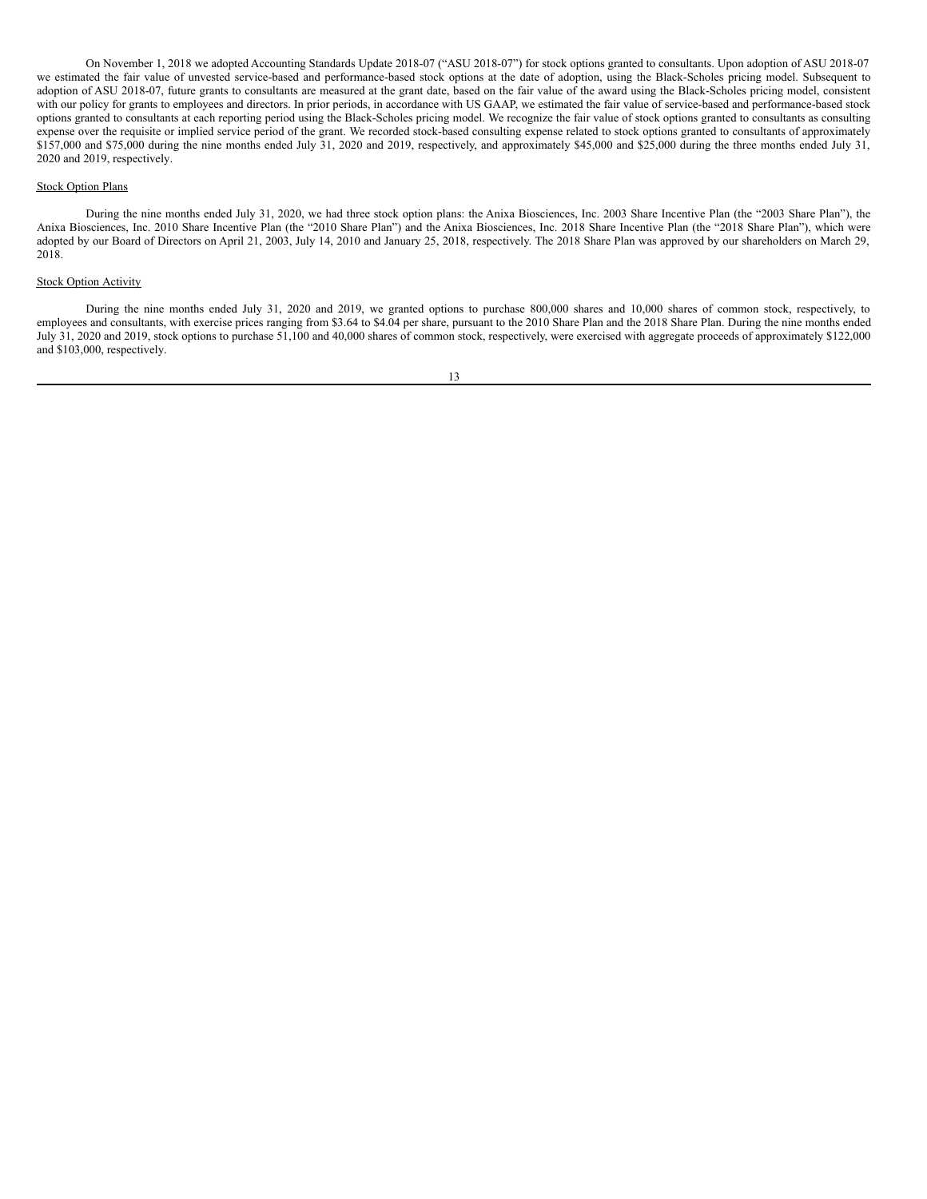On November 1, 2018 we adopted Accounting Standards Update 2018-07 ("ASU 2018-07") for stock options granted to consultants. Upon adoption of ASU 2018-07 we estimated the fair value of unvested service-based and performance-based stock options at the date of adoption, using the Black-Scholes pricing model. Subsequent to adoption of ASU 2018-07, future grants to consultants are measured at the grant date, based on the fair value of the award using the Black-Scholes pricing model, consistent with our policy for grants to employees and directors. In prior periods, in accordance with US GAAP, we estimated the fair value of service-based and performance-based stock options granted to consultants at each reporting period using the Black-Scholes pricing model. We recognize the fair value of stock options granted to consultants as consulting expense over the requisite or implied service period of the grant. We recorded stock-based consulting expense related to stock options granted to consultants of approximately \$157,000 and \$75,000 during the nine months ended July 31, 2020 and 2019, respectively, and approximately \$45,000 and \$25,000 during the three months ended July 31, 2020 and 2019, respectively.

# Stock Option Plans

During the nine months ended July 31, 2020, we had three stock option plans: the Anixa Biosciences, Inc. 2003 Share Incentive Plan (the "2003 Share Plan"), the Anixa Biosciences, Inc. 2010 Share Incentive Plan (the "2010 Share Plan") and the Anixa Biosciences, Inc. 2018 Share Incentive Plan (the "2018 Share Plan"), which were adopted by our Board of Directors on April 21, 2003, July 14, 2010 and January 25, 2018, respectively. The 2018 Share Plan was approved by our shareholders on March 29, 2018.

## Stock Option Activity

During the nine months ended July 31, 2020 and 2019, we granted options to purchase 800,000 shares and 10,000 shares of common stock, respectively, to employees and consultants, with exercise prices ranging from \$3.64 to \$4.04 per share, pursuant to the 2010 Share Plan and the 2018 Share Plan. During the nine months ended July 31, 2020 and 2019, stock options to purchase 51,100 and 40,000 shares of common stock, respectively, were exercised with aggregate proceeds of approximately \$122,000 and \$103,000, respectively.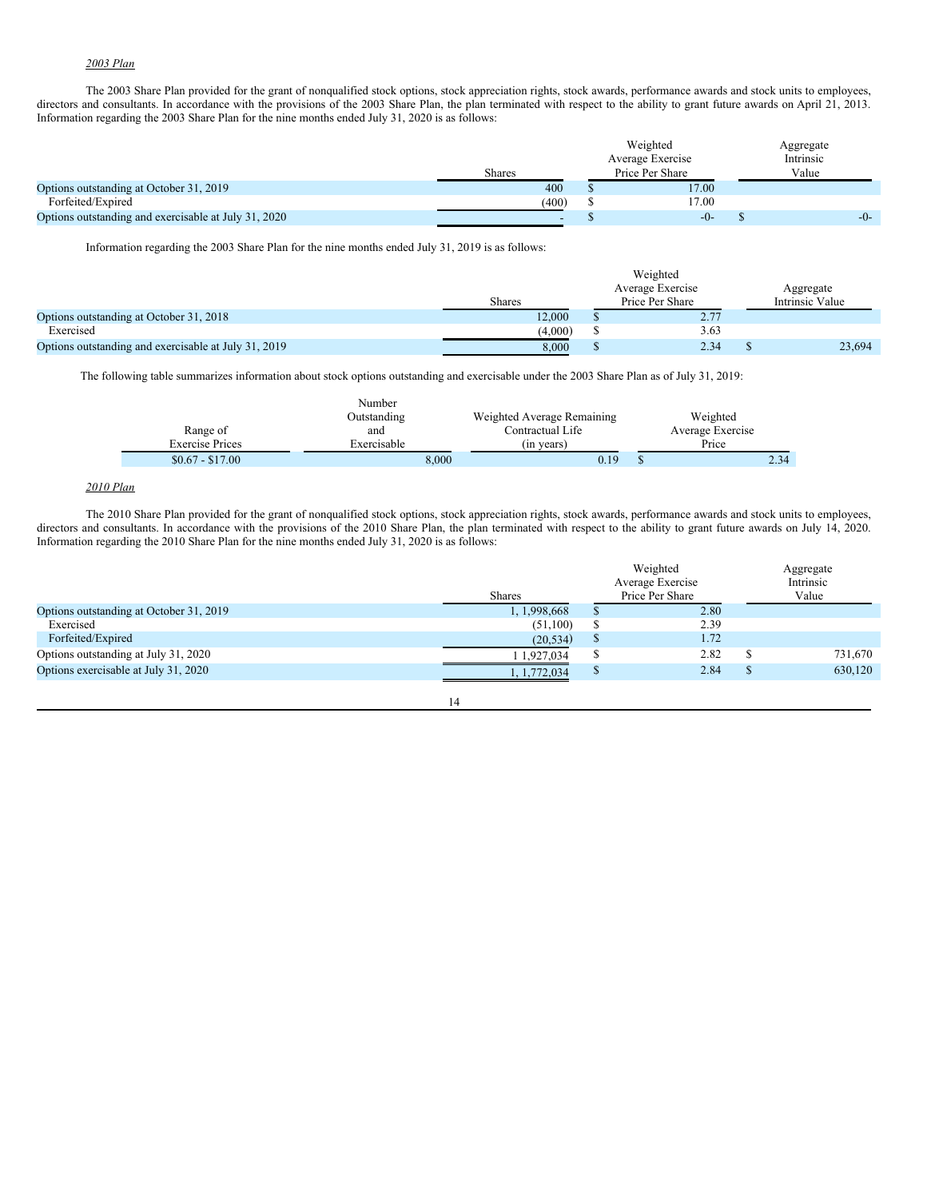## *2003 Plan*

The 2003 Share Plan provided for the grant of nonqualified stock options, stock appreciation rights, stock awards, performance awards and stock units to employees, directors and consultants. In accordance with the provisions of the 2003 Share Plan, the plan terminated with respect to the ability to grant future awards on April 21, 2013. Information regarding the 2003 Share Plan for the nine months ended July 31, 2020 is as follows:

|                                                      |               | Weighted         | Aggregate |       |
|------------------------------------------------------|---------------|------------------|-----------|-------|
|                                                      |               | Average Exercise | Intrinsic |       |
|                                                      | <b>Shares</b> | Price Per Share  | Value     |       |
| Options outstanding at October 31, 2019              | 400           | 17.00            |           |       |
| Forfeited/Expired                                    | (400)         | 17.00            |           |       |
| Options outstanding and exercisable at July 31, 2020 | $\sim$        | $-0-$            |           | $-0-$ |

Information regarding the 2003 Share Plan for the nine months ended July 31, 2019 is as follows:

|                                                      |         |                                     | Weighted |  |                              |
|------------------------------------------------------|---------|-------------------------------------|----------|--|------------------------------|
|                                                      | Shares  | Average Exercise<br>Price Per Share |          |  | Aggregate<br>Intrinsic Value |
| Options outstanding at October 31, 2018              | 12.000  |                                     | 2.77     |  |                              |
| Exercised                                            | (4.000) |                                     | 3.63     |  |                              |
| Options outstanding and exercisable at July 31, 2019 | 8.000   |                                     | 2.34     |  | 23.694                       |

The following table summarizes information about stock options outstanding and exercisable under the 2003 Share Plan as of July 31, 2019:

|                  | Number      |                            |                  |      |
|------------------|-------------|----------------------------|------------------|------|
|                  | Outstanding | Weighted Average Remaining | Weighted         |      |
| Range of         | and         | Contractual Life           | Average Exercise |      |
| Exercise Prices  | Exercisable | (in vears)                 | Price            |      |
| $$0.67 - $17.00$ | 8.000       | 0.19                       |                  | 2.34 |

## *2010 Plan*

The 2010 Share Plan provided for the grant of nonqualified stock options, stock appreciation rights, stock awards, performance awards and stock units to employees, directors and consultants. In accordance with the provisions of the 2010 Share Plan, the plan terminated with respect to the ability to grant future awards on July 14, 2020. Information regarding the 2010 Share Plan for the nine months ended July 31, 2020 is as follows:

|                                         | <b>Shares</b> | Weighted<br>Average Exercise<br>Price Per Share | Aggregate<br>Intrinsic<br>Value |
|-----------------------------------------|---------------|-------------------------------------------------|---------------------------------|
| Options outstanding at October 31, 2019 | 1, 1,998,668  | 2.80                                            |                                 |
| Exercised                               | (51,100)      | 2.39                                            |                                 |
| Forfeited/Expired                       | (20, 534)     | 1.72                                            |                                 |
| Options outstanding at July 31, 2020    | 1 1.927.034   | 2.82                                            | 731,670                         |
| Options exercisable at July 31, 2020    | 1, 1,772,034  | 2.84                                            | 630,120                         |
|                                         |               |                                                 |                                 |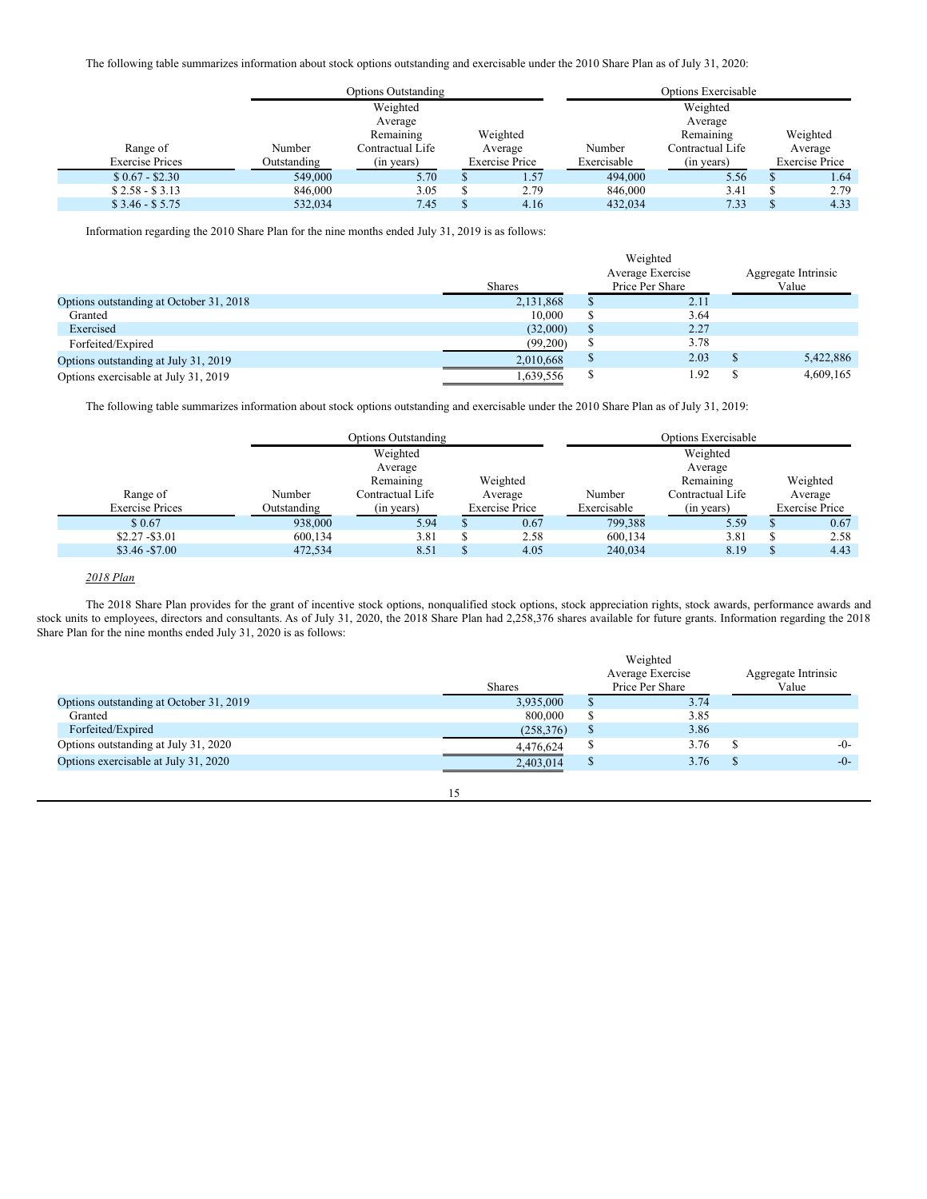The following table summarizes information about stock options outstanding and exercisable under the 2010 Share Plan as of July 31, 2020:

|                        |             | <b>Options Outstanding</b> |                       |      | Options Exercisable |                  |             |            |                       |
|------------------------|-------------|----------------------------|-----------------------|------|---------------------|------------------|-------------|------------|-----------------------|
|                        |             | Weighted                   |                       |      |                     | Weighted         |             |            |                       |
|                        |             | Average                    |                       |      |                     | Average          |             |            |                       |
|                        |             | Remaining                  | Weighted              |      |                     | Remaining        | Weighted    |            |                       |
| Range of               | Number      | Contractual Life           | Average               |      | Number              | Contractual Life | Average     |            |                       |
| <b>Exercise Prices</b> | Outstanding | (in years)                 | <b>Exercise Price</b> |      |                     |                  | Exercisable | (in years) | <b>Exercise Price</b> |
| $$0.67 - $2.30$        | 549,000     | 5.70                       |                       | 1.57 | 494,000             | 5.56             | 1.64        |            |                       |
| $$2.58 - $3.13$        | 846,000     | 3.05                       |                       | 2.79 | 846,000             | 3.41             | 2.79        |            |                       |
| $$3.46 - $5.75$        | 532.034     | 7.45                       |                       | 4.16 | 432.034             | 7.33             | 4.33        |            |                       |

Information regarding the 2010 Share Plan for the nine months ended July 31, 2019 is as follows:

|                                         | Weighted                         |    |       |                     |           |  |  |
|-----------------------------------------|----------------------------------|----|-------|---------------------|-----------|--|--|
|                                         | Average Exercise                 |    |       | Aggregate Intrinsic |           |  |  |
|                                         | Price Per Share<br><b>Shares</b> |    | Value |                     |           |  |  |
| Options outstanding at October 31, 2018 | 2,131,868                        |    | 2.11  |                     |           |  |  |
| Granted                                 | 10.000                           |    | 3.64  |                     |           |  |  |
| Exercised                               | (32,000)                         | S  | 2.27  |                     |           |  |  |
| Forfeited/Expired                       | (99,200)                         | ъ  | 3.78  |                     |           |  |  |
| Options outstanding at July 31, 2019    | 2,010,668                        | D. | 2.03  |                     | 5.422.886 |  |  |
| Options exercisable at July 31, 2019    | 1.639.556                        |    | 1.92  |                     | 4,609,165 |  |  |

The following table summarizes information about stock options outstanding and exercisable under the 2010 Share Plan as of July 31, 2019:

|                        |             | <b>Options Outstanding</b> |                       |          |         | Options Exercisable |             |            |                       |
|------------------------|-------------|----------------------------|-----------------------|----------|---------|---------------------|-------------|------------|-----------------------|
|                        |             | Weighted                   |                       |          |         | Weighted            |             |            |                       |
|                        |             | Average                    |                       |          |         | Average             |             |            |                       |
|                        |             | Remaining                  |                       | Weighted |         | Remaining           | Weighted    |            |                       |
| Range of               | Number      | Contractual Life           |                       | Average  | Number  | Contractual Life    | Average     |            |                       |
| <b>Exercise Prices</b> | Outstanding | (in years)                 | <b>Exercise Price</b> |          |         |                     | Exercisable | (in years) | <b>Exercise Price</b> |
| \$0.67                 | 938,000     | 5.94                       | ъ                     | 0.67     | 799.388 | 5.59                | 0.67        |            |                       |
| $$2.27 - $3.01$        | 600.134     | 3.81                       |                       | 2.58     | 600.134 | 3.81                | 2.58        |            |                       |
| $$3.46 - $7.00$        | 472.534     | 8.51                       |                       | 4.05     | 240,034 | 8.19                | 4.43        |            |                       |

# *2018 Plan*

The 2018 Share Plan provides for the grant of incentive stock options, nonqualified stock options, stock appreciation rights, stock awards, performance awards and stock units to employees, directors and consultants. As of July 31, 2020, the 2018 Share Plan had 2,258,376 shares available for future grants. Information regarding the 2018 Share Plan for the nine months ended July 31, 2020 is as follows:

|                                         |               |                  | Weighted        |  |                     |  |  |
|-----------------------------------------|---------------|------------------|-----------------|--|---------------------|--|--|
|                                         |               | Average Exercise |                 |  | Aggregate Intrinsic |  |  |
|                                         | <b>Shares</b> |                  | Price Per Share |  | Value               |  |  |
| Options outstanding at October 31, 2019 | 3.935,000     | Φ                | 3.74            |  |                     |  |  |
| Granted                                 | 800,000       |                  | 3.85            |  |                     |  |  |
| Forfeited/Expired                       | (258, 376)    | S                | 3.86            |  |                     |  |  |
| Options outstanding at July 31, 2020    | 4.476.624     | Ф                | 3.76            |  | $-0-$               |  |  |
| Options exercisable at July 31, 2020    | 2,403,014     |                  | 3.76            |  | $-0-$               |  |  |
|                                         |               |                  |                 |  |                     |  |  |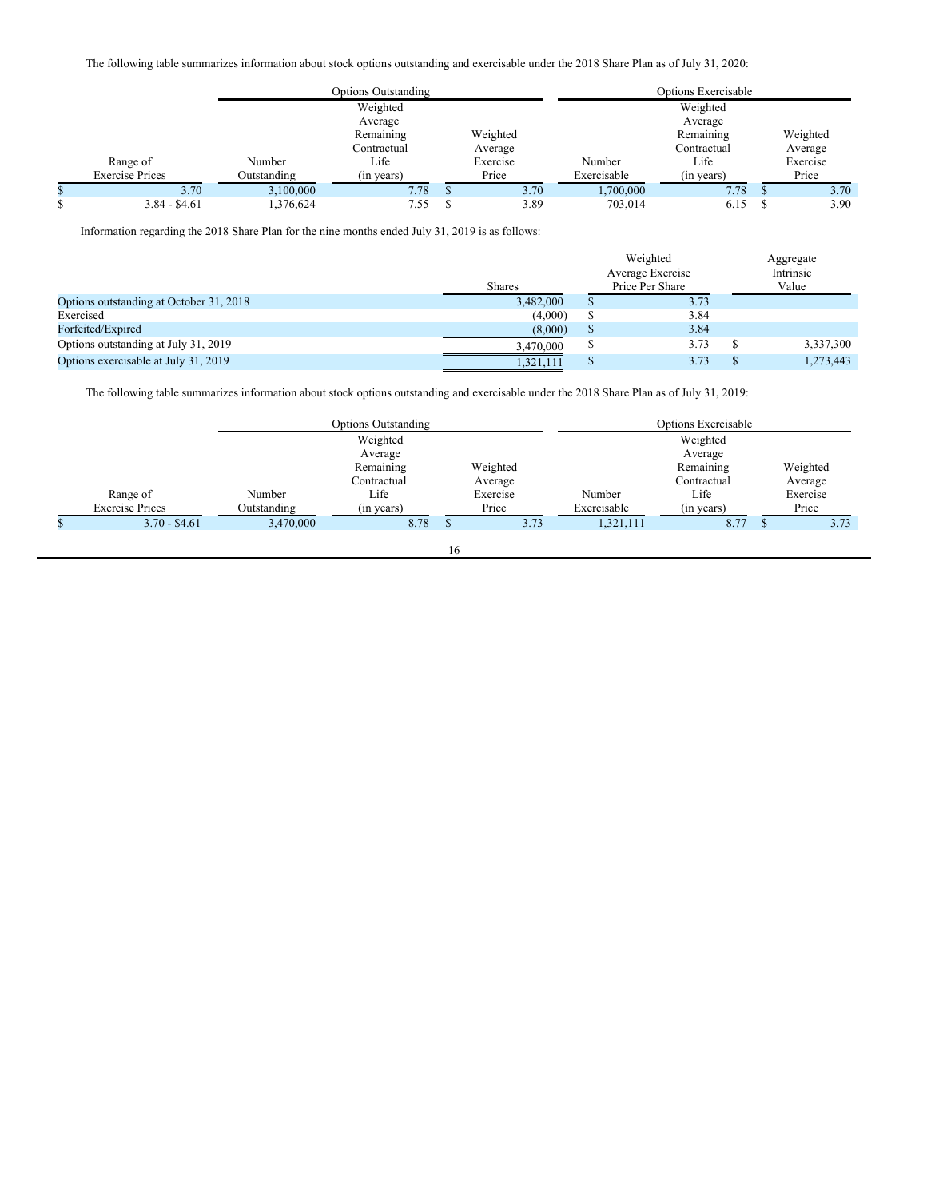The following table summarizes information about stock options outstanding and exercisable under the 2018 Share Plan as of July 31, 2020:

|   |                        |             | <b>Options Outstanding</b> |          |          |             | Options Exercisable |          |
|---|------------------------|-------------|----------------------------|----------|----------|-------------|---------------------|----------|
|   |                        |             | Weighted                   |          |          |             | Weighted            |          |
|   |                        |             | Average                    |          |          |             | Average             |          |
|   |                        |             | Remaining                  |          | Weighted |             | Remaining           | Weighted |
|   |                        |             | Contractual<br>Average     |          |          |             | Contractual         | Average  |
|   | Range of               | Number      | Life                       | Exercise |          | Number      | Life                | Exercise |
|   | <b>Exercise Prices</b> | Outstanding | (in years)                 |          | Price    | Exercisable | (in years)          | Price    |
| S | 3.70                   | 3,100,000   | 7.78                       |          | 3.70     | 1,700,000   | 7.78                | 3.70     |
|   | $3.84 - $4.61$         | 1,376,624   | 7.55                       |          | 3.89     | 703,014     | 6.15                | 3.90     |

Information regarding the 2018 Share Plan for the nine months ended July 31, 2019 is as follows:

|                                         |               | Weighted<br>Average Exercise |      |  | Aggregate<br>Intrinsic |
|-----------------------------------------|---------------|------------------------------|------|--|------------------------|
|                                         | <b>Shares</b> | Price Per Share              |      |  | Value                  |
| Options outstanding at October 31, 2018 | 3,482,000     |                              | 3.73 |  |                        |
| Exercised                               | (4,000)       |                              | 3.84 |  |                        |
| Forfeited/Expired                       | (8,000)       |                              | 3.84 |  |                        |
| Options outstanding at July 31, 2019    | 3,470,000     |                              | 3.73 |  | 3,337,300              |
| Options exercisable at July 31, 2019    | 1,321,111     |                              | 3.73 |  | 1,273,443              |

The following table summarizes information about stock options outstanding and exercisable under the 2018 Share Plan as of July 31, 2019:

|                        |             | <b>Options Outstanding</b> |    |          |             | Options Exercisable |          |
|------------------------|-------------|----------------------------|----|----------|-------------|---------------------|----------|
|                        |             | Weighted                   |    |          |             | Weighted            |          |
|                        |             | Average                    |    |          |             | Average             |          |
|                        |             | Remaining                  |    | Weighted |             | Remaining           | Weighted |
|                        |             | Contractual                |    | Average  |             | Contractual         | Average  |
| Range of               | Number      | Life                       |    | Exercise | Number      | Life                | Exercise |
| <b>Exercise Prices</b> | Outstanding | (in years)                 |    | Price    | Exercisable | (in years)          | Price    |
| $3.70 - $4.61$         | 3,470,000   | 8.78                       |    | 3.73     | 1,321,111   | 8.77                | 3.73     |
|                        |             |                            |    |          |             |                     |          |
|                        |             |                            | 16 |          |             |                     |          |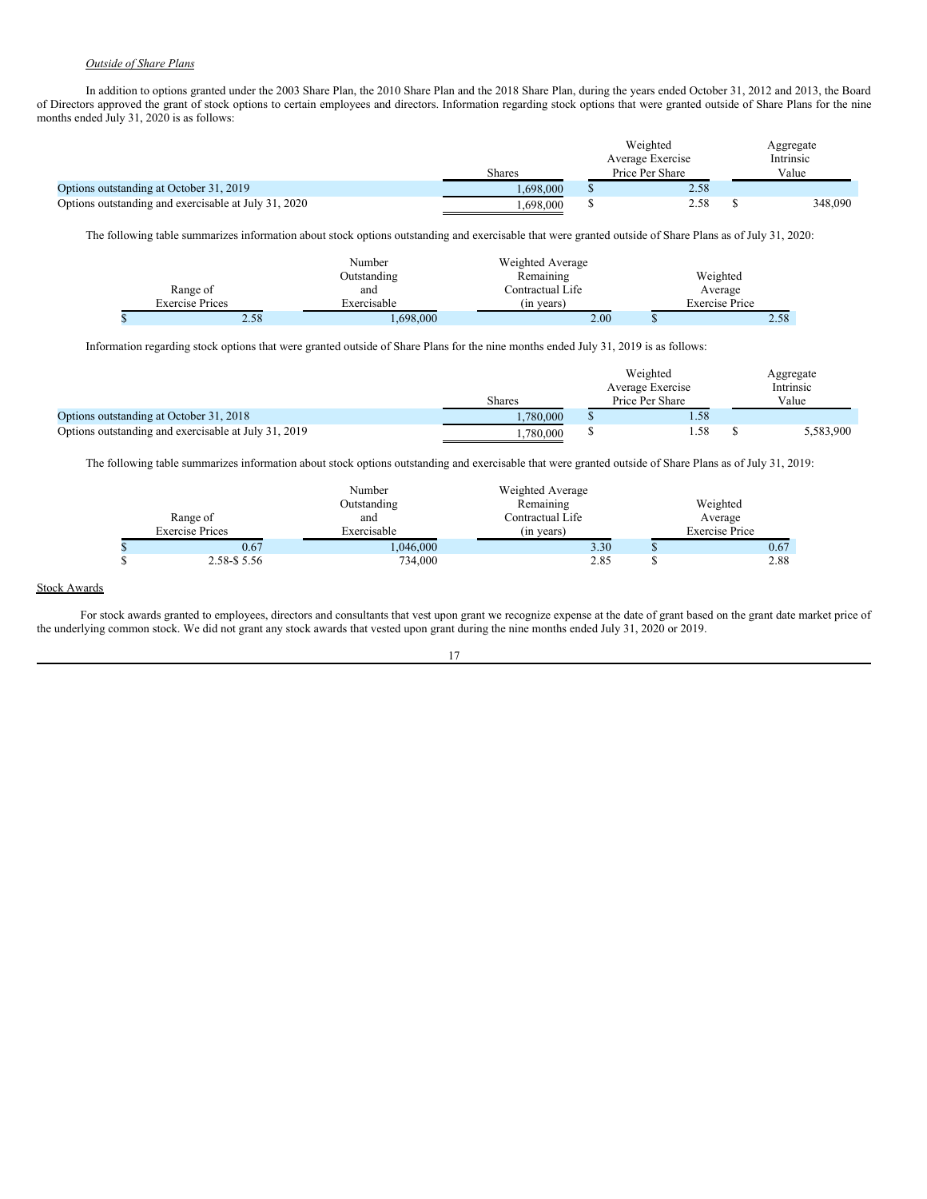## *Outside of Share Plans*

In addition to options granted under the 2003 Share Plan, the 2010 Share Plan and the 2018 Share Plan, during the years ended October 31, 2012 and 2013, the Board of Directors approved the grant of stock options to certain employees and directors. Information regarding stock options that were granted outside of Share Plans for the nine months ended July 31, 2020 is as follows:

|                                                      |               | Weighted         |      | Aggregate |  |
|------------------------------------------------------|---------------|------------------|------|-----------|--|
|                                                      |               | Average Exercise |      | Intrinsic |  |
|                                                      | <b>Shares</b> | Price Per Share  |      | Value     |  |
| Options outstanding at October 31, 2019              | .698,000      |                  | 2.58 |           |  |
| Options outstanding and exercisable at July 31, 2020 | .698.000      |                  | 2.58 | 348,090   |  |

The following table summarizes information about stock options outstanding and exercisable that were granted outside of Share Plans as of July 31, 2020:

|                        | Number      | Weighted Average |                       |      |
|------------------------|-------------|------------------|-----------------------|------|
|                        | Outstanding | Remaining        | Weighted              |      |
| Range of               | and         | Contractual Life | Average               |      |
| <b>Exercise Prices</b> | Exercisable | (in vears)       | <b>Exercise Price</b> |      |
| 2.58                   | .698,000    | 2.00             |                       | 2.58 |

Information regarding stock options that were granted outside of Share Plans for the nine months ended July 31, 2019 is as follows:

|                                                      |          | Weighted         | Aggregate |
|------------------------------------------------------|----------|------------------|-----------|
|                                                      |          | Average Exercise | Intrinsic |
|                                                      | Shares   | Price Per Share  | Value     |
| Options outstanding at October 31, 2018              | .780,000 | 1.58             |           |
| Options outstanding and exercisable at July 31, 2019 | .780.000 | 1.58             | 5,583,900 |

The following table summarizes information about stock options outstanding and exercisable that were granted outside of Share Plans as of July 31, 2019:

|                        | Number      | Weighted Average |  |                       |
|------------------------|-------------|------------------|--|-----------------------|
|                        | Outstanding | Remaining        |  | Weighted              |
| Range of               | and         | Contractual Life |  | Average               |
| <b>Exercise Prices</b> | Exercisable | (in years)       |  | <b>Exercise Price</b> |
| 0.67                   | 1.046.000   | 3.30             |  | 0.67                  |
| 2.58-\$5.56            | 734,000     | 2.85             |  | 2.88                  |

# Stock Awards

For stock awards granted to employees, directors and consultants that vest upon grant we recognize expense at the date of grant based on the grant date market price of the underlying common stock. We did not grant any stock awards that vested upon grant during the nine months ended July 31, 2020 or 2019.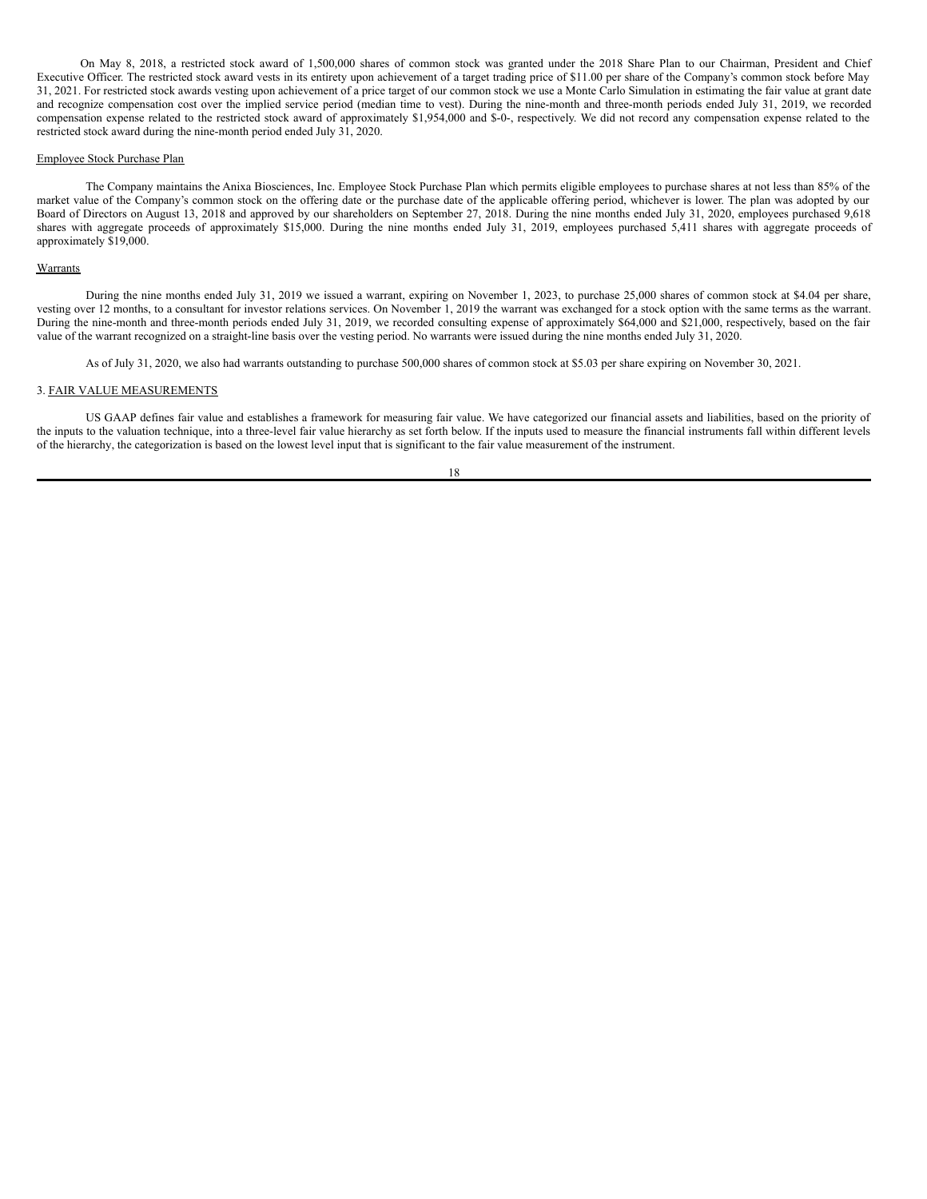On May 8, 2018, a restricted stock award of 1,500,000 shares of common stock was granted under the 2018 Share Plan to our Chairman, President and Chief Executive Officer. The restricted stock award vests in its entirety upon achievement of a target trading price of \$11.00 per share of the Company's common stock before May 31, 2021. For restricted stock awards vesting upon achievement of a price target of our common stock we use a Monte Carlo Simulation in estimating the fair value at grant date and recognize compensation cost over the implied service period (median time to vest). During the nine-month and three-month periods ended July 31, 2019, we recorded compensation expense related to the restricted stock award of approximately \$1,954,000 and \$-0-, respectively. We did not record any compensation expense related to the restricted stock award during the nine-month period ended July 31, 2020.

#### Employee Stock Purchase Plan

The Company maintains the Anixa Biosciences, Inc. Employee Stock Purchase Plan which permits eligible employees to purchase shares at not less than 85% of the market value of the Company's common stock on the offering date or the purchase date of the applicable offering period, whichever is lower. The plan was adopted by our Board of Directors on August 13, 2018 and approved by our shareholders on September 27, 2018. During the nine months ended July 31, 2020, employees purchased 9,618 shares with aggregate proceeds of approximately \$15,000. During the nine months ended July 31, 2019, employees purchased 5,411 shares with aggregate proceeds of approximately \$19,000.

# **Warrants**

During the nine months ended July 31, 2019 we issued a warrant, expiring on November 1, 2023, to purchase 25,000 shares of common stock at \$4.04 per share, vesting over 12 months, to a consultant for investor relations services. On November 1, 2019 the warrant was exchanged for a stock option with the same terms as the warrant. During the nine-month and three-month periods ended July 31, 2019, we recorded consulting expense of approximately \$64,000 and \$21,000, respectively, based on the fair value of the warrant recognized on a straight-line basis over the vesting period. No warrants were issued during the nine months ended July 31, 2020.

As of July 31, 2020, we also had warrants outstanding to purchase 500,000 shares of common stock at \$5.03 per share expiring on November 30, 2021.

#### 3. FAIR VALUE MEASUREMENTS

US GAAP defines fair value and establishes a framework for measuring fair value. We have categorized our financial assets and liabilities, based on the priority of the inputs to the valuation technique, into a three-level fair value hierarchy as set forth below. If the inputs used to measure the financial instruments fall within different levels of the hierarchy, the categorization is based on the lowest level input that is significant to the fair value measurement of the instrument.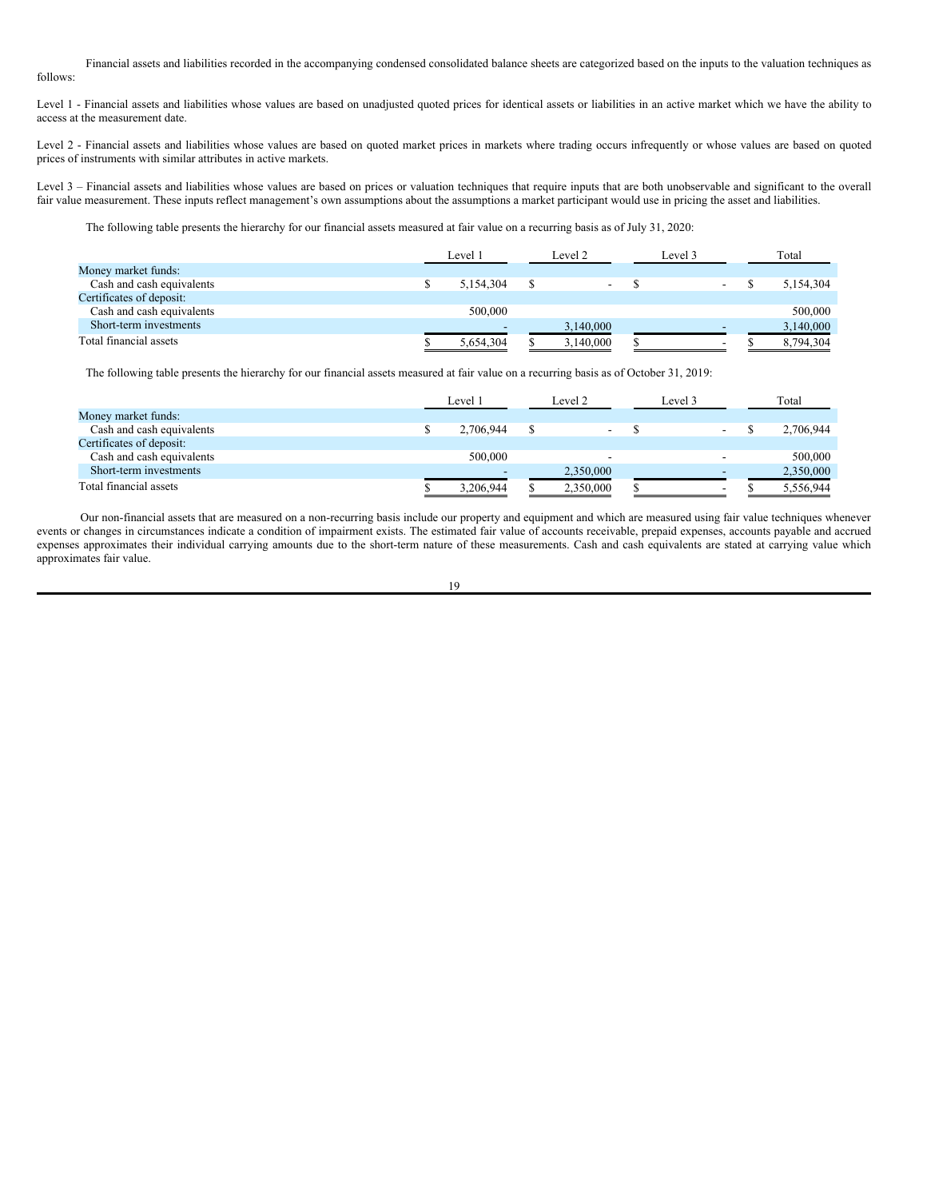Financial assets and liabilities recorded in the accompanying condensed consolidated balance sheets are categorized based on the inputs to the valuation techniques as follows:

Level 1 - Financial assets and liabilities whose values are based on unadjusted quoted prices for identical assets or liabilities in an active market which we have the ability to access at the measurement date.

Level 2 - Financial assets and liabilities whose values are based on quoted market prices in markets where trading occurs infrequently or whose values are based on quoted prices of instruments with similar attributes in active markets.

Level 3 – Financial assets and liabilities whose values are based on prices or valuation techniques that require inputs that are both unobservable and significant to the overall fair value measurement. These inputs reflect management's own assumptions about the assumptions a market participant would use in pricing the asset and liabilities.

The following table presents the hierarchy for our financial assets measured at fair value on a recurring basis as of July 31, 2020:

|                           | Level 1                  | Level 2                  | Level 3                  |  | Total     |
|---------------------------|--------------------------|--------------------------|--------------------------|--|-----------|
| Money market funds:       |                          |                          |                          |  |           |
| Cash and cash equivalents | 5.154.304                | $\overline{\phantom{a}}$ | $\overline{\phantom{a}}$ |  | 5,154,304 |
| Certificates of deposit:  |                          |                          |                          |  |           |
| Cash and cash equivalents | 500,000                  |                          |                          |  | 500,000   |
| Short-term investments    | $\overline{\phantom{0}}$ | 3.140,000                |                          |  | 3,140,000 |
| Total financial assets    | 5,654,304                | 3.140.000                | -                        |  | 8,794,304 |

The following table presents the hierarchy for our financial assets measured at fair value on a recurring basis as of October 31, 2019:

|                           | Level 1                  | Level 2                  | Level 3                  | Total     |
|---------------------------|--------------------------|--------------------------|--------------------------|-----------|
| Money market funds:       |                          |                          |                          |           |
| Cash and cash equivalents | 2.706.944                | $\overline{\phantom{a}}$ |                          | 2,706,944 |
| Certificates of deposit:  |                          |                          |                          |           |
| Cash and cash equivalents | 500,000                  | $\overline{\phantom{a}}$ |                          | 500,000   |
| Short-term investments    | $\overline{\phantom{0}}$ | 2,350,000                |                          | 2,350,000 |
| Total financial assets    | 3.206.944                | 2,350,000                | $\overline{\phantom{a}}$ | 5.556.944 |

Our non-financial assets that are measured on a non-recurring basis include our property and equipment and which are measured using fair value techniques whenever events or changes in circumstances indicate a condition of impairment exists. The estimated fair value of accounts receivable, prepaid expenses, accounts payable and accrued expenses approximates their individual carrying amounts due to the short-term nature of these measurements. Cash and cash equivalents are stated at carrying value which approximates fair value.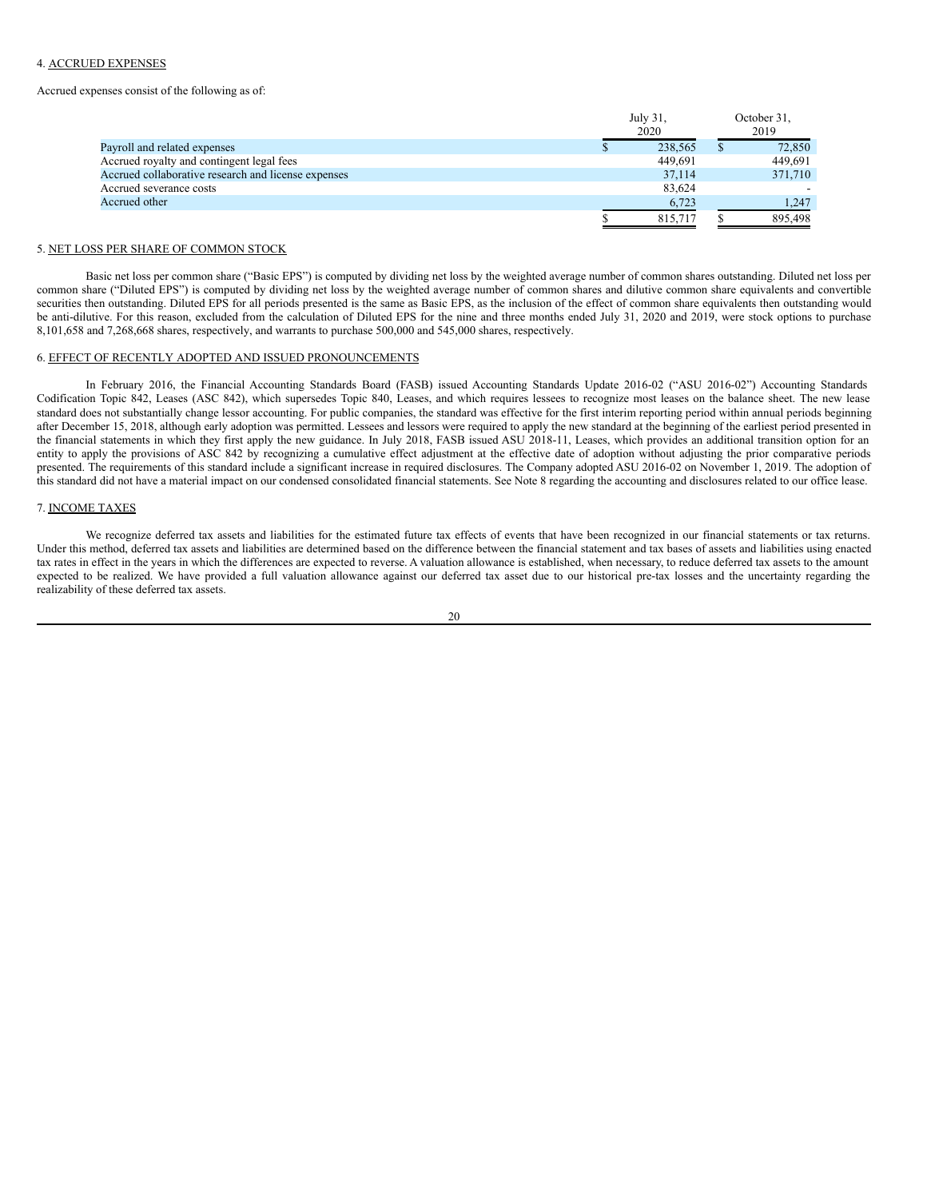#### 4. ACCRUED EXPENSES

Accrued expenses consist of the following as of:

|                                                     | July 31.<br>2020 | October 31,<br>2019 |
|-----------------------------------------------------|------------------|---------------------|
| Payroll and related expenses                        | 238,565          | 72,850              |
| Accrued royalty and contingent legal fees           | 449.691          | 449.691             |
| Accrued collaborative research and license expenses | 37.114           | 371,710             |
| Accrued severance costs                             | 83.624           |                     |
| Accrued other                                       | 6.723            | 1.247               |
|                                                     | 815.717          | 895.498             |

# 5. NET LOSS PER SHARE OF COMMON STOCK

Basic net loss per common share ("Basic EPS") is computed by dividing net loss by the weighted average number of common shares outstanding. Diluted net loss per common share ("Diluted EPS") is computed by dividing net loss by the weighted average number of common shares and dilutive common share equivalents and convertible securities then outstanding. Diluted EPS for all periods presented is the same as Basic EPS, as the inclusion of the effect of common share equivalents then outstanding would be anti-dilutive. For this reason, excluded from the calculation of Diluted EPS for the nine and three months ended July 31, 2020 and 2019, were stock options to purchase 8,101,658 and 7,268,668 shares, respectively, and warrants to purchase 500,000 and 545,000 shares, respectively.

# 6. EFFECT OF RECENTLY ADOPTED AND ISSUED PRONOUNCEMENTS

In February 2016, the Financial Accounting Standards Board (FASB) issued Accounting Standards Update 2016-02 ("ASU 2016-02") Accounting Standards Codification Topic 842, Leases (ASC 842), which supersedes Topic 840, Leases, and which requires lessees to recognize most leases on the balance sheet. The new lease standard does not substantially change lessor accounting. For public companies, the standard was effective for the first interim reporting period within annual periods beginning after December 15, 2018, although early adoption was permitted. Lessees and lessors were required to apply the new standard at the beginning of the earliest period presented in the financial statements in which they first apply the new guidance. In July 2018, FASB issued ASU 2018-11, Leases, which provides an additional transition option for an entity to apply the provisions of ASC 842 by recognizing a cumulative effect adjustment at the effective date of adoption without adjusting the prior comparative periods presented. The requirements of this standard include a significant increase in required disclosures. The Company adopted ASU 2016-02 on November 1, 2019. The adoption of this standard did not have a material impact on our condensed consolidated financial statements. See Note 8 regarding the accounting and disclosures related to our office lease.

## 7. INCOME TAXES

We recognize deferred tax assets and liabilities for the estimated future tax effects of events that have been recognized in our financial statements or tax returns. Under this method, deferred tax assets and liabilities are determined based on the difference between the financial statement and tax bases of assets and liabilities using enacted tax rates in effect in the years in which the differences are expected to reverse. A valuation allowance is established, when necessary, to reduce deferred tax assets to the amount expected to be realized. We have provided a full valuation allowance against our deferred tax asset due to our historical pre-tax losses and the uncertainty regarding the realizability of these deferred tax assets.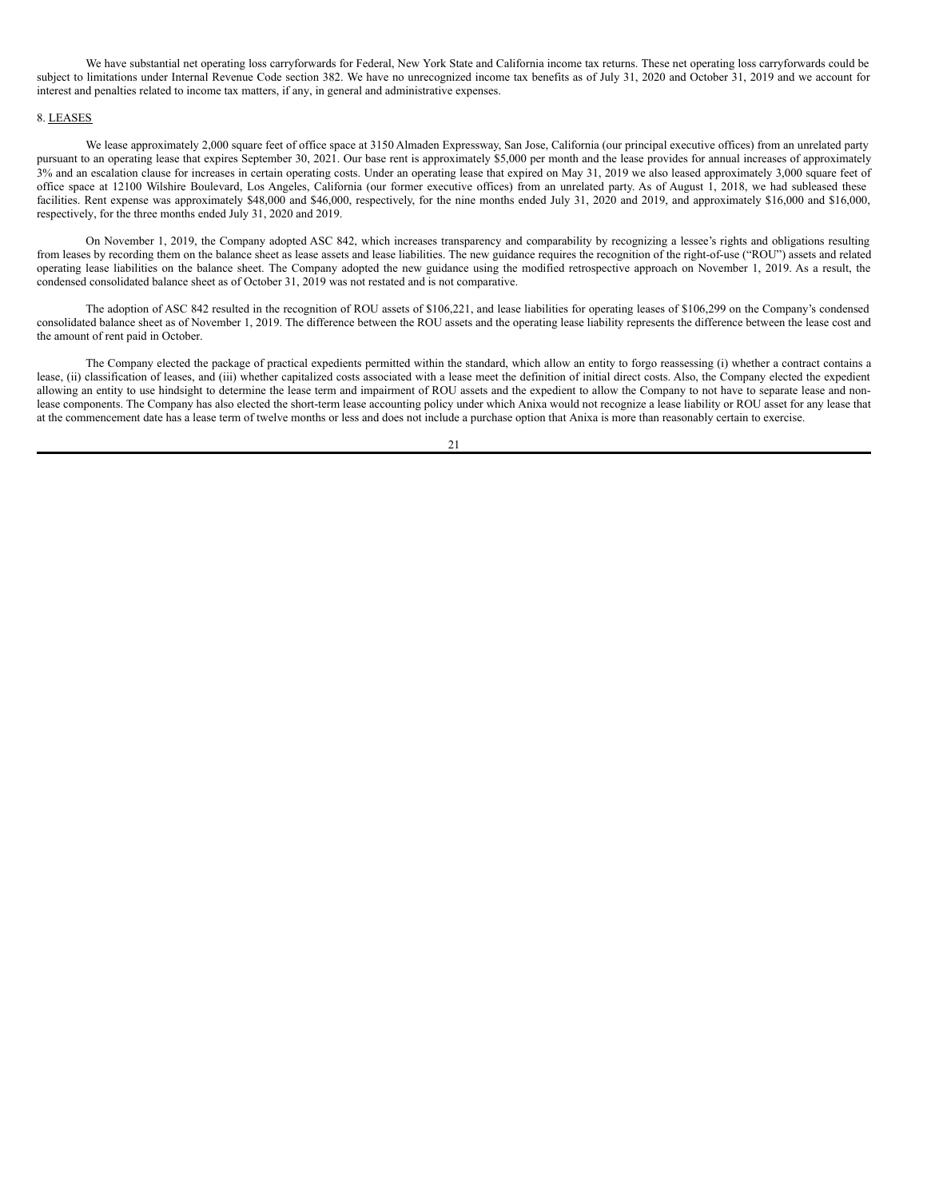We have substantial net operating loss carryforwards for Federal, New York State and California income tax returns. These net operating loss carryforwards could be subject to limitations under Internal Revenue Code section 382. We have no unrecognized income tax benefits as of July 31, 2020 and October 31, 2019 and we account for interest and penalties related to income tax matters, if any, in general and administrative expenses.

## 8. LEASES

We lease approximately 2,000 square feet of office space at 3150 Almaden Expressway, San Jose, California (our principal executive offices) from an unrelated party pursuant to an operating lease that expires September 30, 2021. Our base rent is approximately \$5,000 per month and the lease provides for annual increases of approximately 3% and an escalation clause for increases in certain operating costs. Under an operating lease that expired on May 31, 2019 we also leased approximately 3,000 square feet of office space at 12100 Wilshire Boulevard, Los Angeles, California (our former executive offices) from an unrelated party. As of August 1, 2018, we had subleased these facilities. Rent expense was approximately \$48,000 and \$46,000, respectively, for the nine months ended July 31, 2020 and 2019, and approximately \$16,000 and \$16,000, respectively, for the three months ended July 31, 2020 and 2019.

On November 1, 2019, the Company adopted ASC 842, which increases transparency and comparability by recognizing a lessee's rights and obligations resulting from leases by recording them on the balance sheet as lease assets and lease liabilities. The new guidance requires the recognition of the right-of-use ("ROU") assets and related operating lease liabilities on the balance sheet. The Company adopted the new guidance using the modified retrospective approach on November 1, 2019. As a result, the condensed consolidated balance sheet as of October 31, 2019 was not restated and is not comparative.

The adoption of ASC 842 resulted in the recognition of ROU assets of \$106,221, and lease liabilities for operating leases of \$106,299 on the Company's condensed consolidated balance sheet as of November 1, 2019. The difference between the ROU assets and the operating lease liability represents the difference between the lease cost and the amount of rent paid in October.

The Company elected the package of practical expedients permitted within the standard, which allow an entity to forgo reassessing (i) whether a contract contains a lease, (ii) classification of leases, and (iii) whether capitalized costs associated with a lease meet the definition of initial direct costs. Also, the Company elected the expedient allowing an entity to use hindsight to determine the lease term and impairment of ROU assets and the expedient to allow the Company to not have to separate lease and nonlease components. The Company has also elected the short-term lease accounting policy under which Anixa would not recognize a lease liability or ROU asset for any lease that at the commencement date has a lease term of twelve months or less and does not include a purchase option that Anixa is more than reasonably certain to exercise.

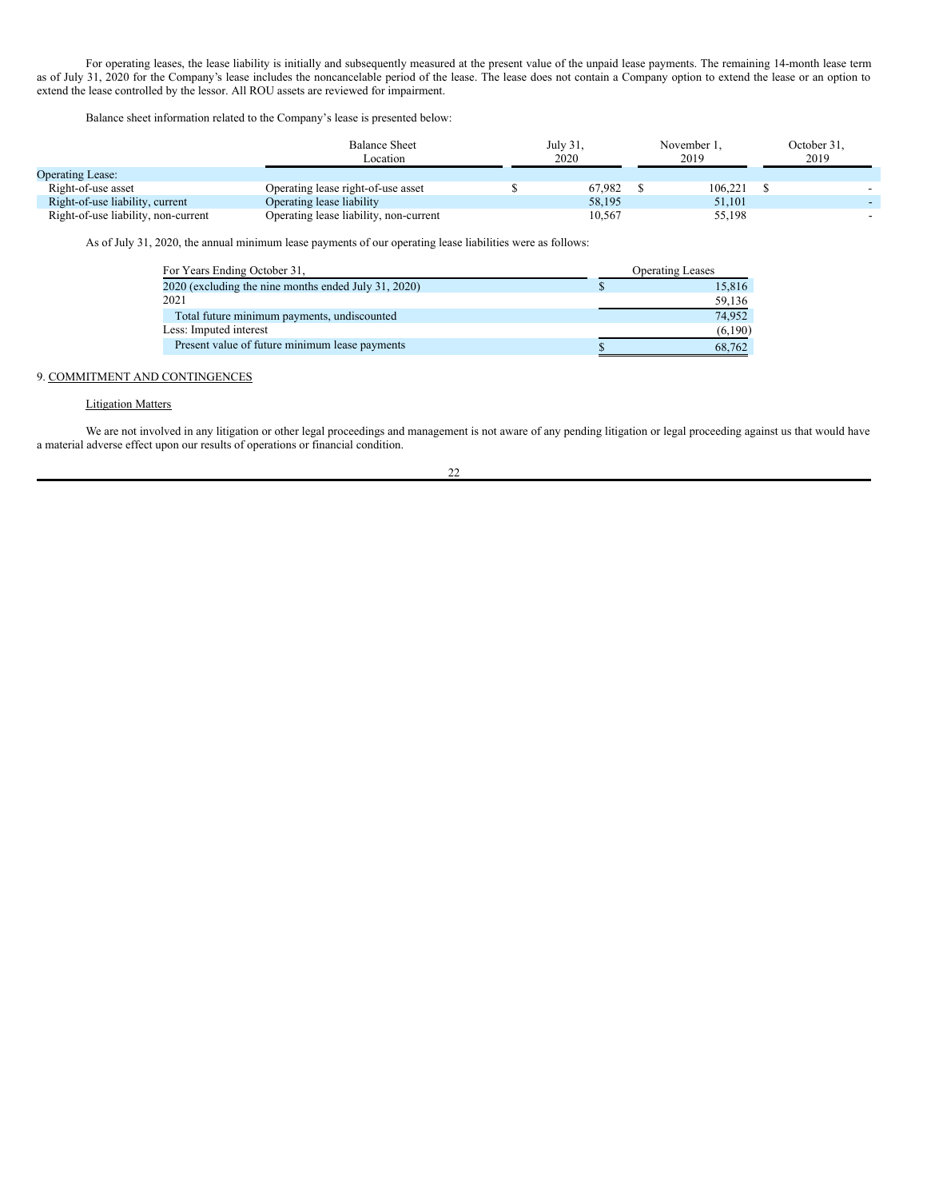For operating leases, the lease liability is initially and subsequently measured at the present value of the unpaid lease payments. The remaining 14-month lease term as of July 31, 2020 for the Company's lease includes the noncancelable period of the lease. The lease does not contain a Company option to extend the lease or an option to extend the lease controlled by the lessor. All ROU assets are reviewed for impairment.

Balance sheet information related to the Company's lease is presented below:

|                                     | <b>Balance Sheet</b><br>Location       | July 31,<br>2020 | November 1.<br>2019 |         | October 31,<br>2019 |
|-------------------------------------|----------------------------------------|------------------|---------------------|---------|---------------------|
| <b>Operating Lease:</b>             |                                        |                  |                     |         |                     |
| Right-of-use asset                  | Operating lease right-of-use asset     | 67.982           |                     | 106,221 |                     |
| Right-of-use liability, current     | Operating lease liability              | 58.195           |                     | 51,101  |                     |
| Right-of-use liability, non-current | Operating lease liability, non-current | 10.567           |                     | 55.198  |                     |

As of July 31, 2020, the annual minimum lease payments of our operating lease liabilities were as follows:

| For Years Ending October 31,                         | <b>Operating Leases</b> |
|------------------------------------------------------|-------------------------|
| 2020 (excluding the nine months ended July 31, 2020) | 15,816                  |
| 2021                                                 | 59,136                  |
| Total future minimum payments, undiscounted          | 74.952                  |
| Less: Imputed interest                               | (6,190)                 |
| Present value of future minimum lease payments       | 68.762                  |

# 9. COMMITMENT AND CONTINGENCES

# Litigation Matters

We are not involved in any litigation or other legal proceedings and management is not aware of any pending litigation or legal proceeding against us that would have a material adverse effect upon our results of operations or financial condition.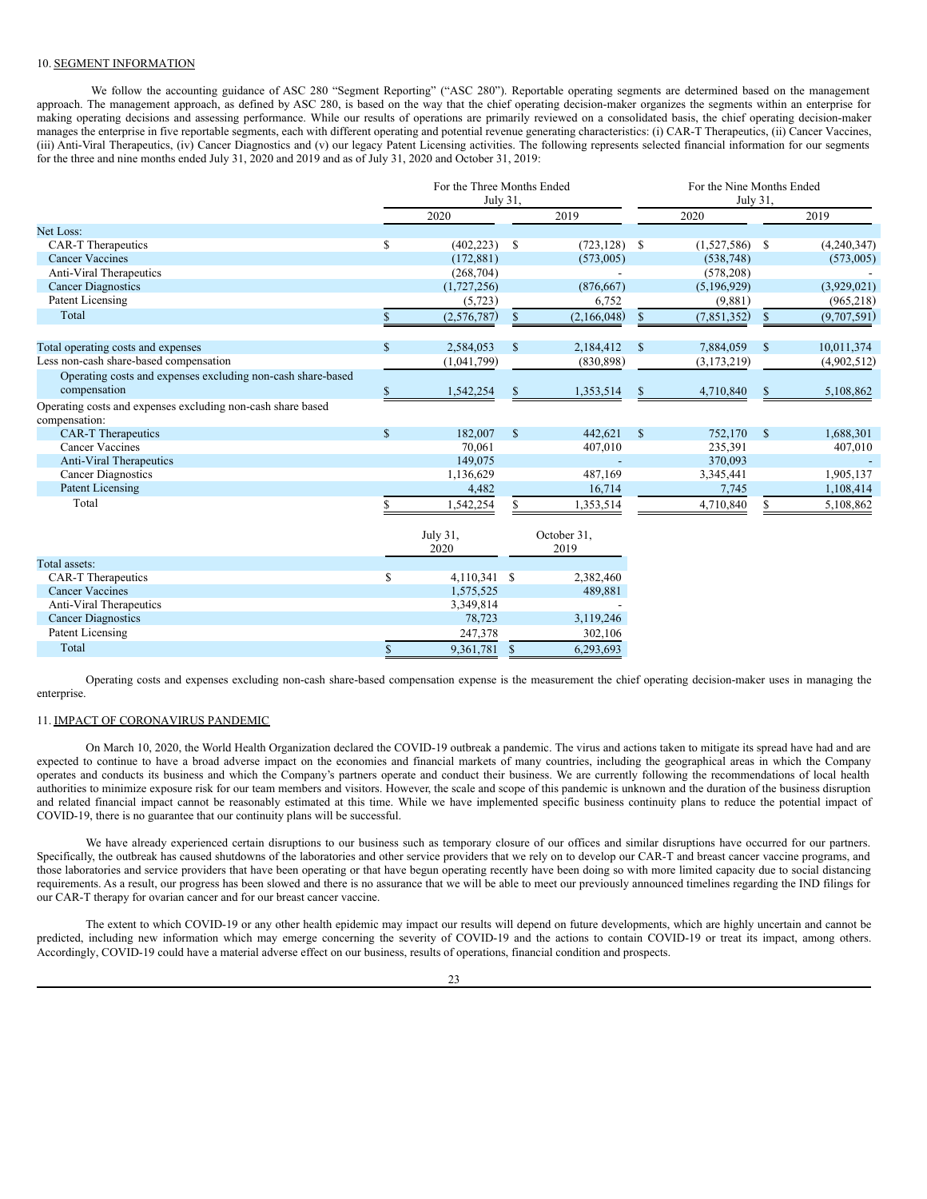#### 10. SEGMENT INFORMATION

We follow the accounting guidance of ASC 280 "Segment Reporting" ("ASC 280"). Reportable operating segments are determined based on the management approach. The management approach, as defined by ASC 280, is based on the way that the chief operating decision-maker organizes the segments within an enterprise for making operating decisions and assessing performance. While our results of operations are primarily reviewed on a consolidated basis, the chief operating decision-maker manages the enterprise in five reportable segments, each with different operating and potential revenue generating characteristics: (i) CAR-T Therapeutics, (ii) Cancer Vaccines, (iii) Anti-Viral Therapeutics, (iv) Cancer Diagnostics and (v) our legacy Patent Licensing activities. The following represents selected financial information for our segments for the three and nine months ended July 31, 2020 and 2019 and as of July 31, 2020 and October 31, 2019:

|                                                                              | For the Three Months Ended<br>July 31, |             |               | For the Nine Months Ended<br>July 31, |      |                  |              |             |
|------------------------------------------------------------------------------|----------------------------------------|-------------|---------------|---------------------------------------|------|------------------|--------------|-------------|
|                                                                              | 2020                                   |             | 2019          |                                       | 2020 |                  | 2019         |             |
| Net Loss:                                                                    |                                        |             |               |                                       |      |                  |              |             |
| <b>CAR-T</b> Therapeutics                                                    | S                                      | (402, 223)  | -S            | (723, 128)                            | - \$ | $(1,527,586)$ \$ |              | (4,240,347) |
| <b>Cancer Vaccines</b>                                                       |                                        | (172, 881)  |               | (573,005)                             |      | (538, 748)       |              | (573,005)   |
| <b>Anti-Viral Therapeutics</b>                                               |                                        | (268, 704)  |               |                                       |      | (578, 208)       |              |             |
| <b>Cancer Diagnostics</b>                                                    |                                        | (1,727,256) |               | (876, 667)                            |      | (5,196,929)      |              | (3,929,021) |
| Patent Licensing                                                             |                                        | (5,723)     |               | 6,752                                 |      | (9,881)          |              | (965, 218)  |
| Total                                                                        |                                        | (2,576,787) |               | (2,166,048)                           |      | (7,851,352)      |              | (9,707,591) |
| Total operating costs and expenses                                           | $\mathbb{S}$                           | 2,584,053   | <sup>\$</sup> | 2,184,412                             | -S   | 7,884,059        | <sup>S</sup> | 10,011,374  |
| Less non-cash share-based compensation                                       |                                        | (1,041,799) |               | (830, 898)                            |      | (3,173,219)      |              | (4,902,512) |
| Operating costs and expenses excluding non-cash share-based<br>compensation  |                                        | 1,542,254   |               | 1,353,514                             |      | 4,710,840        |              | 5,108,862   |
| Operating costs and expenses excluding non-cash share based<br>compensation: |                                        |             |               |                                       |      |                  |              |             |
| <b>CAR-T</b> Therapeutics                                                    | $\mathbf S$                            | 182,007     | <sup>S</sup>  | 442,621                               | -8   | 752,170          | $\mathbf{s}$ | 1,688,301   |
| <b>Cancer Vaccines</b>                                                       |                                        | 70,061      |               | 407,010                               |      | 235,391          |              | 407,010     |
| Anti-Viral Therapeutics                                                      |                                        | 149,075     |               |                                       |      | 370,093          |              |             |
| <b>Cancer Diagnostics</b>                                                    |                                        | 1,136,629   |               | 487,169                               |      | 3,345,441        |              | 1,905,137   |
| Patent Licensing                                                             |                                        | 4,482       |               | 16,714                                |      | 7,745            |              | 1,108,414   |
| Total                                                                        |                                        | 1,542,254   |               | 1,353,514                             |      | 4,710,840        |              | 5,108,862   |

|                                |   | July 31,<br>2020 | October 31,<br>2019 |
|--------------------------------|---|------------------|---------------------|
| Total assets:                  |   |                  |                     |
| <b>CAR-T</b> Therapeutics      | S | 4,110,341 \$     | 2,382,460           |
| <b>Cancer Vaccines</b>         |   | 1,575,525        | 489,881             |
| <b>Anti-Viral Therapeutics</b> |   | 3,349,814        |                     |
| <b>Cancer Diagnostics</b>      |   | 78,723           | 3,119,246           |
| Patent Licensing               |   | 247,378          | 302,106             |
| Total                          |   | 9,361,781        | 6,293,693           |

Operating costs and expenses excluding non-cash share-based compensation expense is the measurement the chief operating decision-maker uses in managing the enterprise.

#### 11. IMPACT OF CORONAVIRUS PANDEMIC

On March 10, 2020, the World Health Organization declared the COVID-19 outbreak a pandemic. The virus and actions taken to mitigate its spread have had and are expected to continue to have a broad adverse impact on the economies and financial markets of many countries, including the geographical areas in which the Company operates and conducts its business and which the Company's partners operate and conduct their business. We are currently following the recommendations of local health authorities to minimize exposure risk for our team members and visitors. However, the scale and scope of this pandemic is unknown and the duration of the business disruption and related financial impact cannot be reasonably estimated at this time. While we have implemented specific business continuity plans to reduce the potential impact of COVID-19, there is no guarantee that our continuity plans will be successful.

We have already experienced certain disruptions to our business such as temporary closure of our offices and similar disruptions have occurred for our partners. Specifically, the outbreak has caused shutdowns of the laboratories and other service providers that we rely on to develop our CAR-T and breast cancer vaccine programs, and those laboratories and service providers that have been operating or that have begun operating recently have been doing so with more limited capacity due to social distancing requirements. As a result, our progress has been slowed and there is no assurance that we will be able to meet our previously announced timelines regarding the IND filings for our CAR-T therapy for ovarian cancer and for our breast cancer vaccine.

The extent to which COVID-19 or any other health epidemic may impact our results will depend on future developments, which are highly uncertain and cannot be predicted, including new information which may emerge concerning the severity of COVID-19 and the actions to contain COVID-19 or treat its impact, among others. Accordingly, COVID-19 could have a material adverse effect on our business, results of operations, financial condition and prospects.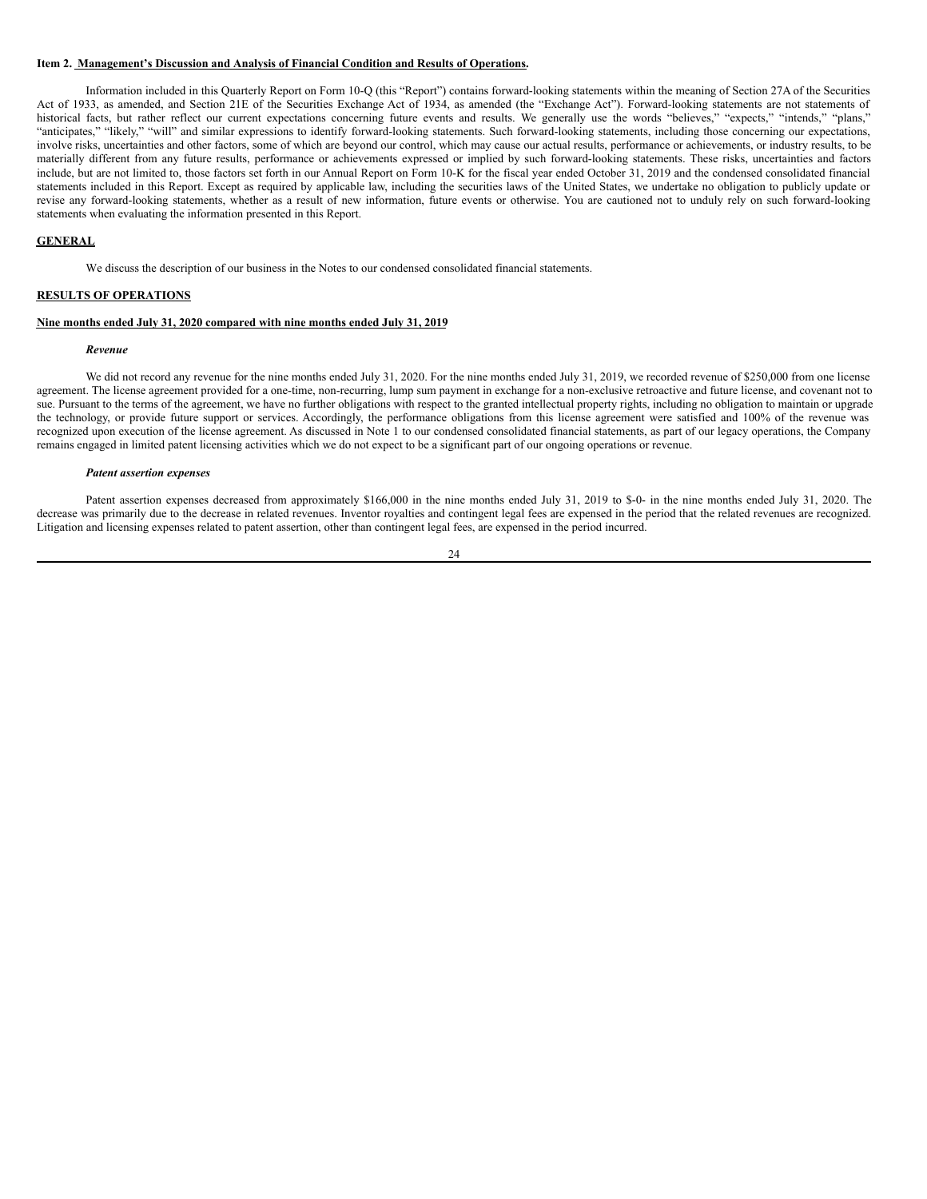## <span id="page-23-0"></span>**Item 2. Management's Discussion and Analysis of Financial Condition and Results of Operations.**

Information included in this Quarterly Report on Form 10-Q (this "Report") contains forward-looking statements within the meaning of Section 27A of the Securities Act of 1933, as amended, and Section 21E of the Securities Exchange Act of 1934, as amended (the "Exchange Act"). Forward-looking statements are not statements of historical facts, but rather reflect our current expectations concerning future events and results. We generally use the words "believes," "expects," "intends," "plans," "anticipates," "likely," "will" and similar expressions to identify forward-looking statements. Such forward-looking statements, including those concerning our expectations, involve risks, uncertainties and other factors, some of which are beyond our control, which may cause our actual results, performance or achievements, or industry results, to be materially different from any future results, performance or achievements expressed or implied by such forward-looking statements. These risks, uncertainties and factors include, but are not limited to, those factors set forth in our Annual Report on Form 10-K for the fiscal year ended October 31, 2019 and the condensed consolidated financial statements included in this Report. Except as required by applicable law, including the securities laws of the United States, we undertake no obligation to publicly update or revise any forward-looking statements, whether as a result of new information, future events or otherwise. You are cautioned not to unduly rely on such forward-looking statements when evaluating the information presented in this Report.

#### **GENERAL**

We discuss the description of our business in the Notes to our condensed consolidated financial statements.

#### **RESULTS OF OPERATIONS**

#### **Nine months ended July 31, 2020 compared with nine months ended July 31, 2019**

#### *Revenue*

We did not record any revenue for the nine months ended July 31, 2020. For the nine months ended July 31, 2019, we recorded revenue of \$250,000 from one license agreement. The license agreement provided for a one-time, non-recurring, lump sum payment in exchange for a non-exclusive retroactive and future license, and covenant not to sue. Pursuant to the terms of the agreement, we have no further obligations with respect to the granted intellectual property rights, including no obligation to maintain or upgrade the technology, or provide future support or services. Accordingly, the performance obligations from this license agreement were satisfied and 100% of the revenue was recognized upon execution of the license agreement. As discussed in Note 1 to our condensed consolidated financial statements, as part of our legacy operations, the Company remains engaged in limited patent licensing activities which we do not expect to be a significant part of our ongoing operations or revenue.

#### *Patent assertion expenses*

Patent assertion expenses decreased from approximately \$166,000 in the nine months ended July 31, 2019 to \$-0- in the nine months ended July 31, 2020. The decrease was primarily due to the decrease in related revenues. Inventor royalties and contingent legal fees are expensed in the period that the related revenues are recognized. Litigation and licensing expenses related to patent assertion, other than contingent legal fees, are expensed in the period incurred.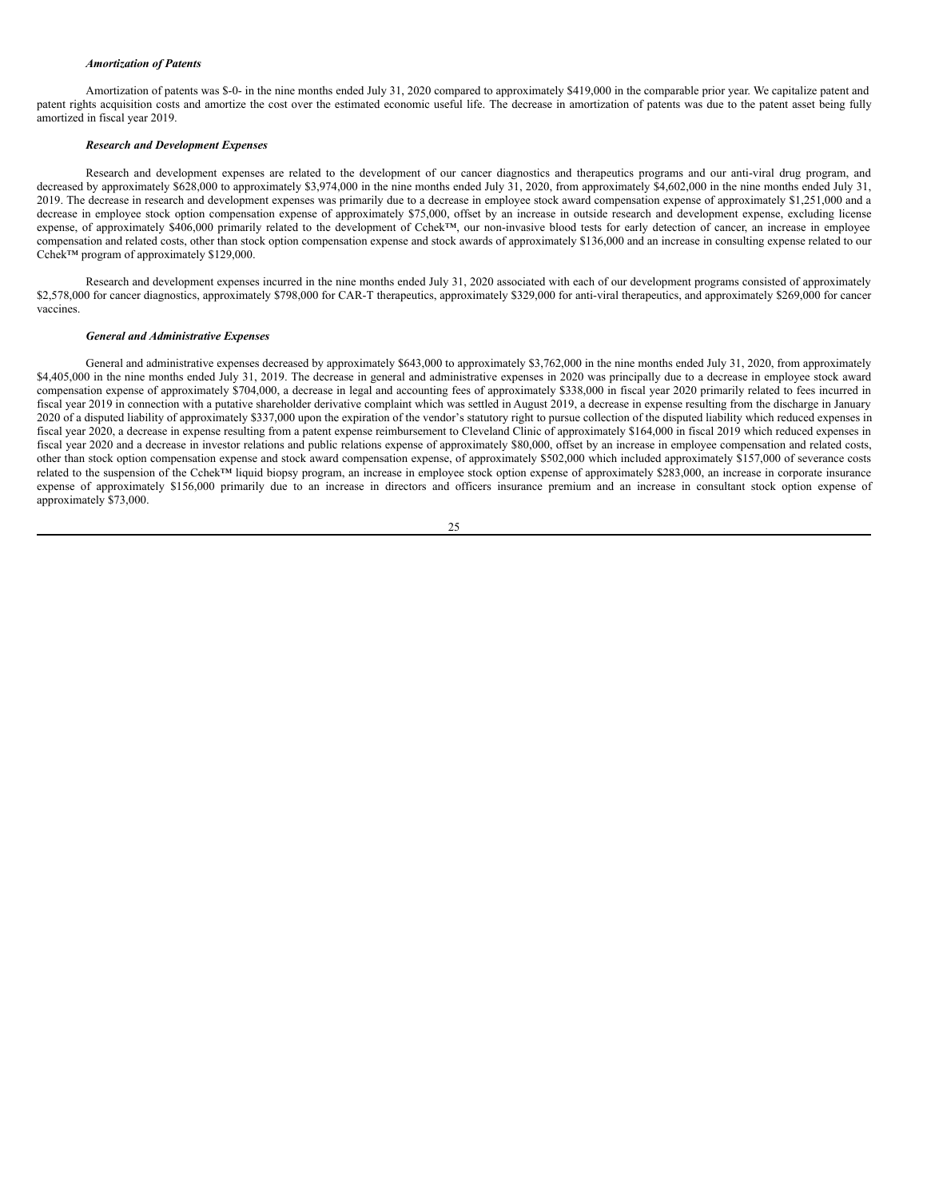#### *Amortization of Patents*

Amortization of patents was \$-0- in the nine months ended July 31, 2020 compared to approximately \$419,000 in the comparable prior year. We capitalize patent and patent rights acquisition costs and amortize the cost over the estimated economic useful life. The decrease in amortization of patents was due to the patent asset being fully amortized in fiscal year 2019.

#### *Research and Development Expenses*

Research and development expenses are related to the development of our cancer diagnostics and therapeutics programs and our anti-viral drug program, and decreased by approximately \$628,000 to approximately \$3,974,000 in the nine months ended July 31, 2020, from approximately \$4,602,000 in the nine months ended July 31, 2019. The decrease in research and development expenses was primarily due to a decrease in employee stock award compensation expense of approximately \$1,251,000 and a decrease in employee stock option compensation expense of approximately \$75,000, offset by an increase in outside research and development expense, excluding license expense, of approximately \$406,000 primarily related to the development of Cchek™, our non-invasive blood tests for early detection of cancer, an increase in employee compensation and related costs, other than stock option compensation expense and stock awards of approximately \$136,000 and an increase in consulting expense related to our Cchek™ program of approximately \$129,000.

Research and development expenses incurred in the nine months ended July 31, 2020 associated with each of our development programs consisted of approximately \$2,578,000 for cancer diagnostics, approximately \$798,000 for CAR-T therapeutics, approximately \$329,000 for anti-viral therapeutics, and approximately \$269,000 for cancer vaccines.

#### *General and Administrative Expenses*

General and administrative expenses decreased by approximately \$643,000 to approximately \$3,762,000 in the nine months ended July 31, 2020, from approximately \$4,405,000 in the nine months ended July 31, 2019. The decrease in general and administrative expenses in 2020 was principally due to a decrease in employee stock award compensation expense of approximately \$704,000, a decrease in legal and accounting fees of approximately \$338,000 in fiscal year 2020 primarily related to fees incurred in fiscal year 2019 in connection with a putative shareholder derivative complaint which was settled in August 2019, a decrease in expense resulting from the discharge in January 2020 of a disputed liability of approximately \$337,000 upon the expiration of the vendor's statutory right to pursue collection of the disputed liability which reduced expenses in fiscal year 2020, a decrease in expense resulting from a patent expense reimbursement to Cleveland Clinic of approximately \$164,000 in fiscal 2019 which reduced expenses in fiscal year 2020 and a decrease in investor relations and public relations expense of approximately \$80,000, offset by an increase in employee compensation and related costs, other than stock option compensation expense and stock award compensation expense, of approximately \$502,000 which included approximately \$157,000 of severance costs related to the suspension of the Cchek™ liquid biopsy program, an increase in employee stock option expense of approximately \$283,000, an increase in corporate insurance expense of approximately \$156,000 primarily due to an increase in directors and officers insurance premium and an increase in consultant stock option expense of approximately \$73,000.

25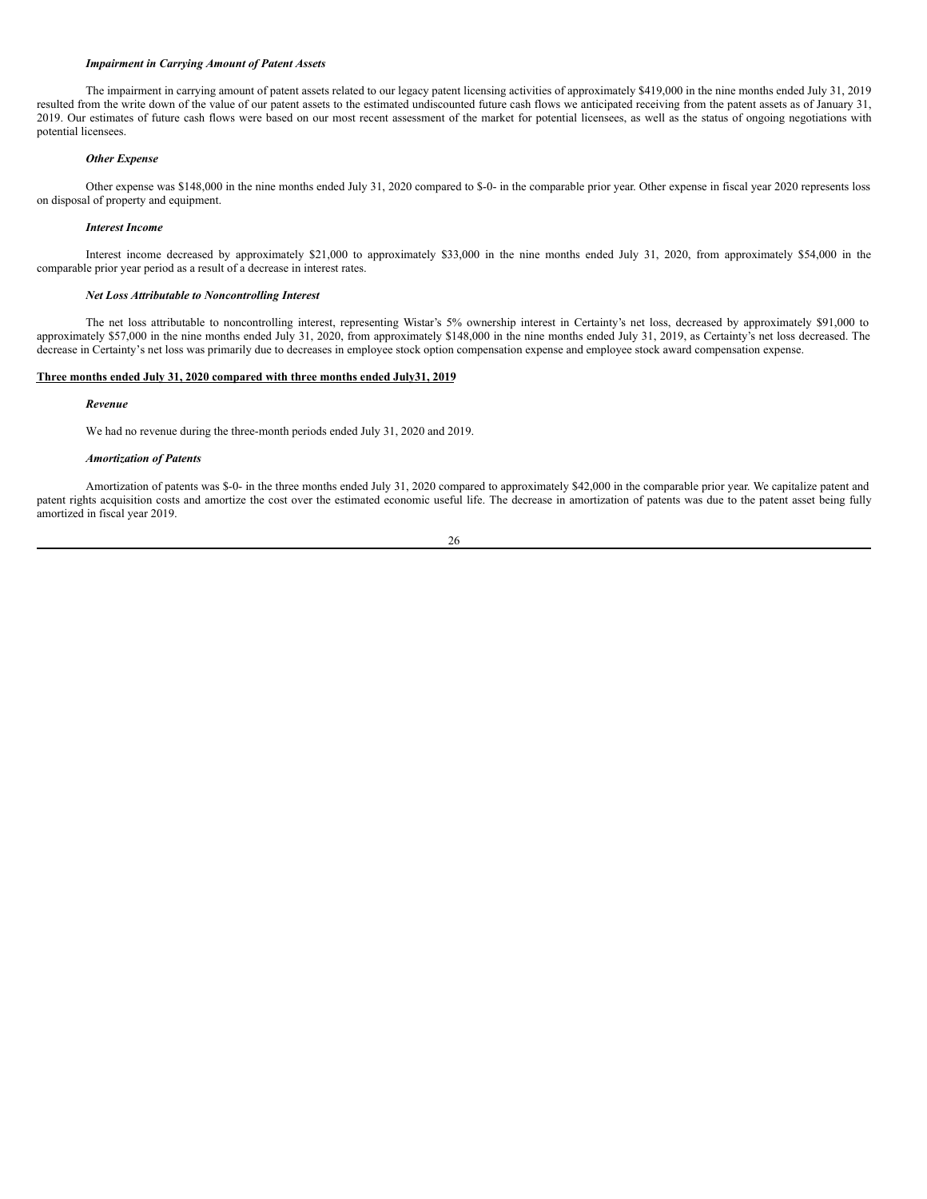## *Impairment in Carrying Amount of Patent Assets*

The impairment in carrying amount of patent assets related to our legacy patent licensing activities of approximately \$419,000 in the nine months ended July 31, 2019 resulted from the write down of the value of our patent assets to the estimated undiscounted future cash flows we anticipated receiving from the patent assets as of January 31, 2019. Our estimates of future cash flows were based on our most recent assessment of the market for potential licensees, as well as the status of ongoing negotiations with potential licensees.

#### *Other Expense*

Other expense was \$148,000 in the nine months ended July 31, 2020 compared to \$-0- in the comparable prior year. Other expense in fiscal year 2020 represents loss on disposal of property and equipment.

#### *Interest Income*

Interest income decreased by approximately \$21,000 to approximately \$33,000 in the nine months ended July 31, 2020, from approximately \$54,000 in the comparable prior year period as a result of a decrease in interest rates.

#### *Net Loss Attributable to Noncontrolling Interest*

The net loss attributable to noncontrolling interest, representing Wistar's 5% ownership interest in Certainty's net loss, decreased by approximately \$91,000 to approximately \$57,000 in the nine months ended July 31, 2020, from approximately \$148,000 in the nine months ended July 31, 2019, as Certainty's net loss decreased. The decrease in Certainty's net loss was primarily due to decreases in employee stock option compensation expense and employee stock award compensation expense.

## **Three months ended July 31, 2020 compared with three months ended July31, 2019**

#### *Revenue*

We had no revenue during the three-month periods ended July 31, 2020 and 2019.

#### *Amortization of Patents*

Amortization of patents was \$-0- in the three months ended July 31, 2020 compared to approximately \$42,000 in the comparable prior year. We capitalize patent and patent rights acquisition costs and amortize the cost over the estimated economic useful life. The decrease in amortization of patents was due to the patent asset being fully amortized in fiscal year 2019.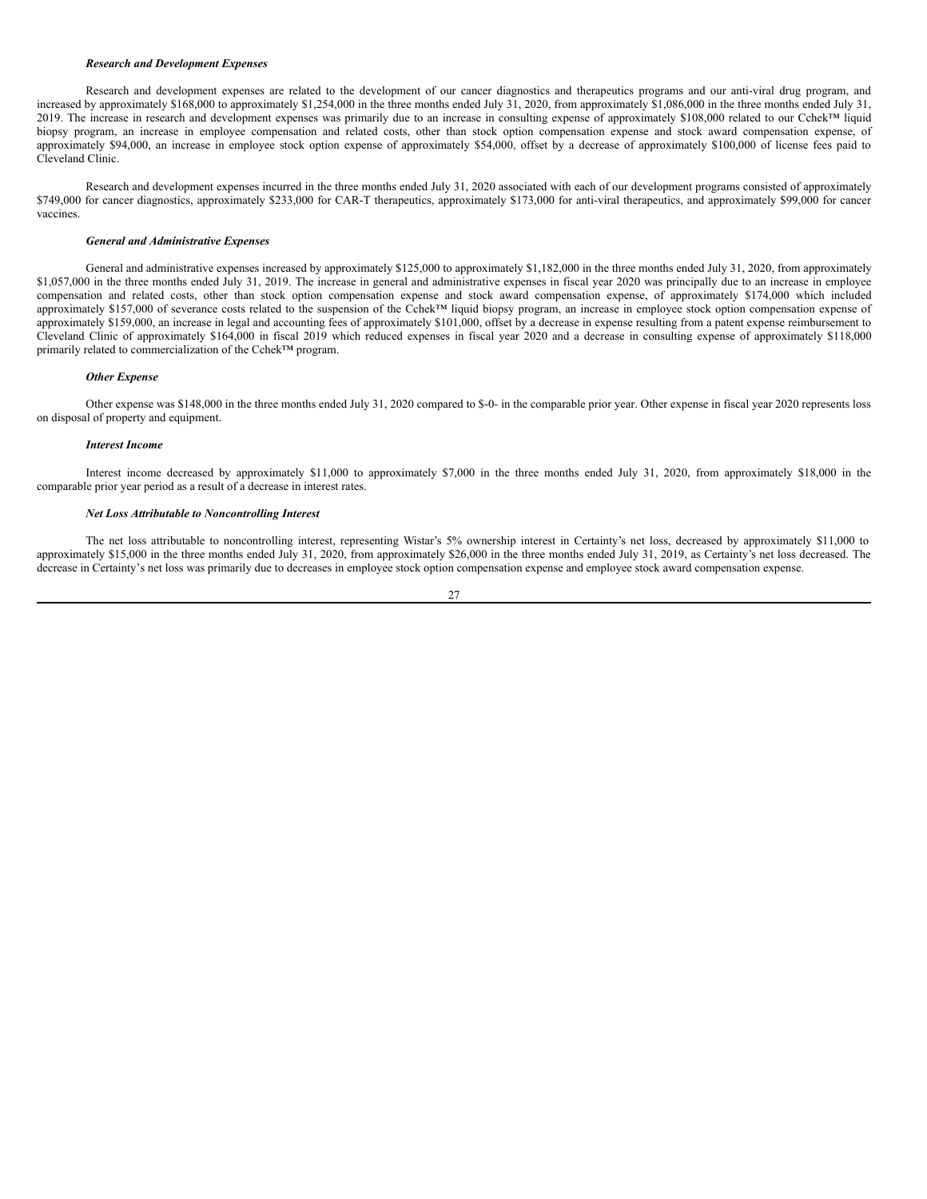### *Research and Development Expenses*

Research and development expenses are related to the development of our cancer diagnostics and therapeutics programs and our anti-viral drug program, and increased by approximately \$168,000 to approximately \$1,254,000 in the three months ended July 31, 2020, from approximately \$1,086,000 in the three months ended July 31, 2019. The increase in research and development expenses was primarily due to an increase in consulting expense of approximately \$108,000 related to our Cchek™ liquid biopsy program, an increase in employee compensation and related costs, other than stock option compensation expense and stock award compensation expense, of approximately \$94,000, an increase in employee stock option expense of approximately \$54,000, offset by a decrease of approximately \$100,000 of license fees paid to Cleveland Clinic.

Research and development expenses incurred in the three months ended July 31, 2020 associated with each of our development programs consisted of approximately \$749,000 for cancer diagnostics, approximately \$233,000 for CAR-T therapeutics, approximately \$173,000 for anti-viral therapeutics, and approximately \$99,000 for cancer vaccines.

### *General and Administrative Expenses*

General and administrative expenses increased by approximately \$125,000 to approximately \$1,182,000 in the three months ended July 31, 2020, from approximately \$1,057,000 in the three months ended July 31, 2019. The increase in general and administrative expenses in fiscal year 2020 was principally due to an increase in employee compensation and related costs, other than stock option compensation expense and stock award compensation expense, of approximately \$174,000 which included approximately \$157,000 of severance costs related to the suspension of the Cchek™ liquid biopsy program, an increase in employee stock option compensation expense of approximately \$159,000, an increase in legal and accounting fees of approximately \$101,000, offset by a decrease in expense resulting from a patent expense reimbursement to Cleveland Clinic of approximately \$164,000 in fiscal 2019 which reduced expenses in fiscal year 2020 and a decrease in consulting expense of approximately \$118,000 primarily related to commercialization of the Cchek™ program.

#### *Other Expense*

Other expense was \$148,000 in the three months ended July 31, 2020 compared to \$-0- in the comparable prior year. Other expense in fiscal year 2020 represents loss on disposal of property and equipment.

#### *Interest Income*

Interest income decreased by approximately \$11,000 to approximately \$7,000 in the three months ended July 31, 2020, from approximately \$18,000 in the comparable prior year period as a result of a decrease in interest rates.

## *Net Loss Attributable to Noncontrolling Interest*

The net loss attributable to noncontrolling interest, representing Wistar's 5% ownership interest in Certainty's net loss, decreased by approximately \$11,000 to approximately \$15,000 in the three months ended July 31, 2020, from approximately \$26,000 in the three months ended July 31, 2019, as Certainty's net loss decreased. The decrease in Certainty's net loss was primarily due to decreases in employee stock option compensation expense and employee stock award compensation expense.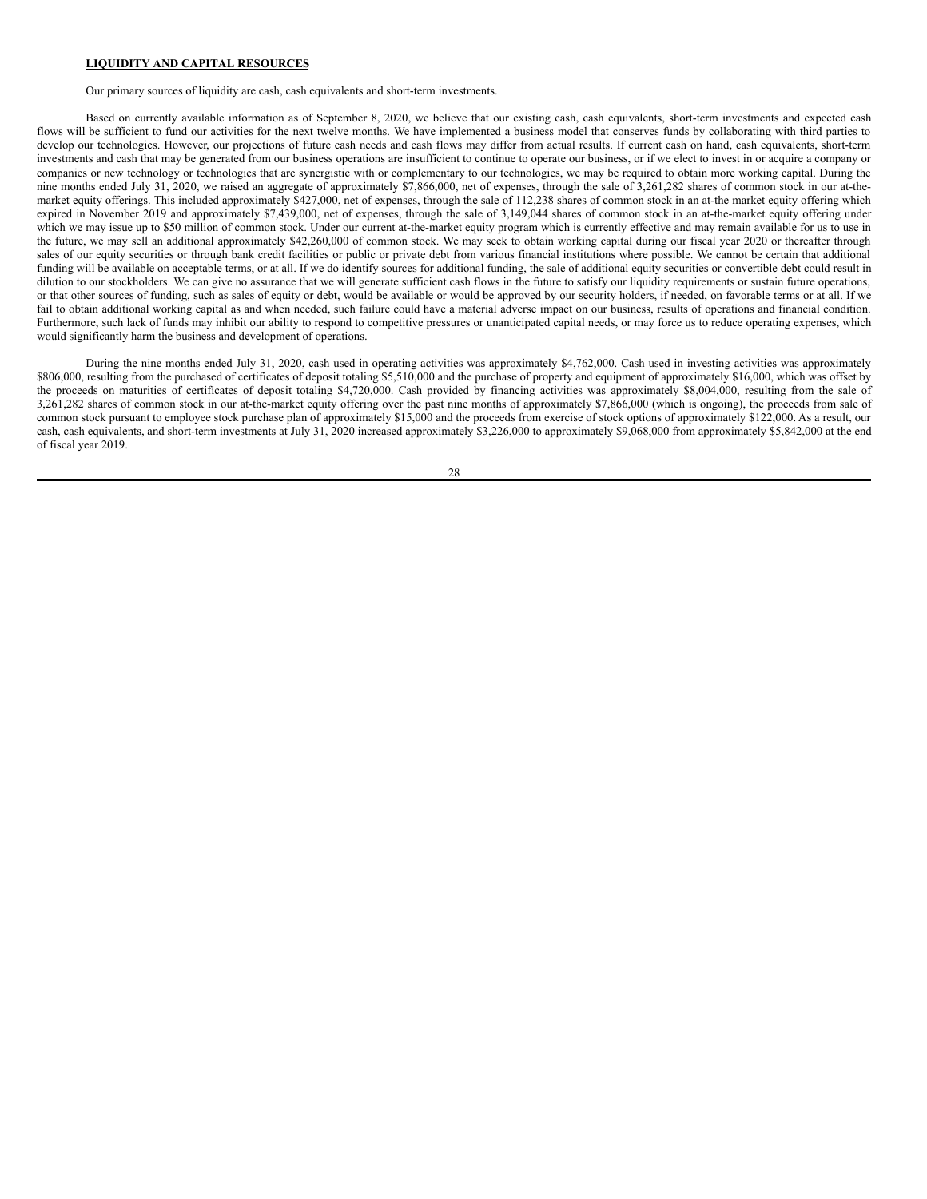## **LIQUIDITY AND CAPITAL RESOURCES**

Our primary sources of liquidity are cash, cash equivalents and short-term investments.

Based on currently available information as of September 8, 2020, we believe that our existing cash, cash equivalents, short-term investments and expected cash flows will be sufficient to fund our activities for the next twelve months. We have implemented a business model that conserves funds by collaborating with third parties to develop our technologies. However, our projections of future cash needs and cash flows may differ from actual results. If current cash on hand, cash equivalents, short-term investments and cash that may be generated from our business operations are insufficient to continue to operate our business, or if we elect to invest in or acquire a company or companies or new technology or technologies that are synergistic with or complementary to our technologies, we may be required to obtain more working capital. During the nine months ended July 31, 2020, we raised an aggregate of approximately \$7,866,000, net of expenses, through the sale of 3,261,282 shares of common stock in our at-themarket equity offerings. This included approximately \$427,000, net of expenses, through the sale of 112,238 shares of common stock in an at-the market equity offering which expired in November 2019 and approximately \$7,439,000, net of expenses, through the sale of 3,149,044 shares of common stock in an at-the-market equity offering under which we may issue up to \$50 million of common stock. Under our current at-the-market equity program which is currently effective and may remain available for us to use in the future, we may sell an additional approximately \$42,260,000 of common stock. We may seek to obtain working capital during our fiscal year 2020 or thereafter through sales of our equity securities or through bank credit facilities or public or private debt from various financial institutions where possible. We cannot be certain that additional funding will be available on acceptable terms, or at all. If we do identify sources for additional funding, the sale of additional equity securities or convertible debt could result in dilution to our stockholders. We can give no assurance that we will generate sufficient cash flows in the future to satisfy our liquidity requirements or sustain future operations, or that other sources of funding, such as sales of equity or debt, would be available or would be approved by our security holders, if needed, on favorable terms or at all. If we fail to obtain additional working capital as and when needed, such failure could have a material adverse impact on our business, results of operations and financial condition. Furthermore, such lack of funds may inhibit our ability to respond to competitive pressures or unanticipated capital needs, or may force us to reduce operating expenses, which would significantly harm the business and development of operations.

During the nine months ended July 31, 2020, cash used in operating activities was approximately \$4,762,000. Cash used in investing activities was approximately \$806,000, resulting from the purchased of certificates of deposit totaling \$5,510,000 and the purchase of property and equipment of approximately \$16,000, which was offset by the proceeds on maturities of certificates of deposit totaling \$4,720,000. Cash provided by financing activities was approximately \$8,004,000, resulting from the sale of 3,261,282 shares of common stock in our at-the-market equity offering over the past nine months of approximately \$7,866,000 (which is ongoing), the proceeds from sale of common stock pursuant to employee stock purchase plan of approximately \$15,000 and the proceeds from exercise of stock options of approximately \$122,000. As a result, our cash, cash equivalents, and short-term investments at July 31, 2020 increased approximately \$3,226,000 to approximately \$9,068,000 from approximately \$5,842,000 at the end of fiscal year 2019.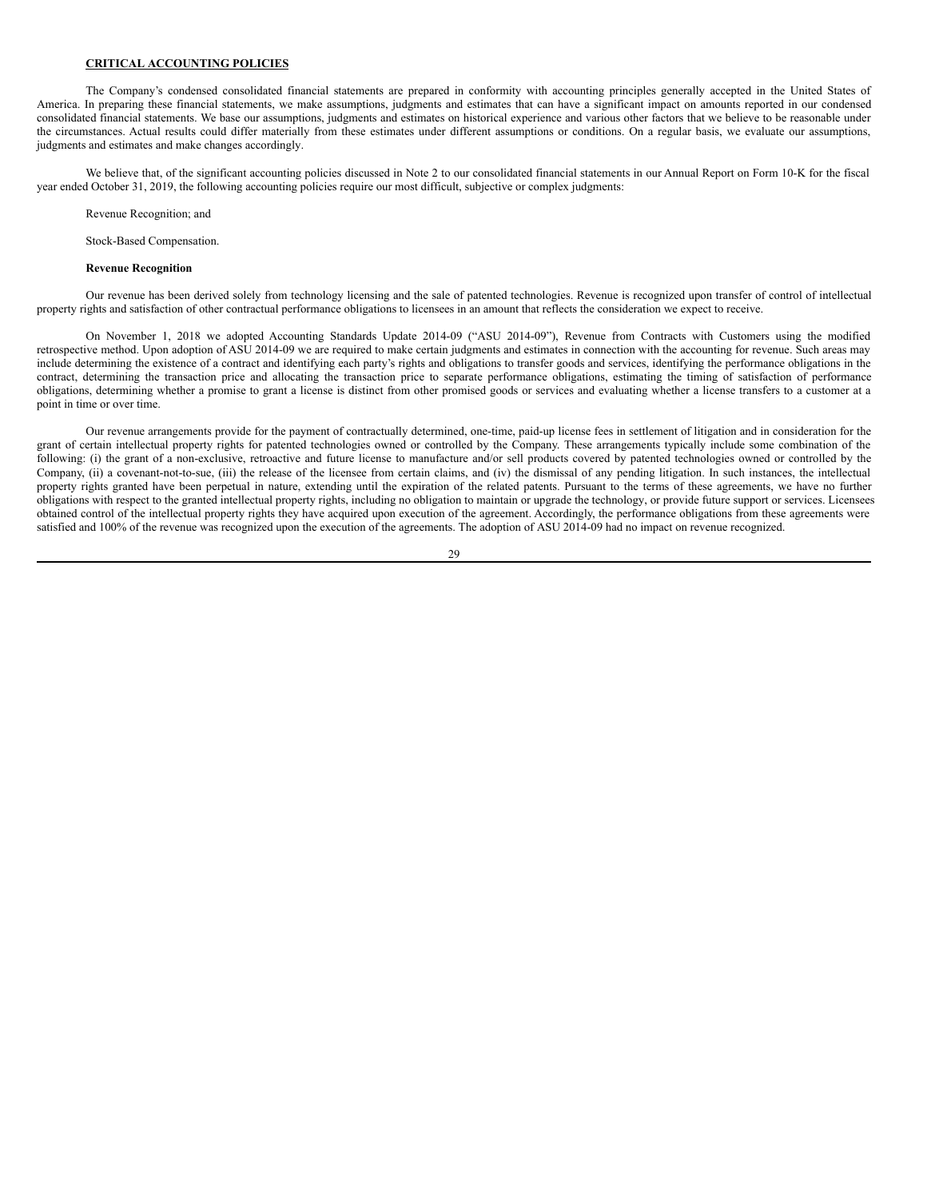#### **CRITICAL ACCOUNTING POLICIES**

The Company's condensed consolidated financial statements are prepared in conformity with accounting principles generally accepted in the United States of America. In preparing these financial statements, we make assumptions, judgments and estimates that can have a significant impact on amounts reported in our condensed consolidated financial statements. We base our assumptions, judgments and estimates on historical experience and various other factors that we believe to be reasonable under the circumstances. Actual results could differ materially from these estimates under different assumptions or conditions. On a regular basis, we evaluate our assumptions, judgments and estimates and make changes accordingly.

We believe that, of the significant accounting policies discussed in Note 2 to our consolidated financial statements in our Annual Report on Form 10-K for the fiscal year ended October 31, 2019, the following accounting policies require our most difficult, subjective or complex judgments:

Revenue Recognition; and

Stock-Based Compensation.

#### **Revenue Recognition**

Our revenue has been derived solely from technology licensing and the sale of patented technologies. Revenue is recognized upon transfer of control of intellectual property rights and satisfaction of other contractual performance obligations to licensees in an amount that reflects the consideration we expect to receive.

On November 1, 2018 we adopted Accounting Standards Update 2014-09 ("ASU 2014-09"), Revenue from Contracts with Customers using the modified retrospective method. Upon adoption of ASU 2014-09 we are required to make certain judgments and estimates in connection with the accounting for revenue. Such areas may include determining the existence of a contract and identifying each party's rights and obligations to transfer goods and services, identifying the performance obligations in the contract, determining the transaction price and allocating the transaction price to separate performance obligations, estimating the timing of satisfaction of performance obligations, determining whether a promise to grant a license is distinct from other promised goods or services and evaluating whether a license transfers to a customer at a point in time or over time.

Our revenue arrangements provide for the payment of contractually determined, one-time, paid-up license fees in settlement of litigation and in consideration for the grant of certain intellectual property rights for patented technologies owned or controlled by the Company. These arrangements typically include some combination of the following: (i) the grant of a non-exclusive, retroactive and future license to manufacture and/or sell products covered by patented technologies owned or controlled by the Company, (ii) a covenant-not-to-sue, (iii) the release of the licensee from certain claims, and (iv) the dismissal of any pending litigation. In such instances, the intellectual property rights granted have been perpetual in nature, extending until the expiration of the related patents. Pursuant to the terms of these agreements, we have no further obligations with respect to the granted intellectual property rights, including no obligation to maintain or upgrade the technology, or provide future support or services. Licensees obtained control of the intellectual property rights they have acquired upon execution of the agreement. Accordingly, the performance obligations from these agreements were satisfied and 100% of the revenue was recognized upon the execution of the agreements. The adoption of ASU 2014-09 had no impact on revenue recognized.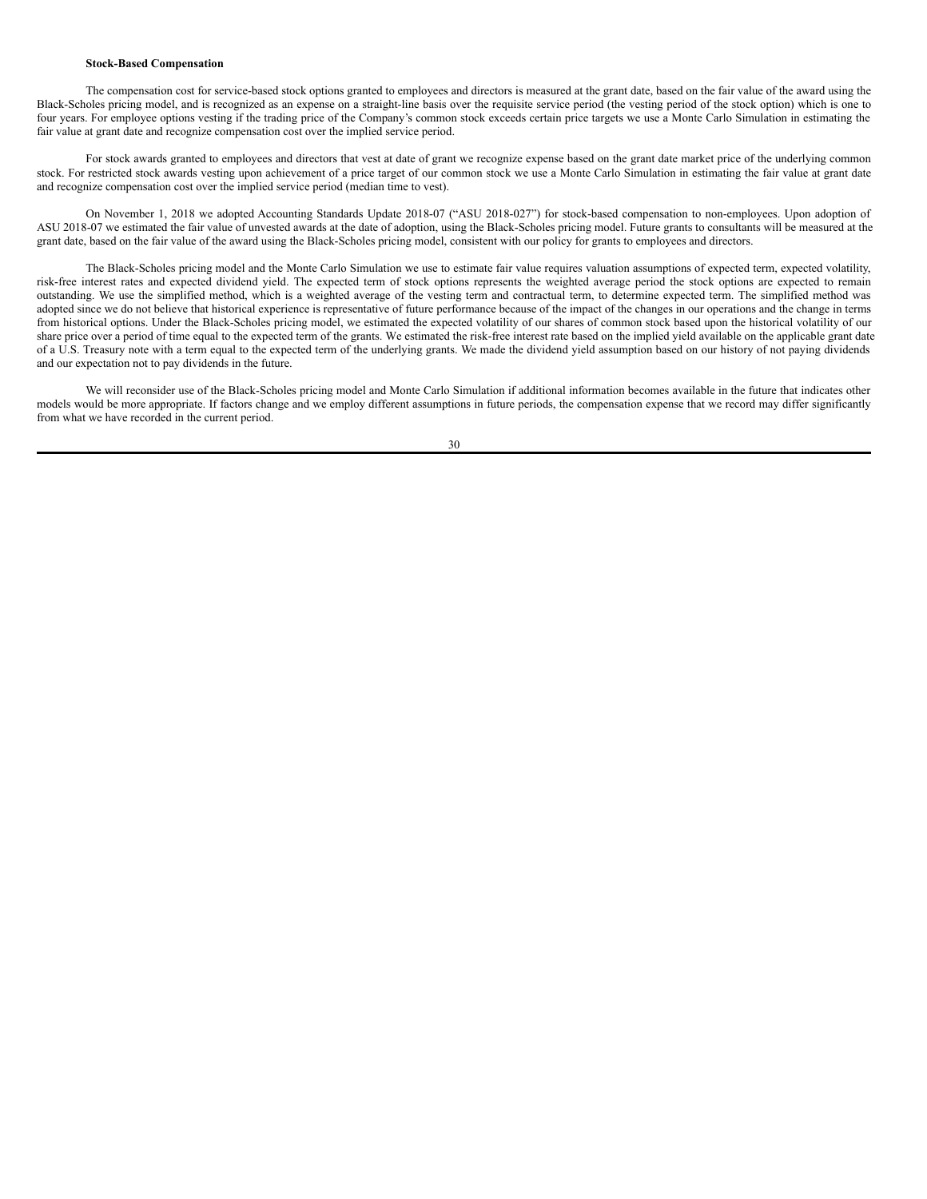#### **Stock-Based Compensation**

The compensation cost for service-based stock options granted to employees and directors is measured at the grant date, based on the fair value of the award using the Black-Scholes pricing model, and is recognized as an expense on a straight-line basis over the requisite service period (the vesting period of the stock option) which is one to four years. For employee options vesting if the trading price of the Company's common stock exceeds certain price targets we use a Monte Carlo Simulation in estimating the fair value at grant date and recognize compensation cost over the implied service period.

For stock awards granted to employees and directors that vest at date of grant we recognize expense based on the grant date market price of the underlying common stock. For restricted stock awards vesting upon achievement of a price target of our common stock we use a Monte Carlo Simulation in estimating the fair value at grant date and recognize compensation cost over the implied service period (median time to vest).

On November 1, 2018 we adopted Accounting Standards Update 2018-07 ("ASU 2018-027") for stock-based compensation to non-employees. Upon adoption of ASU 2018-07 we estimated the fair value of unvested awards at the date of adoption, using the Black-Scholes pricing model. Future grants to consultants will be measured at the grant date, based on the fair value of the award using the Black-Scholes pricing model, consistent with our policy for grants to employees and directors.

The Black-Scholes pricing model and the Monte Carlo Simulation we use to estimate fair value requires valuation assumptions of expected term, expected volatility, risk-free interest rates and expected dividend yield. The expected term of stock options represents the weighted average period the stock options are expected to remain outstanding. We use the simplified method, which is a weighted average of the vesting term and contractual term, to determine expected term. The simplified method was adopted since we do not believe that historical experience is representative of future performance because of the impact of the changes in our operations and the change in terms from historical options. Under the Black-Scholes pricing model, we estimated the expected volatility of our shares of common stock based upon the historical volatility of our share price over a period of time equal to the expected term of the grants. We estimated the risk-free interest rate based on the implied yield available on the applicable grant date of a U.S. Treasury note with a term equal to the expected term of the underlying grants. We made the dividend yield assumption based on our history of not paying dividends and our expectation not to pay dividends in the future.

We will reconsider use of the Black-Scholes pricing model and Monte Carlo Simulation if additional information becomes available in the future that indicates other models would be more appropriate. If factors change and we employ different assumptions in future periods, the compensation expense that we record may differ significantly from what we have recorded in the current period.

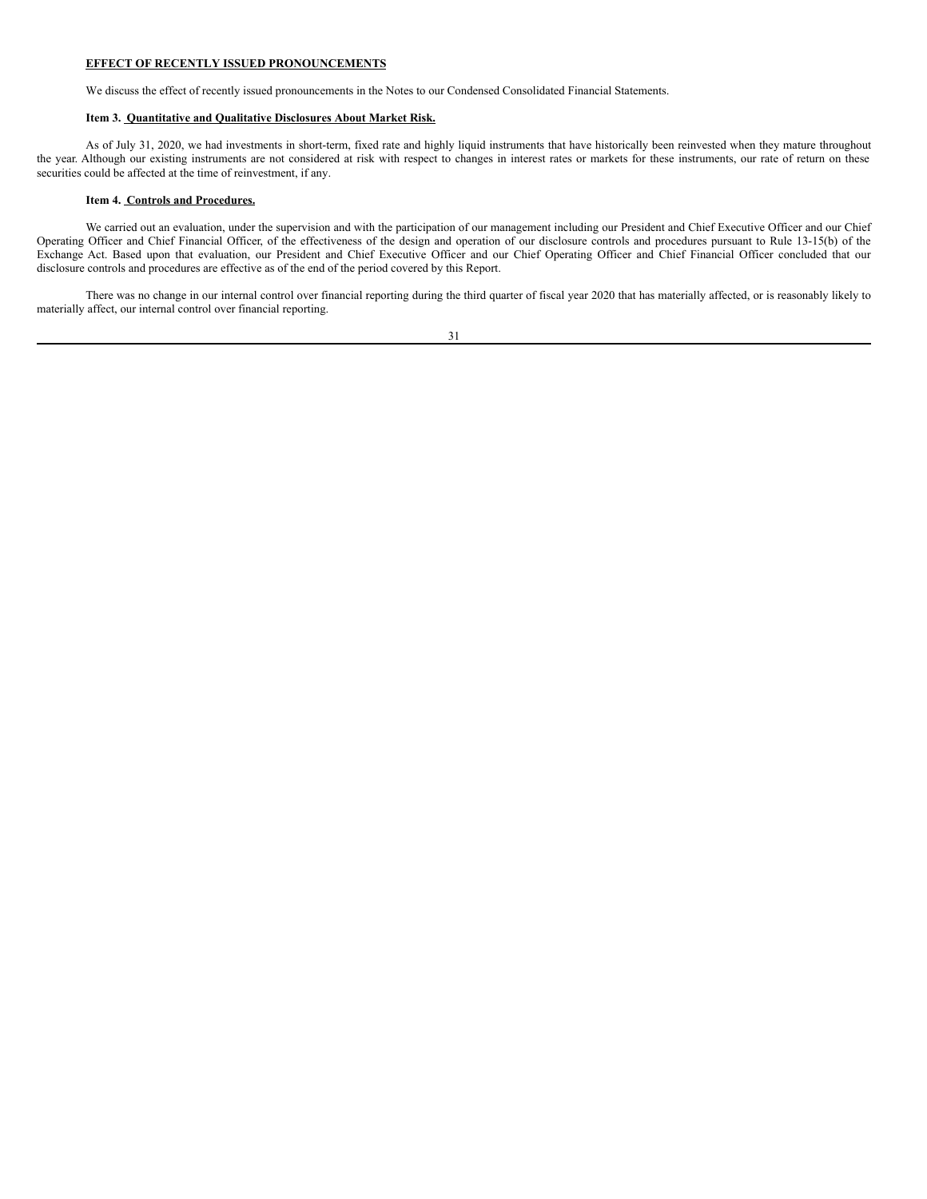#### **EFFECT OF RECENTLY ISSUED PRONOUNCEMENTS**

We discuss the effect of recently issued pronouncements in the Notes to our Condensed Consolidated Financial Statements.

## <span id="page-30-0"></span>**Item 3. Quantitative and Qualitative Disclosures About Market Risk.**

As of July 31, 2020, we had investments in short-term, fixed rate and highly liquid instruments that have historically been reinvested when they mature throughout the year. Although our existing instruments are not considered at risk with respect to changes in interest rates or markets for these instruments, our rate of return on these securities could be affected at the time of reinvestment, if any.

# <span id="page-30-1"></span>**Item 4. Controls and Procedures.**

We carried out an evaluation, under the supervision and with the participation of our management including our President and Chief Executive Officer and our Chief Operating Officer and Chief Financial Officer, of the effectiveness of the design and operation of our disclosure controls and procedures pursuant to Rule 13-15(b) of the Exchange Act. Based upon that evaluation, our President and Chief Executive Officer and our Chief Operating Officer and Chief Financial Officer concluded that our disclosure controls and procedures are effective as of the end of the period covered by this Report.

There was no change in our internal control over financial reporting during the third quarter of fiscal year 2020 that has materially affected, or is reasonably likely to materially affect, our internal control over financial reporting.

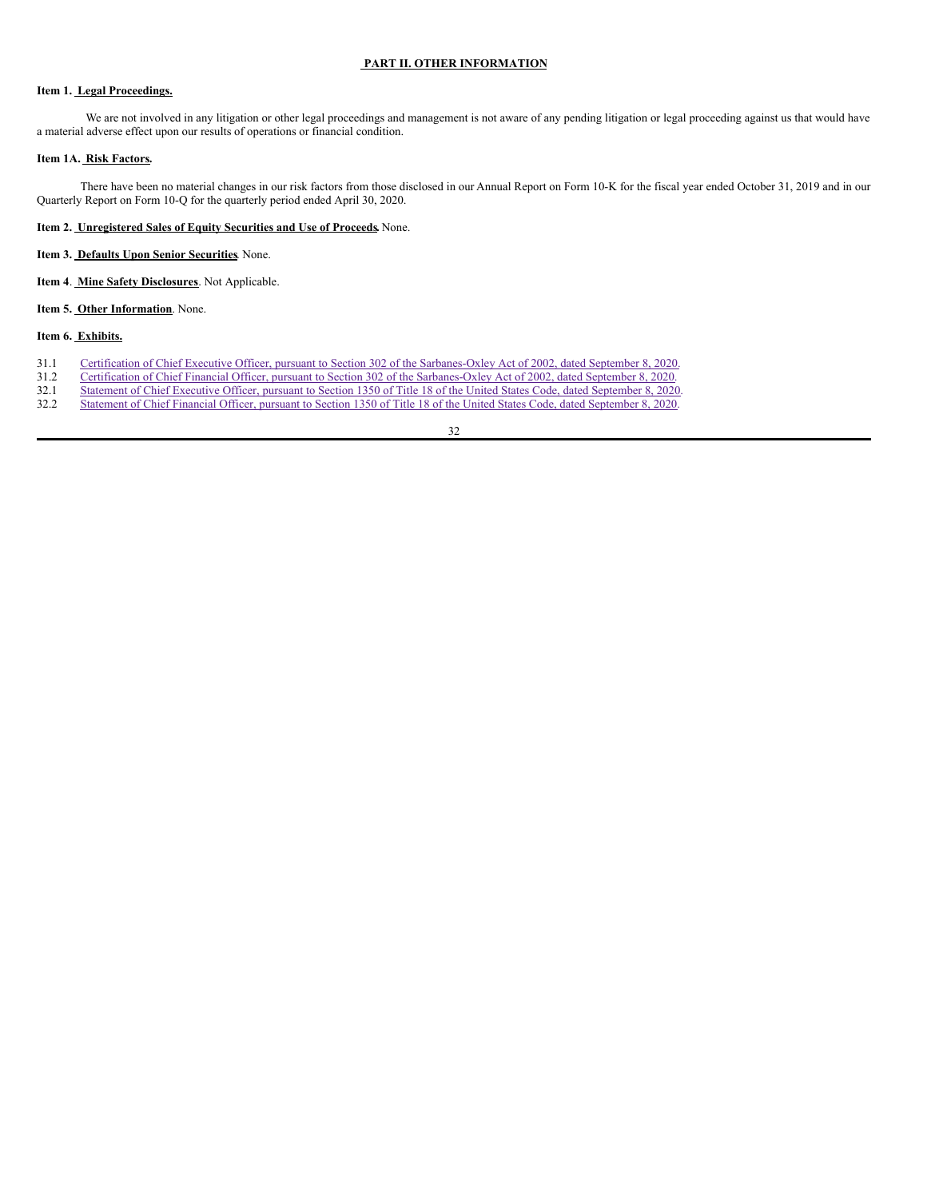## <span id="page-31-0"></span>**PART II. OTHER INFORMATION**

# <span id="page-31-1"></span>**Item 1. Legal Proceedings.**

We are not involved in any litigation or other legal proceedings and management is not aware of any pending litigation or legal proceeding against us that would have a material adverse effect upon our results of operations or financial condition.

# <span id="page-31-2"></span>**Item 1A. Risk Factors.**

There have been no material changes in our risk factors from those disclosed in our Annual Report on Form 10-K for the fiscal year ended October 31, 2019 and in our Quarterly Report on Form 10-Q for the quarterly period ended April 30, 2020.

## <span id="page-31-3"></span>**Item 2. Unregistered Sales of Equity Securities and Use of Proceeds.** None.

<span id="page-31-4"></span>**Item 3. Defaults Upon Senior Securities**. None.

<span id="page-31-5"></span>**Item 4**. **Mine Safety Disclosures**. Not Applicable.

#### <span id="page-31-6"></span>**Item 5. Other Information**. None.

# <span id="page-31-7"></span>**Item 6. Exhibits.**

- 31.1 Certification of Chief Executive Officer, pursuant to Section 302 of the [Sarbanes-Oxley](#page-33-0) Act of 2002, dated September 8, 2020.
- 31.2 Certification of Chief Financial Officer, pursuant to Section 302 of the [Sarbanes-Oxley](#page-34-0) Act of 2002, dated September 8, 2020.
- 32.1 Statement of Chief Executive Officer, pursuant to Section 1350 of Title 18 of the United States Code, dated [September](#page-35-0) 8, 2020.
- 32.2 Statement of Chief Financial Officer, pursuant to Section 1350 of Title 18 of the United States Code, dated [September](#page-36-0) 8, 2020.
	- 32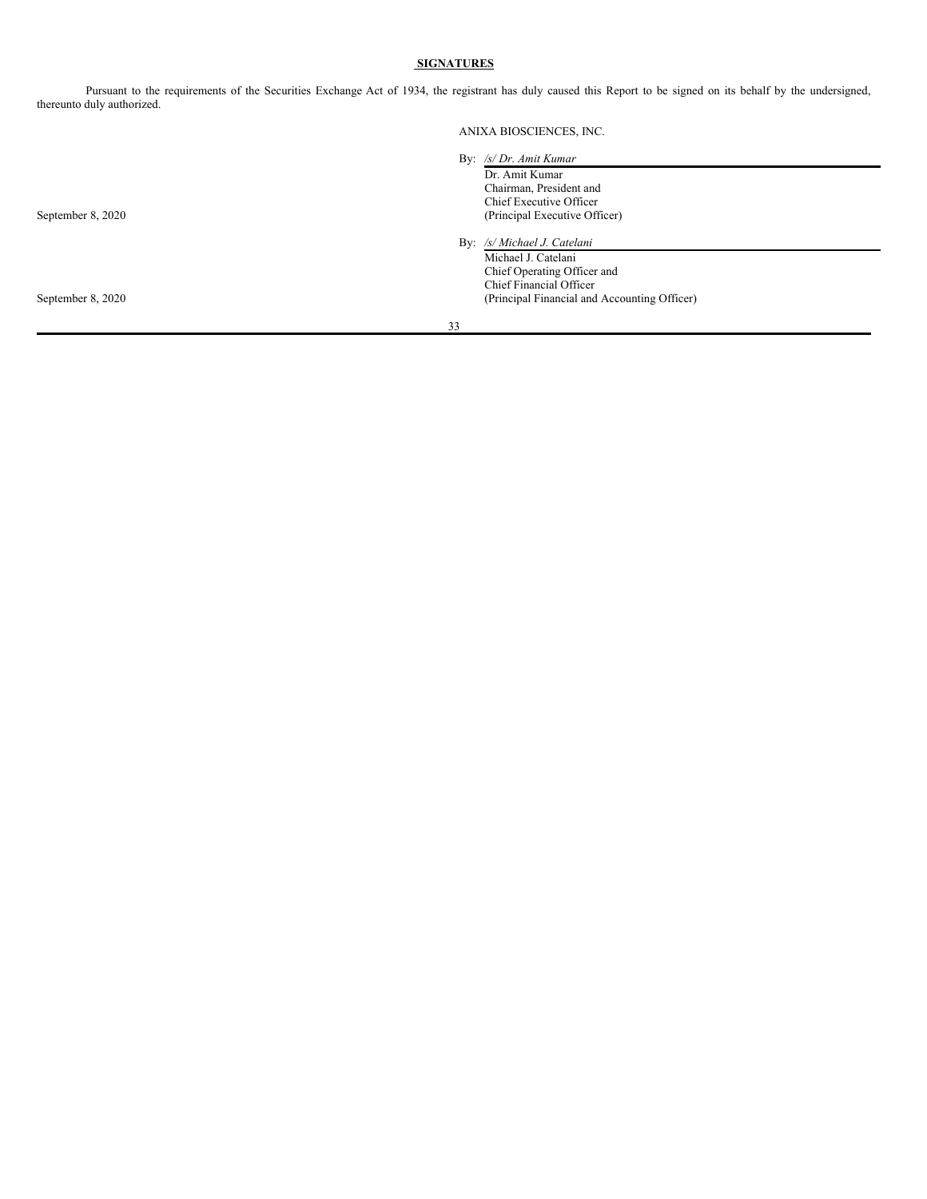# <span id="page-32-0"></span>**SIGNATURES**

Pursuant to the requirements of the Securities Exchange Act of 1934, the registrant has duly caused this Report to be signed on its behalf by the undersigned, thereunto duly authorized.

|                   | ANIXA BIOSCIENCES, INC.                      |
|-------------------|----------------------------------------------|
|                   | By: $/s/Dr$ . Amit Kumar                     |
|                   | Dr. Amit Kumar                               |
|                   | Chairman, President and                      |
|                   | Chief Executive Officer                      |
| September 8, 2020 | (Principal Executive Officer)                |
|                   | By: /s/ Michael J. Catelani                  |
|                   | Michael J. Catelani                          |
|                   | Chief Operating Officer and                  |
|                   | Chief Financial Officer                      |
| September 8, 2020 | (Principal Financial and Accounting Officer) |
|                   | 33                                           |
|                   |                                              |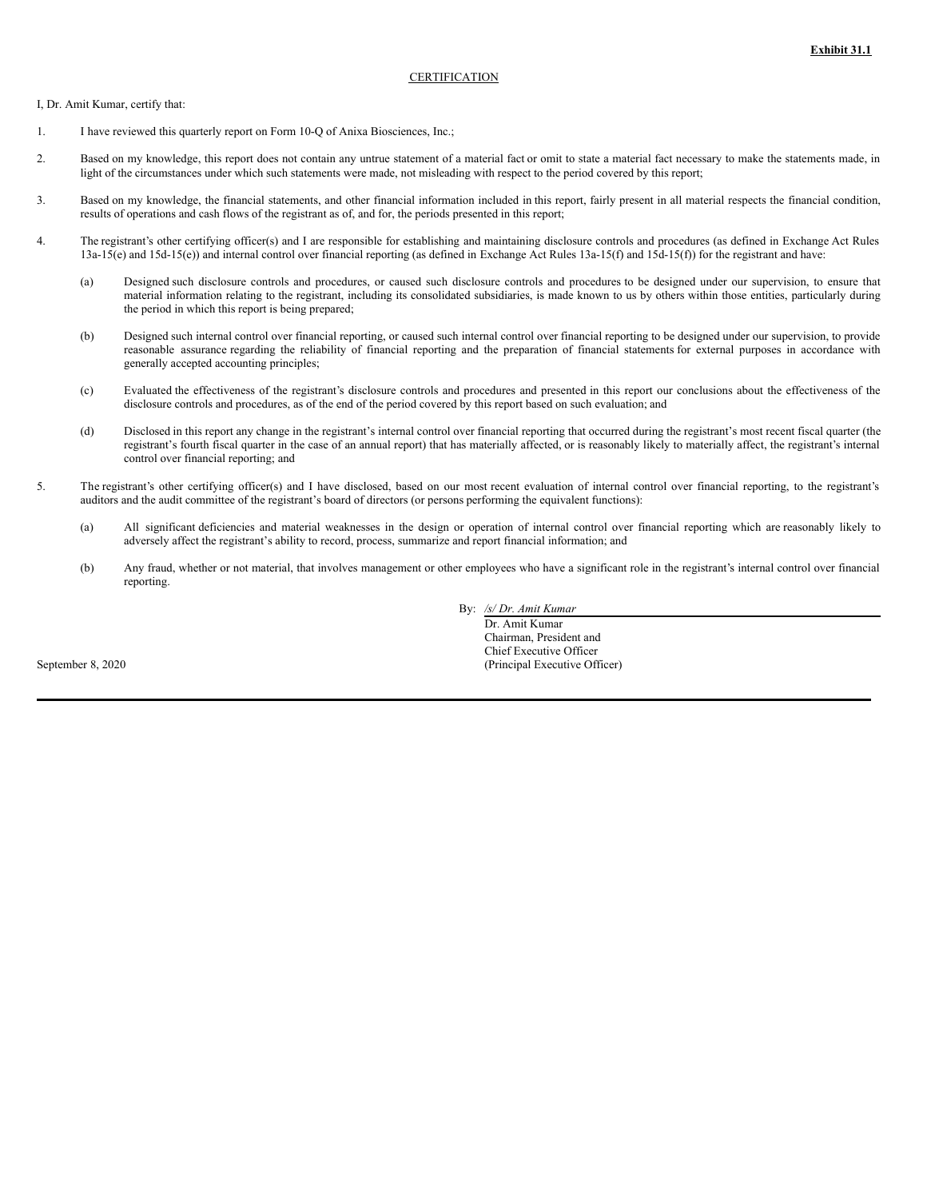#### CERTIFICATION

<span id="page-33-0"></span>I, Dr. Amit Kumar, certify that:

- 1. I have reviewed this quarterly report on Form 10-Q of Anixa Biosciences, Inc.;
- 2. Based on my knowledge, this report does not contain any untrue statement of a material fact or omit to state a material fact necessary to make the statements made, in light of the circumstances under which such statements were made, not misleading with respect to the period covered by this report;
- 3. Based on my knowledge, the financial statements, and other financial information included in this report, fairly present in all material respects the financial condition, results of operations and cash flows of the registrant as of, and for, the periods presented in this report;
- 4. The registrant's other certifying officer(s) and I are responsible for establishing and maintaining disclosure controls and procedures (as defined in Exchange Act Rules 13a-15(e) and 15d-15(e)) and internal control over financial reporting (as defined in Exchange Act Rules 13a-15(f) and 15d-15(f)) for the registrant and have:
	- (a) Designed such disclosure controls and procedures, or caused such disclosure controls and procedures to be designed under our supervision, to ensure that material information relating to the registrant, including its consolidated subsidiaries, is made known to us by others within those entities, particularly during the period in which this report is being prepared;
	- (b) Designed such internal control over financial reporting, or caused such internal control over financial reporting to be designed under our supervision, to provide reasonable assurance regarding the reliability of financial reporting and the preparation of financial statements for external purposes in accordance with generally accepted accounting principles;
	- (c) Evaluated the effectiveness of the registrant's disclosure controls and procedures and presented in this report our conclusions about the effectiveness of the disclosure controls and procedures, as of the end of the period covered by this report based on such evaluation; and
	- (d) Disclosed in this report any change in the registrant's internal control over financial reporting that occurred during the registrant's most recent fiscal quarter (the registrant's fourth fiscal quarter in the case of an annual report) that has materially affected, or is reasonably likely to materially affect, the registrant's internal control over financial reporting; and
- 5. The registrant's other certifying officer(s) and I have disclosed, based on our most recent evaluation of internal control over financial reporting, to the registrant's auditors and the audit committee of the registrant's board of directors (or persons performing the equivalent functions):
	- (a) All significant deficiencies and material weaknesses in the design or operation of internal control over financial reporting which are reasonably likely to adversely affect the registrant's ability to record, process, summarize and report financial information; and
	- (b) Any fraud, whether or not material, that involves management or other employees who have a significant role in the registrant's internal control over financial reporting.

By: */s/ Dr. Amit Kumar*

Dr. Amit Kumar Chairman, President and Chief Executive Officer September 8, 2020 (Principal Executive Officer)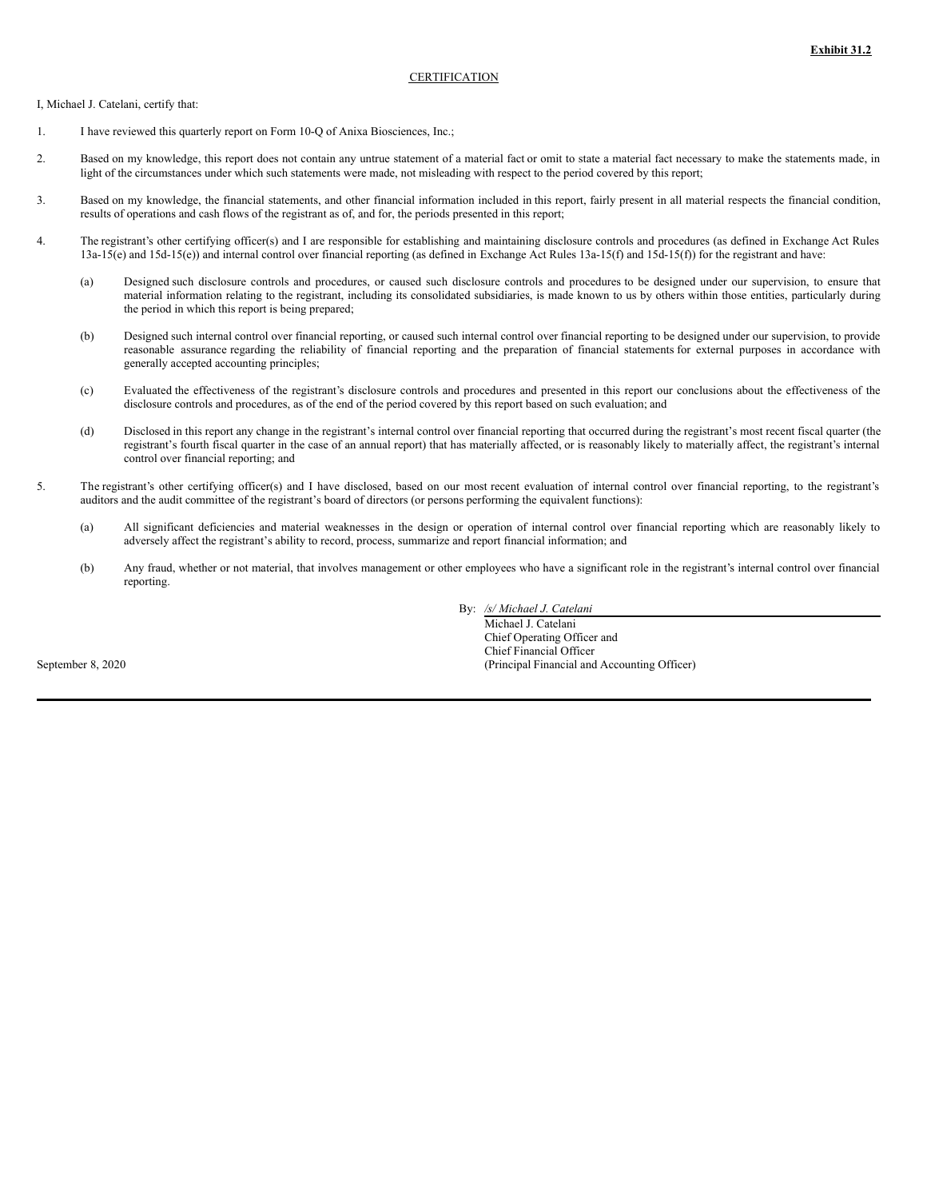#### CERTIFICATION

<span id="page-34-0"></span>I, Michael J. Catelani, certify that:

- 1. I have reviewed this quarterly report on Form 10-Q of Anixa Biosciences, Inc.;
- 2. Based on my knowledge, this report does not contain any untrue statement of a material fact or omit to state a material fact necessary to make the statements made, in light of the circumstances under which such statements were made, not misleading with respect to the period covered by this report;
- 3. Based on my knowledge, the financial statements, and other financial information included in this report, fairly present in all material respects the financial condition, results of operations and cash flows of the registrant as of, and for, the periods presented in this report;
- 4. The registrant's other certifying officer(s) and I are responsible for establishing and maintaining disclosure controls and procedures (as defined in Exchange Act Rules 13a-15(e) and 15d-15(e)) and internal control over financial reporting (as defined in Exchange Act Rules 13a-15(f) and 15d-15(f)) for the registrant and have:
	- (a) Designed such disclosure controls and procedures, or caused such disclosure controls and procedures to be designed under our supervision, to ensure that material information relating to the registrant, including its consolidated subsidiaries, is made known to us by others within those entities, particularly during the period in which this report is being prepared;
	- (b) Designed such internal control over financial reporting, or caused such internal control over financial reporting to be designed under our supervision, to provide reasonable assurance regarding the reliability of financial reporting and the preparation of financial statements for external purposes in accordance with generally accepted accounting principles;
	- (c) Evaluated the effectiveness of the registrant's disclosure controls and procedures and presented in this report our conclusions about the effectiveness of the disclosure controls and procedures, as of the end of the period covered by this report based on such evaluation; and
	- (d) Disclosed in this report any change in the registrant's internal control over financial reporting that occurred during the registrant's most recent fiscal quarter (the registrant's fourth fiscal quarter in the case of an annual report) that has materially affected, or is reasonably likely to materially affect, the registrant's internal control over financial reporting; and
- 5. The registrant's other certifying officer(s) and I have disclosed, based on our most recent evaluation of internal control over financial reporting, to the registrant's auditors and the audit committee of the registrant's board of directors (or persons performing the equivalent functions):
	- (a) All significant deficiencies and material weaknesses in the design or operation of internal control over financial reporting which are reasonably likely to adversely affect the registrant's ability to record, process, summarize and report financial information; and
	- (b) Any fraud, whether or not material, that involves management or other employees who have a significant role in the registrant's internal control over financial reporting.

By: */s/ Michael J. Catelani*

Michael J. Catelani Chief Operating Officer and Chief Financial Officer September 8, 2020 (Principal Financial and Accounting Officer)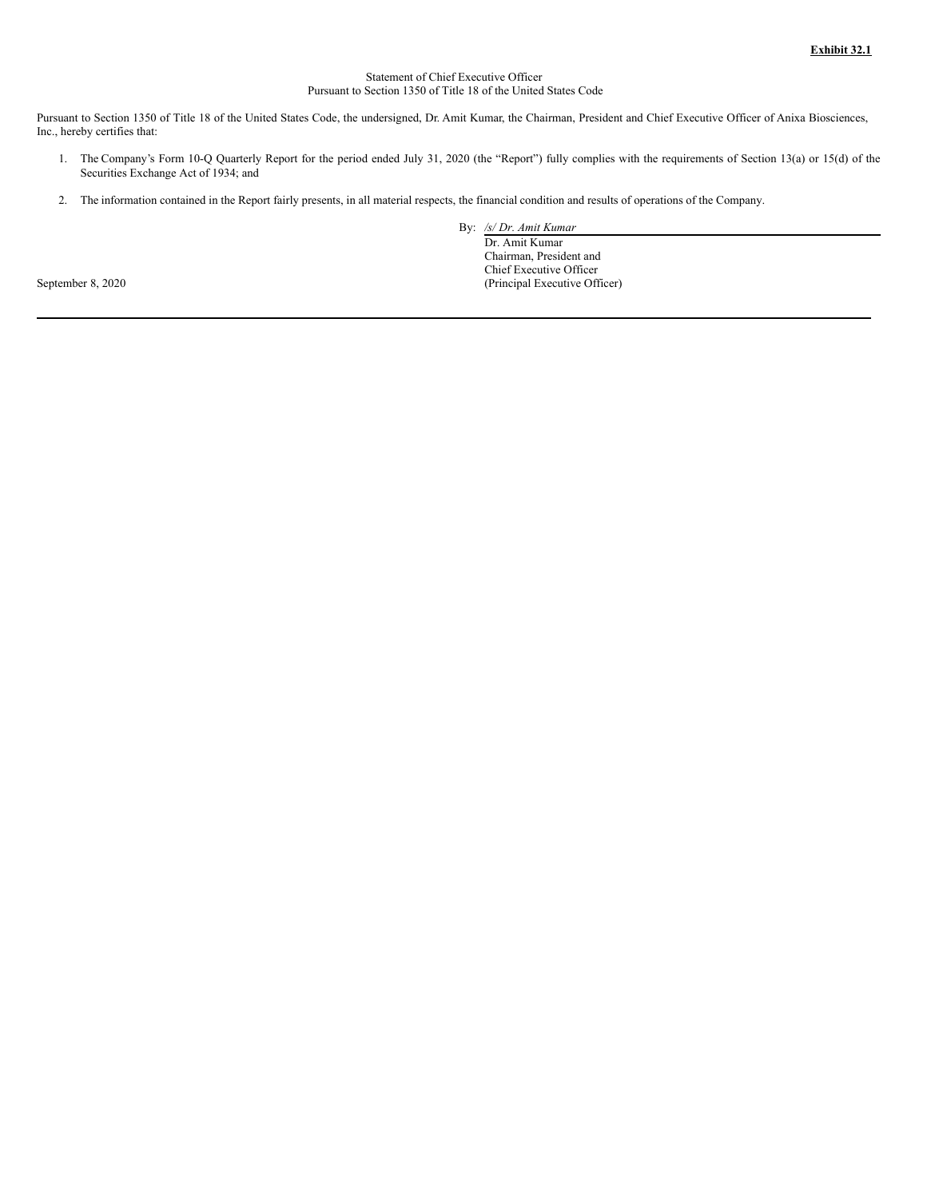## Statement of Chief Executive Officer Pursuant to Section 1350 of Title 18 of the United States Code

<span id="page-35-0"></span>Pursuant to Section 1350 of Title 18 of the United States Code, the undersigned, Dr. Amit Kumar, the Chairman, President and Chief Executive Officer of Anixa Biosciences, Inc., hereby certifies that:

- 1. The Company's Form 10-Q Quarterly Report for the period ended July 31, 2020 (the "Report") fully complies with the requirements of Section 13(a) or 15(d) of the Securities Exchange Act of 1934; and
- 2. The information contained in the Report fairly presents, in all material respects, the financial condition and results of operations of the Company.

By: */s/ Dr. Amit Kumar*

Dr. Amit Kumar Chairman, President and Chief Executive Officer September 8, 2020 (Principal Executive Officer)